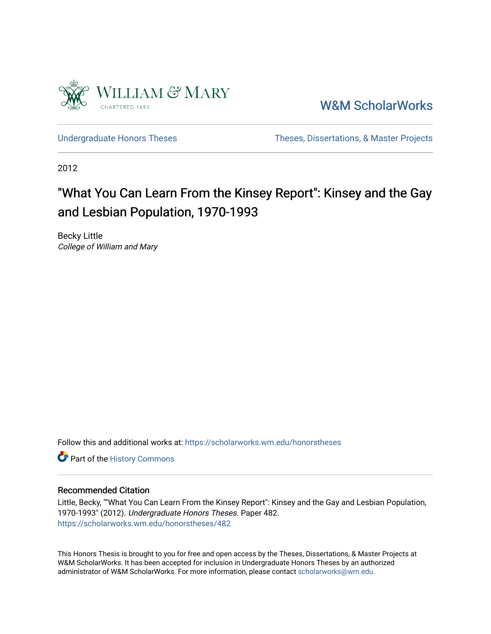

[W&M ScholarWorks](https://scholarworks.wm.edu/) 

[Undergraduate Honors Theses](https://scholarworks.wm.edu/honorstheses) Theses Theses, Dissertations, & Master Projects

2012

# "What You Can Learn From the Kinsey Report": Kinsey and the Gay and Lesbian Population, 1970-1993

Becky Little College of William and Mary

Follow this and additional works at: [https://scholarworks.wm.edu/honorstheses](https://scholarworks.wm.edu/honorstheses?utm_source=scholarworks.wm.edu%2Fhonorstheses%2F482&utm_medium=PDF&utm_campaign=PDFCoverPages) 

Part of the [History Commons](http://network.bepress.com/hgg/discipline/489?utm_source=scholarworks.wm.edu%2Fhonorstheses%2F482&utm_medium=PDF&utm_campaign=PDFCoverPages) 

### Recommended Citation

Little, Becky, ""What You Can Learn From the Kinsey Report": Kinsey and the Gay and Lesbian Population, 1970-1993" (2012). Undergraduate Honors Theses. Paper 482. [https://scholarworks.wm.edu/honorstheses/482](https://scholarworks.wm.edu/honorstheses/482?utm_source=scholarworks.wm.edu%2Fhonorstheses%2F482&utm_medium=PDF&utm_campaign=PDFCoverPages) 

This Honors Thesis is brought to you for free and open access by the Theses, Dissertations, & Master Projects at W&M ScholarWorks. It has been accepted for inclusion in Undergraduate Honors Theses by an authorized administrator of W&M ScholarWorks. For more information, please contact [scholarworks@wm.edu.](mailto:scholarworks@wm.edu)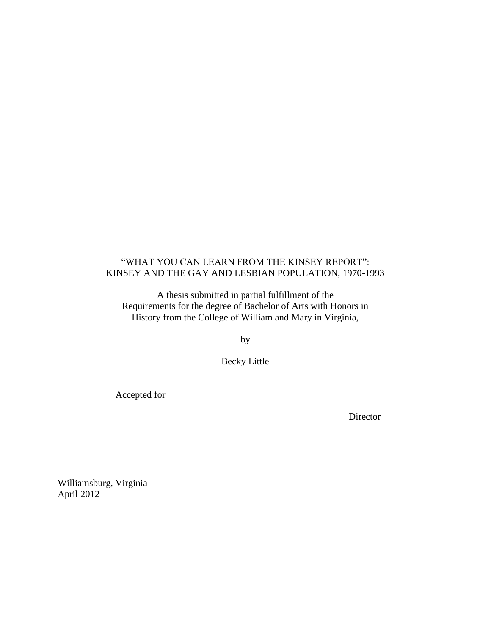### "WHAT YOU CAN LEARN FROM THE KINSEY REPORT": KINSEY AND THE GAY AND LESBIAN POPULATION, 1970-1993

A thesis submitted in partial fulfillment of the Requirements for the degree of Bachelor of Arts with Honors in History from the College of William and Mary in Virginia,

by

Becky Little

Accepted for

Director

Williamsburg, Virginia April 2012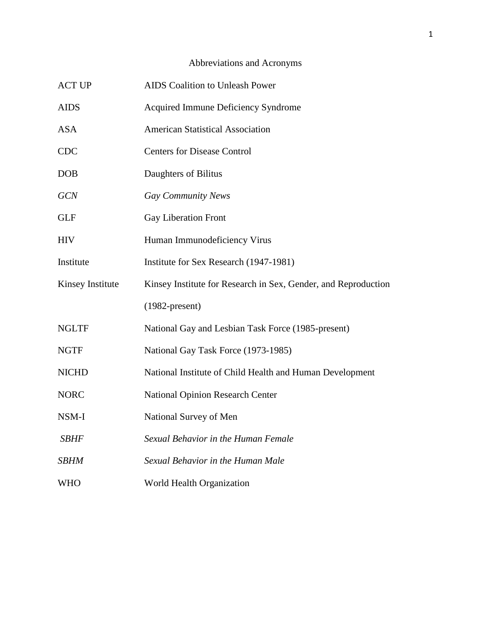## Abbreviations and Acronyms

| <b>ACT UP</b>    | <b>AIDS</b> Coalition to Unleash Power                         |
|------------------|----------------------------------------------------------------|
| <b>AIDS</b>      | Acquired Immune Deficiency Syndrome                            |
| <b>ASA</b>       | <b>American Statistical Association</b>                        |
| <b>CDC</b>       | <b>Centers for Disease Control</b>                             |
| <b>DOB</b>       | Daughters of Bilitus                                           |
| <b>GCN</b>       | <b>Gay Community News</b>                                      |
| <b>GLF</b>       | <b>Gay Liberation Front</b>                                    |
| <b>HIV</b>       | Human Immunodeficiency Virus                                   |
| Institute        | Institute for Sex Research (1947-1981)                         |
| Kinsey Institute | Kinsey Institute for Research in Sex, Gender, and Reproduction |
|                  | $(1982$ -present)                                              |
| <b>NGLTF</b>     | National Gay and Lesbian Task Force (1985-present)             |
| <b>NGTF</b>      | National Gay Task Force (1973-1985)                            |
| <b>NICHD</b>     | National Institute of Child Health and Human Development       |
| <b>NORC</b>      | <b>National Opinion Research Center</b>                        |
| NSM-I            | National Survey of Men                                         |
| <b>SBHF</b>      | Sexual Behavior in the Human Female                            |
| <b>SBHM</b>      | Sexual Behavior in the Human Male                              |
| <b>WHO</b>       | World Health Organization                                      |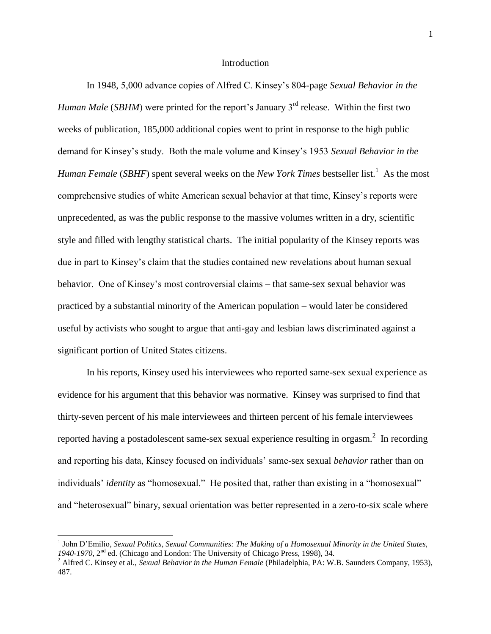### Introduction

In 1948, 5,000 advance copies of Alfred C. Kinsey"s 804-page *Sexual Behavior in the Human Male* (*SBHM*) were printed for the report's January 3<sup>rd</sup> release. Within the first two weeks of publication, 185,000 additional copies went to print in response to the high public demand for Kinsey"s study. Both the male volume and Kinsey"s 1953 *Sexual Behavior in the Human Female (SBHF)* spent several weeks on the *New York Times* bestseller list.<sup>1</sup> As the most comprehensive studies of white American sexual behavior at that time, Kinsey"s reports were unprecedented, as was the public response to the massive volumes written in a dry, scientific style and filled with lengthy statistical charts. The initial popularity of the Kinsey reports was due in part to Kinsey"s claim that the studies contained new revelations about human sexual behavior. One of Kinsey"s most controversial claims – that same-sex sexual behavior was practiced by a substantial minority of the American population – would later be considered useful by activists who sought to argue that anti-gay and lesbian laws discriminated against a significant portion of United States citizens.

In his reports, Kinsey used his interviewees who reported same-sex sexual experience as evidence for his argument that this behavior was normative. Kinsey was surprised to find that thirty-seven percent of his male interviewees and thirteen percent of his female interviewees reported having a postadolescent same-sex sexual experience resulting in orgasm. $^2$  In recording and reporting his data, Kinsey focused on individuals" same-sex sexual *behavior* rather than on individuals' *identity* as "homosexual." He posited that, rather than existing in a "homosexual" and "heterosexual" binary, sexual orientation was better represented in a zero-to-six scale where

<sup>&</sup>lt;sup>1</sup> John D'Emilio, *Sexual Politics, Sexual Communities: The Making of a Homosexual Minority in the United States, 1940-1970*, 2nd ed. (Chicago and London: The University of Chicago Press, 1998), 34.

<sup>&</sup>lt;sup>2</sup> Alfred C. Kinsey et al., *Sexual Behavior in the Human Female* (Philadelphia, PA: W.B. Saunders Company, 1953), 487.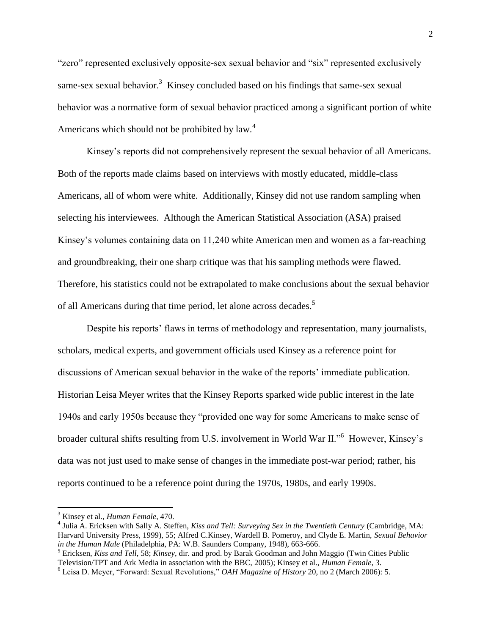"zero" represented exclusively opposite-sex sexual behavior and "six" represented exclusively same-sex sexual behavior.<sup>3</sup> Kinsey concluded based on his findings that same-sex sexual behavior was a normative form of sexual behavior practiced among a significant portion of white Americans which should not be prohibited by law. $4$ 

Kinsey"s reports did not comprehensively represent the sexual behavior of all Americans. Both of the reports made claims based on interviews with mostly educated, middle-class Americans, all of whom were white. Additionally, Kinsey did not use random sampling when selecting his interviewees. Although the American Statistical Association (ASA) praised Kinsey"s volumes containing data on 11,240 white American men and women as a far-reaching and groundbreaking, their one sharp critique was that his sampling methods were flawed. Therefore, his statistics could not be extrapolated to make conclusions about the sexual behavior of all Americans during that time period, let alone across decades.<sup>5</sup>

Despite his reports' flaws in terms of methodology and representation, many journalists, scholars, medical experts, and government officials used Kinsey as a reference point for discussions of American sexual behavior in the wake of the reports" immediate publication. Historian Leisa Meyer writes that the Kinsey Reports sparked wide public interest in the late 1940s and early 1950s because they "provided one way for some Americans to make sense of broader cultural shifts resulting from U.S. involvement in World War II."<sup>6</sup> However, Kinsey's data was not just used to make sense of changes in the immediate post-war period; rather, his reports continued to be a reference point during the 1970s, 1980s, and early 1990s.

<sup>3</sup> Kinsey et al., *Human Female*, 470.

<sup>4</sup> Julia A. Ericksen with Sally A. Steffen, *Kiss and Tell: Surveying Sex in the Twentieth Century* (Cambridge, MA: Harvard University Press, 1999), 55; Alfred C.Kinsey, Wardell B. Pomeroy, and Clyde E. Martin, *Sexual Behavior in the Human Male* (Philadelphia, PA: W.B. Saunders Company, 1948), 663-666.

<sup>5</sup> Ericksen, *Kiss and Tell*, 58; *Kinsey*, dir. and prod. by Barak Goodman and John Maggio (Twin Cities Public Television/TPT and Ark Media in association with the BBC, 2005); Kinsey et al., *Human Female*, 3.

<sup>6</sup> Leisa D. Meyer, "Forward: Sexual Revolutions," *OAH Magazine of History* 20, no 2 (March 2006): 5.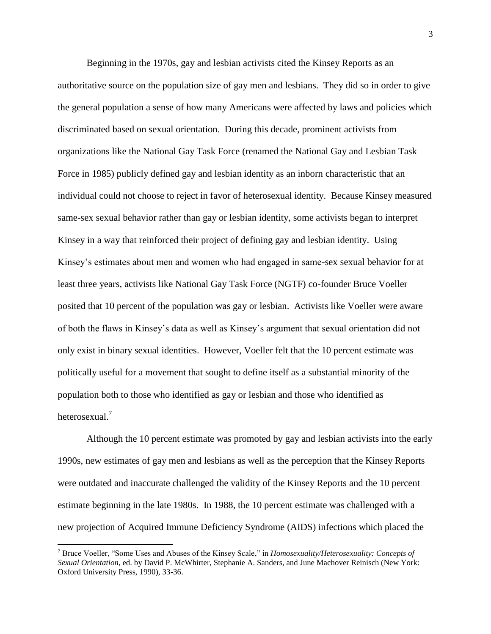Beginning in the 1970s, gay and lesbian activists cited the Kinsey Reports as an authoritative source on the population size of gay men and lesbians. They did so in order to give the general population a sense of how many Americans were affected by laws and policies which discriminated based on sexual orientation. During this decade, prominent activists from organizations like the National Gay Task Force (renamed the National Gay and Lesbian Task Force in 1985) publicly defined gay and lesbian identity as an inborn characteristic that an individual could not choose to reject in favor of heterosexual identity. Because Kinsey measured same-sex sexual behavior rather than gay or lesbian identity, some activists began to interpret Kinsey in a way that reinforced their project of defining gay and lesbian identity. Using Kinsey"s estimates about men and women who had engaged in same-sex sexual behavior for at least three years, activists like National Gay Task Force (NGTF) co-founder Bruce Voeller posited that 10 percent of the population was gay or lesbian. Activists like Voeller were aware of both the flaws in Kinsey"s data as well as Kinsey"s argument that sexual orientation did not only exist in binary sexual identities. However, Voeller felt that the 10 percent estimate was politically useful for a movement that sought to define itself as a substantial minority of the population both to those who identified as gay or lesbian and those who identified as heterosexual.<sup>7</sup>

Although the 10 percent estimate was promoted by gay and lesbian activists into the early 1990s, new estimates of gay men and lesbians as well as the perception that the Kinsey Reports were outdated and inaccurate challenged the validity of the Kinsey Reports and the 10 percent estimate beginning in the late 1980s. In 1988, the 10 percent estimate was challenged with a new projection of Acquired Immune Deficiency Syndrome (AIDS) infections which placed the

<sup>7</sup> Bruce Voeller, "Some Uses and Abuses of the Kinsey Scale," in *Homosexuality/Heterosexuality: Concepts of Sexual Orientation*, ed. by David P. McWhirter, Stephanie A. Sanders, and June Machover Reinisch (New York: Oxford University Press, 1990), 33-36.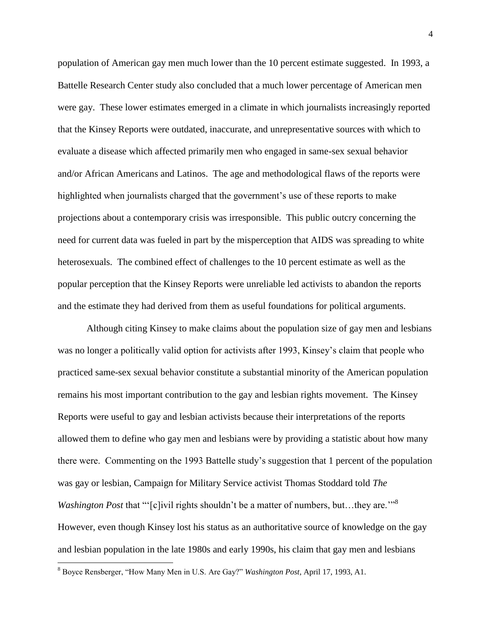population of American gay men much lower than the 10 percent estimate suggested. In 1993, a Battelle Research Center study also concluded that a much lower percentage of American men were gay. These lower estimates emerged in a climate in which journalists increasingly reported that the Kinsey Reports were outdated, inaccurate, and unrepresentative sources with which to evaluate a disease which affected primarily men who engaged in same-sex sexual behavior and/or African Americans and Latinos. The age and methodological flaws of the reports were highlighted when journalists charged that the government's use of these reports to make projections about a contemporary crisis was irresponsible. This public outcry concerning the need for current data was fueled in part by the misperception that AIDS was spreading to white heterosexuals. The combined effect of challenges to the 10 percent estimate as well as the popular perception that the Kinsey Reports were unreliable led activists to abandon the reports and the estimate they had derived from them as useful foundations for political arguments.

Although citing Kinsey to make claims about the population size of gay men and lesbians was no longer a politically valid option for activists after 1993, Kinsey"s claim that people who practiced same-sex sexual behavior constitute a substantial minority of the American population remains his most important contribution to the gay and lesbian rights movement. The Kinsey Reports were useful to gay and lesbian activists because their interpretations of the reports allowed them to define who gay men and lesbians were by providing a statistic about how many there were. Commenting on the 1993 Battelle study"s suggestion that 1 percent of the population was gay or lesbian, Campaign for Military Service activist Thomas Stoddard told *The Washington Post* that "'[c]ivil rights shouldn't be a matter of numbers, but...they are."<sup>3</sup> However, even though Kinsey lost his status as an authoritative source of knowledge on the gay and lesbian population in the late 1980s and early 1990s, his claim that gay men and lesbians

<sup>8</sup> Boyce Rensberger, "How Many Men in U.S. Are Gay?" *Washington Post*, April 17, 1993, A1.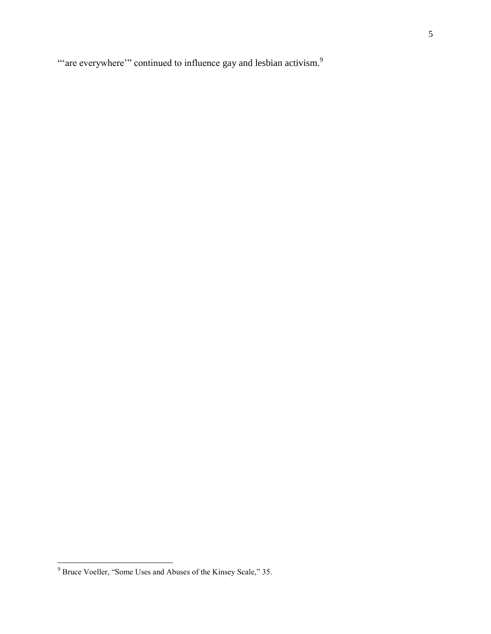"are everywhere" continued to influence gay and lesbian activism.<sup>9</sup>

 $9^9$  Bruce Voeller, "Some Uses and Abuses of the Kinsey Scale," 35.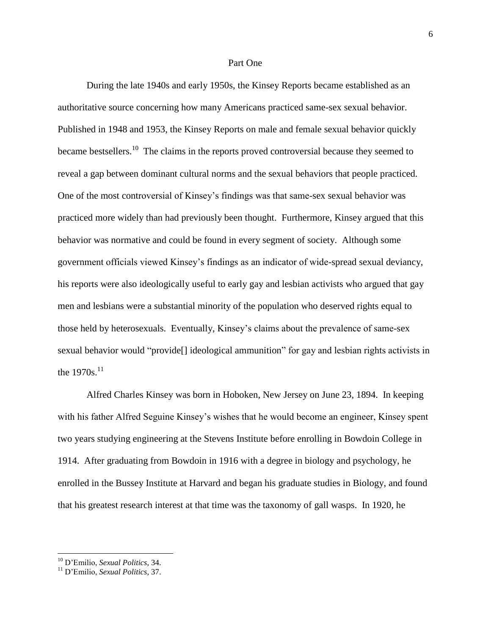#### Part One

During the late 1940s and early 1950s, the Kinsey Reports became established as an authoritative source concerning how many Americans practiced same-sex sexual behavior. Published in 1948 and 1953, the Kinsey Reports on male and female sexual behavior quickly became bestsellers.<sup>10</sup> The claims in the reports proved controversial because they seemed to reveal a gap between dominant cultural norms and the sexual behaviors that people practiced. One of the most controversial of Kinsey"s findings was that same-sex sexual behavior was practiced more widely than had previously been thought. Furthermore, Kinsey argued that this behavior was normative and could be found in every segment of society. Although some government officials viewed Kinsey"s findings as an indicator of wide-spread sexual deviancy, his reports were also ideologically useful to early gay and lesbian activists who argued that gay men and lesbians were a substantial minority of the population who deserved rights equal to those held by heterosexuals. Eventually, Kinsey"s claims about the prevalence of same-sex sexual behavior would "provide[] ideological ammunition" for gay and lesbian rights activists in the  $1970s$ <sup>11</sup>

Alfred Charles Kinsey was born in Hoboken, New Jersey on June 23, 1894. In keeping with his father Alfred Seguine Kinsey's wishes that he would become an engineer, Kinsey spent two years studying engineering at the Stevens Institute before enrolling in Bowdoin College in 1914. After graduating from Bowdoin in 1916 with a degree in biology and psychology, he enrolled in the Bussey Institute at Harvard and began his graduate studies in Biology, and found that his greatest research interest at that time was the taxonomy of gall wasps. In 1920, he

<sup>10</sup> D"Emilio, *Sexual Politics*, 34.

<sup>11</sup> D"Emilio, *Sexual Politics*, 37.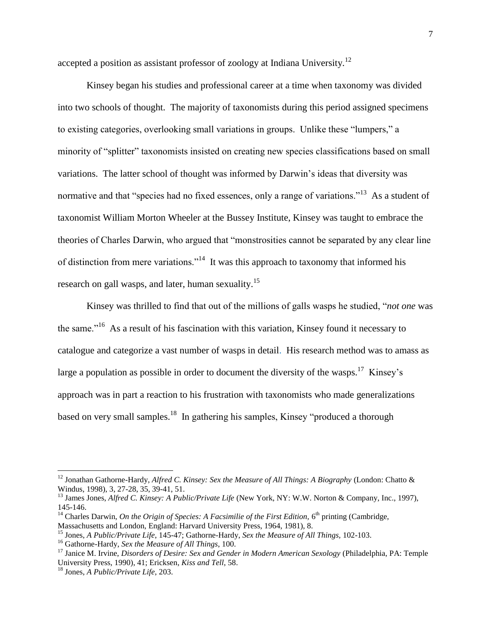accepted a position as assistant professor of zoology at Indiana University.<sup>12</sup>

Kinsey began his studies and professional career at a time when taxonomy was divided into two schools of thought. The majority of taxonomists during this period assigned specimens to existing categories, overlooking small variations in groups. Unlike these "lumpers," a minority of "splitter" taxonomists insisted on creating new species classifications based on small variations. The latter school of thought was informed by Darwin"s ideas that diversity was normative and that "species had no fixed essences, only a range of variations."<sup>13</sup> As a student of taxonomist William Morton Wheeler at the Bussey Institute, Kinsey was taught to embrace the theories of Charles Darwin, who argued that "monstrosities cannot be separated by any clear line of distinction from mere variations."<sup>14</sup> It was this approach to taxonomy that informed his research on gall wasps, and later, human sexuality.<sup>15</sup>

Kinsey was thrilled to find that out of the millions of galls wasps he studied, "*not one* was the same.<sup>"16</sup> As a result of his fascination with this variation, Kinsey found it necessary to catalogue and categorize a vast number of wasps in detail. His research method was to amass as large a population as possible in order to document the diversity of the wasps.<sup>17</sup> Kinsey's approach was in part a reaction to his frustration with taxonomists who made generalizations based on very small samples.<sup>18</sup> In gathering his samples, Kinsey "produced a thorough

<sup>&</sup>lt;sup>12</sup> Jonathan Gathorne-Hardy, *Alfred C. Kinsey: Sex the Measure of All Things: A Biography* (London: Chatto & Windus, 1998), 3, 27-28, 35, 39-41, 51.

<sup>&</sup>lt;sup>13</sup> James Jones, *Alfred C. Kinsey: A Public/Private Life* (New York, NY: W.W. Norton & Company, Inc., 1997), 145-146.

<sup>&</sup>lt;sup>14</sup> Charles Darwin, *On the Origin of Species: A Facsimilie of the First Edition*,  $6<sup>th</sup>$  printing (Cambridge,

Massachusetts and London, England: Harvard University Press, 1964, 1981), 8.

<sup>15</sup> Jones, *A Public/Private Life*, 145-47; Gathorne-Hardy, *Sex the Measure of All Things,* 102-103.

<sup>16</sup> Gathorne-Hardy, *Sex the Measure of All Things*, 100.

<sup>17</sup> Janice M. Irvine, *Disorders of Desire: Sex and Gender in Modern American Sexology* (Philadelphia, PA: Temple University Press, 1990), 41; Ericksen, *Kiss and Tell*, 58.

<sup>18</sup> Jones, *A Public/Private Life*, 203.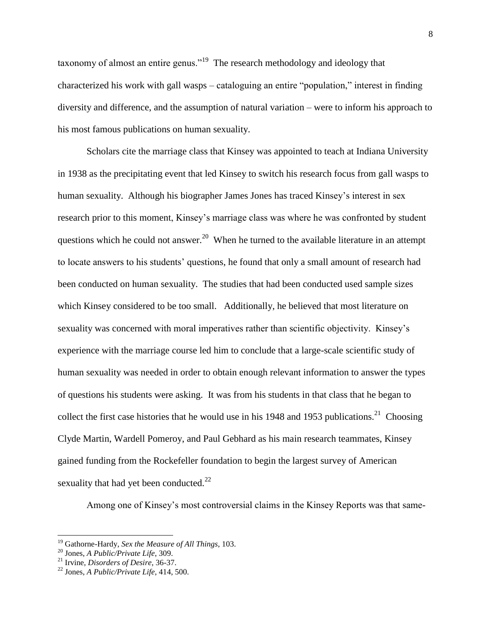taxonomy of almost an entire genus."<sup>19</sup> The research methodology and ideology that characterized his work with gall wasps – cataloguing an entire "population," interest in finding diversity and difference, and the assumption of natural variation – were to inform his approach to his most famous publications on human sexuality.

Scholars cite the marriage class that Kinsey was appointed to teach at Indiana University in 1938 as the precipitating event that led Kinsey to switch his research focus from gall wasps to human sexuality. Although his biographer James Jones has traced Kinsey"s interest in sex research prior to this moment, Kinsey's marriage class was where he was confronted by student questions which he could not answer.<sup>20</sup> When he turned to the available literature in an attempt to locate answers to his students" questions, he found that only a small amount of research had been conducted on human sexuality. The studies that had been conducted used sample sizes which Kinsey considered to be too small. Additionally, he believed that most literature on sexuality was concerned with moral imperatives rather than scientific objectivity. Kinsey's experience with the marriage course led him to conclude that a large-scale scientific study of human sexuality was needed in order to obtain enough relevant information to answer the types of questions his students were asking. It was from his students in that class that he began to collect the first case histories that he would use in his 1948 and 1953 publications.<sup>21</sup> Choosing Clyde Martin, Wardell Pomeroy, and Paul Gebhard as his main research teammates, Kinsey gained funding from the Rockefeller foundation to begin the largest survey of American sexuality that had yet been conducted. $^{22}$ 

Among one of Kinsey"s most controversial claims in the Kinsey Reports was that same-

<sup>19</sup> Gathorne-Hardy, *Sex the Measure of All Things*, 103.

<sup>20</sup> Jones, *A Public/Private Life*, 309.

<sup>21</sup> Irvine, *Disorders of Desire*, 36-37.

<sup>22</sup> Jones, *A Public/Private Life*, 414, 500.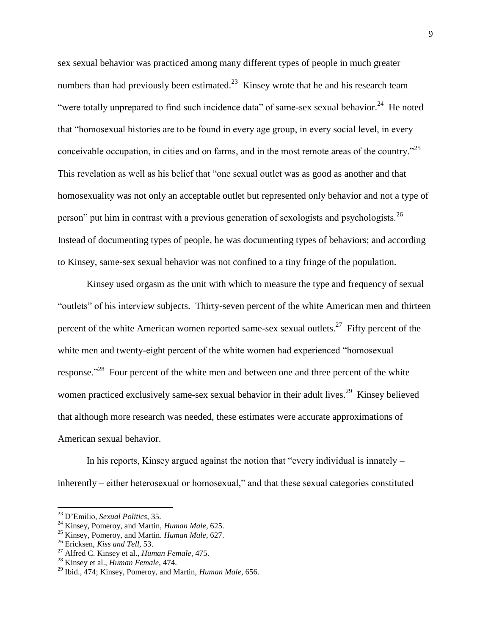sex sexual behavior was practiced among many different types of people in much greater numbers than had previously been estimated.<sup>23</sup> Kinsey wrote that he and his research team "were totally unprepared to find such incidence data" of same-sex sexual behavior.<sup>24</sup> He noted that "homosexual histories are to be found in every age group, in every social level, in every conceivable occupation, in cities and on farms, and in the most remote areas of the country.<sup> $25$ </sup> This revelation as well as his belief that "one sexual outlet was as good as another and that homosexuality was not only an acceptable outlet but represented only behavior and not a type of person" put him in contrast with a previous generation of sexologists and psychologists.<sup>26</sup> Instead of documenting types of people, he was documenting types of behaviors; and according to Kinsey, same-sex sexual behavior was not confined to a tiny fringe of the population.

Kinsey used orgasm as the unit with which to measure the type and frequency of sexual "outlets" of his interview subjects. Thirty-seven percent of the white American men and thirteen percent of the white American women reported same-sex sexual outlets.<sup>27</sup> Fifty percent of the white men and twenty-eight percent of the white women had experienced "homosexual response."<sup>28</sup> Four percent of the white men and between one and three percent of the white women practiced exclusively same-sex sexual behavior in their adult lives.<sup>29</sup> Kinsey believed that although more research was needed, these estimates were accurate approximations of American sexual behavior.

In his reports, Kinsey argued against the notion that "every individual is innately – inherently – either heterosexual or homosexual," and that these sexual categories constituted

<sup>23</sup> D"Emilio, *Sexual Politics*, 35.

<sup>24</sup> Kinsey, Pomeroy, and Martin, *Human Male*, 625.

<sup>25</sup> Kinsey, Pomeroy, and Martin. *Human Male*, 627.

<sup>26</sup> Ericksen, *Kiss and Tell*, 53.

<sup>27</sup> Alfred C. Kinsey et al., *Human Female*, 475.

<sup>28</sup> Kinsey et al., *Human Female*, 474.

<sup>29</sup> Ibid., 474; Kinsey, Pomeroy, and Martin, *Human Male*, 656.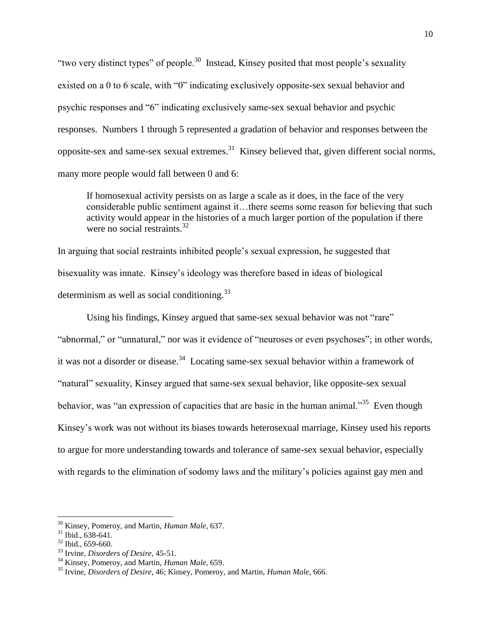"two very distinct types" of people.<sup>30</sup> Instead, Kinsey posited that most people's sexuality existed on a 0 to 6 scale, with "0" indicating exclusively opposite-sex sexual behavior and psychic responses and "6" indicating exclusively same-sex sexual behavior and psychic responses. Numbers 1 through 5 represented a gradation of behavior and responses between the opposite-sex and same-sex sexual extremes.<sup>31</sup> Kinsey believed that, given different social norms, many more people would fall between 0 and 6:

If homosexual activity persists on as large a scale as it does, in the face of the very considerable public sentiment against it…there seems some reason for believing that such activity would appear in the histories of a much larger portion of the population if there were no social restraints.<sup>32</sup>

In arguing that social restraints inhibited people"s sexual expression, he suggested that bisexuality was innate. Kinsey"s ideology was therefore based in ideas of biological determinism as well as social conditioning. $^{33}$ 

Using his findings, Kinsey argued that same-sex sexual behavior was not "rare" "abnormal," or "unnatural," nor was it evidence of "neuroses or even psychoses"; in other words, it was not a disorder or disease.<sup>34</sup> Locating same-sex sexual behavior within a framework of "natural" sexuality, Kinsey argued that same-sex sexual behavior, like opposite-sex sexual behavior, was "an expression of capacities that are basic in the human animal."<sup>35</sup> Even though Kinsey"s work was not without its biases towards heterosexual marriage, Kinsey used his reports to argue for more understanding towards and tolerance of same-sex sexual behavior, especially with regards to the elimination of sodomy laws and the military's policies against gay men and

l

<sup>30</sup> Kinsey, Pomeroy, and Martin, *Human Male*, 637.

 $31$  Ibid., 638-641.

 $32$  Ibid., 659-660.

<sup>33</sup> Irvine, *Disorders of Desire*, 45-51.

<sup>34</sup> Kinsey, Pomeroy, and Martin, *Human Male*, 659.

<sup>35</sup> Irvine, *Disorders of Desire*, 46; Kinsey, Pomeroy, and Martin, *Human Male*, 666.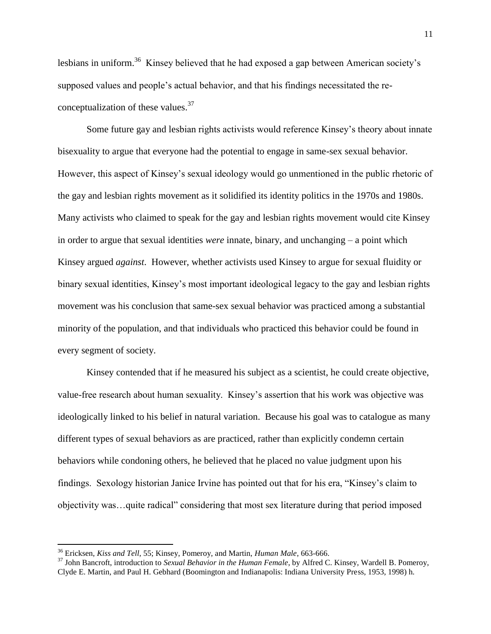lesbians in uniform.<sup>36</sup> Kinsey believed that he had exposed a gap between American society's supposed values and people"s actual behavior, and that his findings necessitated the reconceptualization of these values. $37$ 

Some future gay and lesbian rights activists would reference Kinsey"s theory about innate bisexuality to argue that everyone had the potential to engage in same-sex sexual behavior. However, this aspect of Kinsey"s sexual ideology would go unmentioned in the public rhetoric of the gay and lesbian rights movement as it solidified its identity politics in the 1970s and 1980s. Many activists who claimed to speak for the gay and lesbian rights movement would cite Kinsey in order to argue that sexual identities *were* innate, binary, and unchanging – a point which Kinsey argued *against*. However, whether activists used Kinsey to argue for sexual fluidity or binary sexual identities, Kinsey"s most important ideological legacy to the gay and lesbian rights movement was his conclusion that same-sex sexual behavior was practiced among a substantial minority of the population, and that individuals who practiced this behavior could be found in every segment of society.

Kinsey contended that if he measured his subject as a scientist, he could create objective, value-free research about human sexuality. Kinsey"s assertion that his work was objective was ideologically linked to his belief in natural variation. Because his goal was to catalogue as many different types of sexual behaviors as are practiced, rather than explicitly condemn certain behaviors while condoning others, he believed that he placed no value judgment upon his findings. Sexology historian Janice Irvine has pointed out that for his era, "Kinsey"s claim to objectivity was…quite radical" considering that most sex literature during that period imposed

<sup>36</sup> Ericksen, *Kiss and Tell*, 55; Kinsey, Pomeroy, and Martin, *Human Male*, 663-666.

<sup>37</sup> John Bancroft, introduction to *Sexual Behavior in the Human Female*, by Alfred C. Kinsey, Wardell B. Pomeroy, Clyde E. Martin, and Paul H. Gebhard (Boomington and Indianapolis: Indiana University Press, 1953, 1998) h.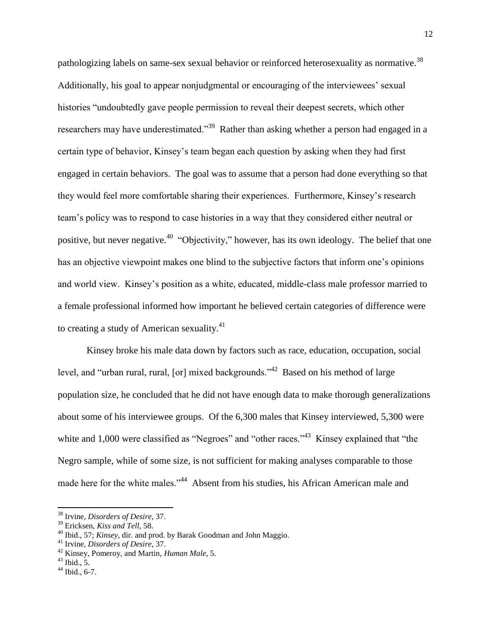pathologizing labels on same-sex sexual behavior or reinforced heterosexuality as normative.<sup>38</sup> Additionally, his goal to appear nonjudgmental or encouraging of the interviewees' sexual histories "undoubtedly gave people permission to reveal their deepest secrets, which other researchers may have underestimated."<sup>39</sup> Rather than asking whether a person had engaged in a certain type of behavior, Kinsey"s team began each question by asking when they had first engaged in certain behaviors. The goal was to assume that a person had done everything so that they would feel more comfortable sharing their experiences. Furthermore, Kinsey"s research team"s policy was to respond to case histories in a way that they considered either neutral or positive, but never negative.<sup>40</sup> "Objectivity," however, has its own ideology. The belief that one has an objective viewpoint makes one blind to the subjective factors that inform one's opinions and world view. Kinsey"s position as a white, educated, middle-class male professor married to a female professional informed how important he believed certain categories of difference were to creating a study of American sexuality.<sup>41</sup>

Kinsey broke his male data down by factors such as race, education, occupation, social level, and "urban rural, rural, [or] mixed backgrounds."<sup>42</sup> Based on his method of large population size, he concluded that he did not have enough data to make thorough generalizations about some of his interviewee groups. Of the 6,300 males that Kinsey interviewed, 5,300 were white and 1,000 were classified as "Negroes" and "other races."<sup>43</sup> Kinsey explained that "the Negro sample, while of some size, is not sufficient for making analyses comparable to those made here for the white males."<sup>44</sup> Absent from his studies, his African American male and

<sup>38</sup> Irvine, *Disorders of Desire*, 37.

<sup>39</sup> Ericksen, *Kiss and Tell*, 58.

<sup>40</sup> Ibid., 57; *Kinsey*, dir. and prod. by Barak Goodman and John Maggio.

<sup>41</sup> Irvine, *Disorders of Desire*, 37.

<sup>42</sup> Kinsey, Pomeroy, and Martin, *Human Male*, 5.

 $43$  Ibid., 5.

 $44$  Ibid., 6-7.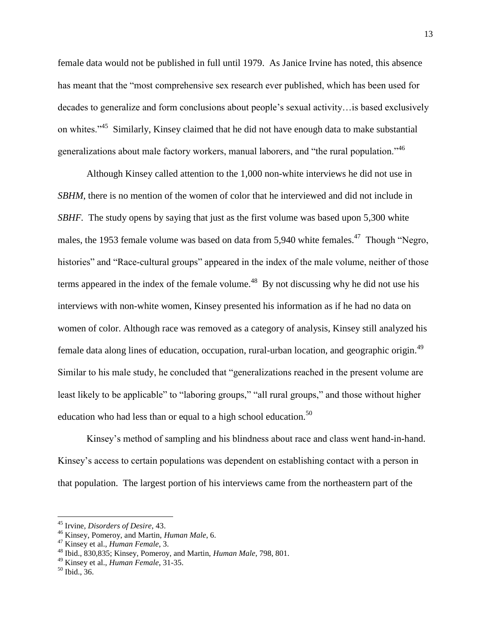female data would not be published in full until 1979. As Janice Irvine has noted, this absence has meant that the "most comprehensive sex research ever published, which has been used for decades to generalize and form conclusions about people"s sexual activity…is based exclusively on whites."<sup>45</sup> Similarly, Kinsey claimed that he did not have enough data to make substantial generalizations about male factory workers, manual laborers, and "the rural population."<sup>46</sup>

Although Kinsey called attention to the 1,000 non-white interviews he did not use in *SBHM*, there is no mention of the women of color that he interviewed and did not include in *SBHF.* The study opens by saying that just as the first volume was based upon 5,300 white males, the 1953 female volume was based on data from 5,940 white females.<sup>47</sup> Though "Negro, histories" and "Race-cultural groups" appeared in the index of the male volume, neither of those terms appeared in the index of the female volume.<sup>48</sup> By not discussing why he did not use his interviews with non-white women, Kinsey presented his information as if he had no data on women of color. Although race was removed as a category of analysis, Kinsey still analyzed his female data along lines of education, occupation, rural-urban location, and geographic origin.<sup>49</sup> Similar to his male study, he concluded that "generalizations reached in the present volume are least likely to be applicable" to "laboring groups," "all rural groups," and those without higher education who had less than or equal to a high school education.<sup>50</sup>

Kinsey"s method of sampling and his blindness about race and class went hand-in-hand. Kinsey"s access to certain populations was dependent on establishing contact with a person in that population. The largest portion of his interviews came from the northeastern part of the

l

<sup>45</sup> Irvine, *Disorders of Desire*, 43.

<sup>46</sup> Kinsey, Pomeroy, and Martin, *Human Male*, 6.

<sup>47</sup> Kinsey et al., *Human Female*, 3.

<sup>48</sup> Ibid., 830,835; Kinsey, Pomeroy, and Martin, *Human Male*, 798, 801.

<sup>49</sup> Kinsey et al., *Human Female*, 31-35.

 $50$  Ibid., 36.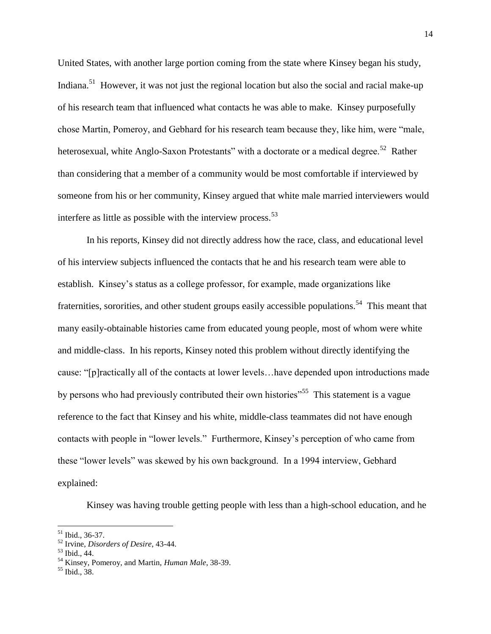United States, with another large portion coming from the state where Kinsey began his study, Indiana.<sup>51</sup> However, it was not just the regional location but also the social and racial make-up of his research team that influenced what contacts he was able to make. Kinsey purposefully chose Martin, Pomeroy, and Gebhard for his research team because they, like him, were "male, heterosexual, white Anglo-Saxon Protestants" with a doctorate or a medical degree.<sup>52</sup> Rather than considering that a member of a community would be most comfortable if interviewed by someone from his or her community, Kinsey argued that white male married interviewers would interfere as little as possible with the interview process.  $53$ 

In his reports, Kinsey did not directly address how the race, class, and educational level of his interview subjects influenced the contacts that he and his research team were able to establish. Kinsey"s status as a college professor, for example, made organizations like fraternities, sororities, and other student groups easily accessible populations.<sup>54</sup> This meant that many easily-obtainable histories came from educated young people, most of whom were white and middle-class. In his reports, Kinsey noted this problem without directly identifying the cause: "[p]ractically all of the contacts at lower levels…have depended upon introductions made by persons who had previously contributed their own histories<sup>"55</sup> This statement is a vague reference to the fact that Kinsey and his white, middle-class teammates did not have enough contacts with people in "lower levels." Furthermore, Kinsey"s perception of who came from these "lower levels" was skewed by his own background. In a 1994 interview, Gebhard explained:

Kinsey was having trouble getting people with less than a high-school education, and he

 $\overline{a}$ 

<sup>51</sup> Ibid., 36-37.

<sup>52</sup> Irvine, *Disorders of Desire*, 43-44.

<sup>53</sup> Ibid., 44.

<sup>54</sup> Kinsey, Pomeroy, and Martin, *Human Male*, 38-39.

 $55$  Ibid., 38.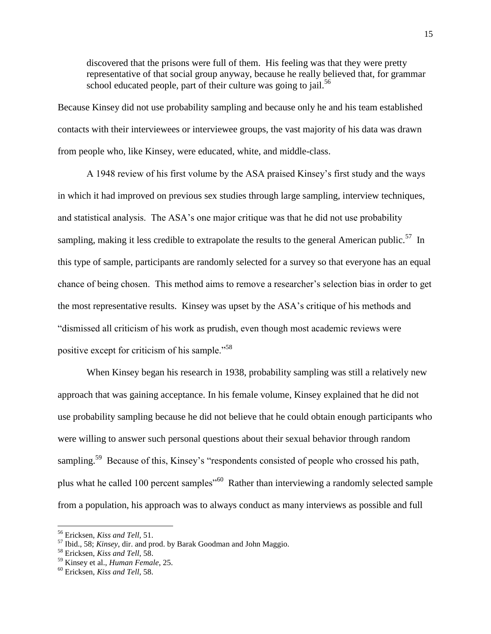discovered that the prisons were full of them. His feeling was that they were pretty representative of that social group anyway, because he really believed that, for grammar school educated people, part of their culture was going to jail.<sup>56</sup>

Because Kinsey did not use probability sampling and because only he and his team established contacts with their interviewees or interviewee groups, the vast majority of his data was drawn from people who, like Kinsey, were educated, white, and middle-class.

A 1948 review of his first volume by the ASA praised Kinsey"s first study and the ways in which it had improved on previous sex studies through large sampling, interview techniques, and statistical analysis. The ASA"s one major critique was that he did not use probability sampling, making it less credible to extrapolate the results to the general American public.<sup>57</sup> In this type of sample, participants are randomly selected for a survey so that everyone has an equal chance of being chosen. This method aims to remove a researcher"s selection bias in order to get the most representative results. Kinsey was upset by the ASA"s critique of his methods and "dismissed all criticism of his work as prudish, even though most academic reviews were positive except for criticism of his sample."<sup>58</sup>

When Kinsey began his research in 1938, probability sampling was still a relatively new approach that was gaining acceptance. In his female volume, Kinsey explained that he did not use probability sampling because he did not believe that he could obtain enough participants who were willing to answer such personal questions about their sexual behavior through random sampling.<sup>59</sup> Because of this, Kinsey's "respondents consisted of people who crossed his path, plus what he called 100 percent samples<sup>"60</sup> Rather than interviewing a randomly selected sample from a population, his approach was to always conduct as many interviews as possible and full

 $\overline{a}$ 

<sup>56</sup> Ericksen, *Kiss and Tell*, 51.

<sup>57</sup> Ibid., 58; *Kinsey*, dir. and prod. by Barak Goodman and John Maggio.

<sup>58</sup> Ericksen, *Kiss and Tell*, 58.

<sup>59</sup> Kinsey et al., *Human Female*, 25.

<sup>60</sup> Ericksen, *Kiss and Tell*, 58.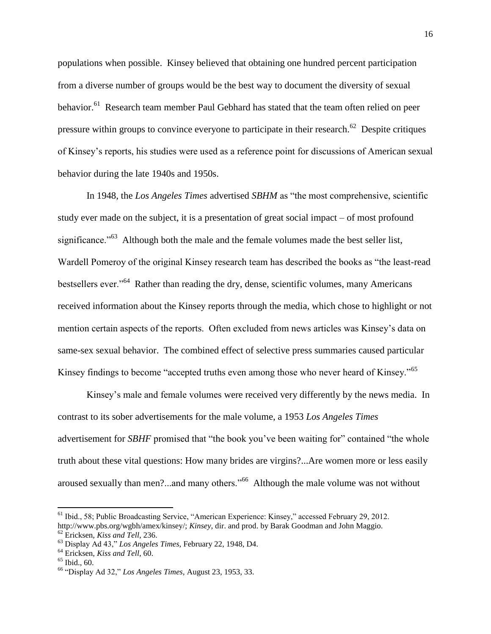populations when possible. Kinsey believed that obtaining one hundred percent participation from a diverse number of groups would be the best way to document the diversity of sexual behavior.<sup>61</sup> Research team member Paul Gebhard has stated that the team often relied on peer pressure within groups to convince everyone to participate in their research.<sup>62</sup> Despite critiques of Kinsey"s reports, his studies were used as a reference point for discussions of American sexual behavior during the late 1940s and 1950s.

In 1948, the *Los Angeles Times* advertised *SBHM* as "the most comprehensive, scientific study ever made on the subject, it is a presentation of great social impact – of most profound significance."<sup>63</sup> Although both the male and the female volumes made the best seller list, Wardell Pomeroy of the original Kinsey research team has described the books as "the least-read bestsellers ever."<sup>64</sup> Rather than reading the dry, dense, scientific volumes, many Americans received information about the Kinsey reports through the media, which chose to highlight or not mention certain aspects of the reports. Often excluded from news articles was Kinsey's data on same-sex sexual behavior. The combined effect of selective press summaries caused particular Kinsey findings to become "accepted truths even among those who never heard of Kinsey."<sup>65</sup>

Kinsey's male and female volumes were received very differently by the news media. In contrast to its sober advertisements for the male volume, a 1953 *Los Angeles Times*  advertisement for *SBHF* promised that "the book you've been waiting for" contained "the whole truth about these vital questions: How many brides are virgins?...Are women more or less easily aroused sexually than men?...and many others."<sup>66</sup> Although the male volume was not without

<sup>61</sup> Ibid., 58; Public Broadcasting Service, "American Experience: Kinsey," accessed February 29, 2012.

http://www.pbs.org/wgbh/amex/kinsey/; *Kinsey*, dir. and prod. by Barak Goodman and John Maggio.

<sup>62</sup> Ericksen, *Kiss and Tell*, 236.

<sup>63</sup> Display Ad 43," *Los Angeles Times,* February 22, 1948, D4.

<sup>64</sup> Ericksen, *Kiss and Tell*, 60.

<sup>65</sup> Ibid., 60.

<sup>66</sup> "Display Ad 32," *Los Angeles Times,* August 23, 1953, 33.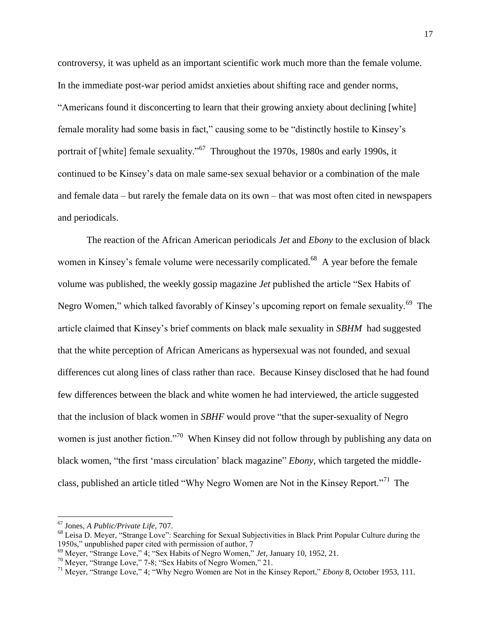controversy, it was upheld as an important scientific work much more than the female volume. In the immediate post-war period amidst anxieties about shifting race and gender norms, "Americans found it disconcerting to learn that their growing anxiety about declining [white] female morality had some basis in fact," causing some to be "distinctly hostile to Kinsey"s portrait of [white] female sexuality."<sup>67</sup> Throughout the 1970s, 1980s and early 1990s, it continued to be Kinsey"s data on male same-sex sexual behavior or a combination of the male and female data – but rarely the female data on its own – that was most often cited in newspapers and periodicals.

The reaction of the African American periodicals *Jet* and *Ebony* to the exclusion of black women in Kinsey's female volume were necessarily complicated.<sup>68</sup> A year before the female volume was published, the weekly gossip magazine *Jet* published the article "Sex Habits of Negro Women," which talked favorably of Kinsey's upcoming report on female sexuality.<sup>69</sup> The article claimed that Kinsey"s brief comments on black male sexuality in *SBHM* had suggested that the white perception of African Americans as hypersexual was not founded, and sexual differences cut along lines of class rather than race. Because Kinsey disclosed that he had found few differences between the black and white women he had interviewed, the article suggested that the inclusion of black women in *SBHF* would prove "that the super-sexuality of Negro women is just another fiction."<sup>70</sup> When Kinsey did not follow through by publishing any data on black women, "the first "mass circulation" black magazine" *Ebony*, which targeted the middleclass, published an article titled "Why Negro Women are Not in the Kinsey Report."<sup>71</sup> The

l

<sup>67</sup> Jones, *A Public/Private Life*, 707.

<sup>68</sup> Leisa D. Meyer, "Strange Love": Searching for Sexual Subjectivities in Black Print Popular Culture during the 1950s," unpublished paper cited with permission of author, 7

<sup>69</sup> Meyer, "Strange Love," 4; "Sex Habits of Negro Women," *Jet*, January 10, 1952, 21.

<sup>&</sup>lt;sup>70</sup> Meyer, "Strange Love," 7-8; "Sex Habits of Negro Women," 21.

<sup>71</sup> Meyer, "Strange Love," 4; "Why Negro Women are Not in the Kinsey Report," *Ebony* 8, October 1953, 111.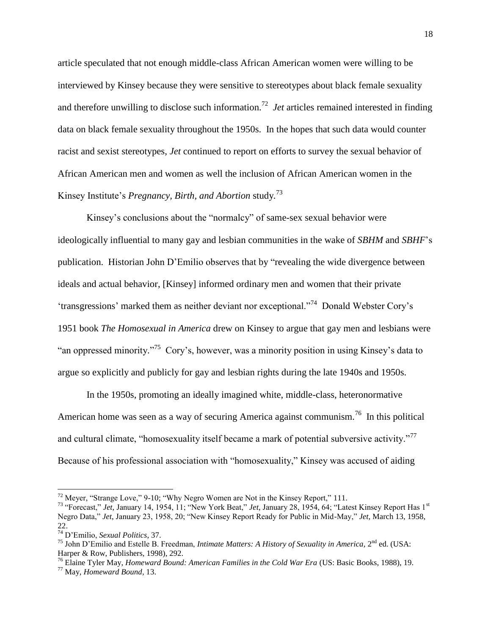article speculated that not enough middle-class African American women were willing to be interviewed by Kinsey because they were sensitive to stereotypes about black female sexuality and therefore unwilling to disclose such information.<sup>72</sup> *Jet* articles remained interested in finding data on black female sexuality throughout the 1950s. In the hopes that such data would counter racist and sexist stereotypes, *Jet* continued to report on efforts to survey the sexual behavior of African American men and women as well the inclusion of African American women in the Kinsey Institute's *Pregnancy, Birth, and Abortion* study.<sup>73</sup>

Kinsey's conclusions about the "normalcy" of same-sex sexual behavior were ideologically influential to many gay and lesbian communities in the wake of *SBHM* and *SBHF*"s publication. Historian John D"Emilio observes that by "revealing the wide divergence between ideals and actual behavior, [Kinsey] informed ordinary men and women that their private 'transgressions' marked them as neither deviant nor exceptional."<sup>74</sup> Donald Webster Cory's 1951 book *The Homosexual in America* drew on Kinsey to argue that gay men and lesbians were "an oppressed minority."<sup>75</sup> Cory's, however, was a minority position in using Kinsey's data to argue so explicitly and publicly for gay and lesbian rights during the late 1940s and 1950s.

In the 1950s, promoting an ideally imagined white, middle-class, heteronormative American home was seen as a way of securing America against communism.<sup>76</sup> In this political and cultural climate, "homosexuality itself became a mark of potential subversive activity."<sup>77</sup> Because of his professional association with "homosexuality," Kinsey was accused of aiding

 $72$  Meyer, "Strange Love," 9-10; "Why Negro Women are Not in the Kinsey Report," 111.

<sup>73</sup> "Forecast," *Jet,* January 14, 1954, 11; "New York Beat," *Jet*, January 28, 1954, 64; "Latest Kinsey Report Has 1st Negro Data," *Jet*, January 23, 1958, 20; "New Kinsey Report Ready for Public in Mid-May," *Jet*, March 13, 1958, 22.

<sup>74</sup> D"Emilio, *Sexual Politics*, 37.

<sup>&</sup>lt;sup>75</sup> John D'Emilio and Estelle B. Freedman, *Intimate Matters: A History of Sexuality in America*, 2<sup>nd</sup> ed. (USA: Harper & Row, Publishers, 1998), 292.

<sup>76</sup> Elaine Tyler May, *Homeward Bound: American Families in the Cold War Era* (US: Basic Books, 1988), 19.

<sup>77</sup> May, *Homeward Bound*, 13.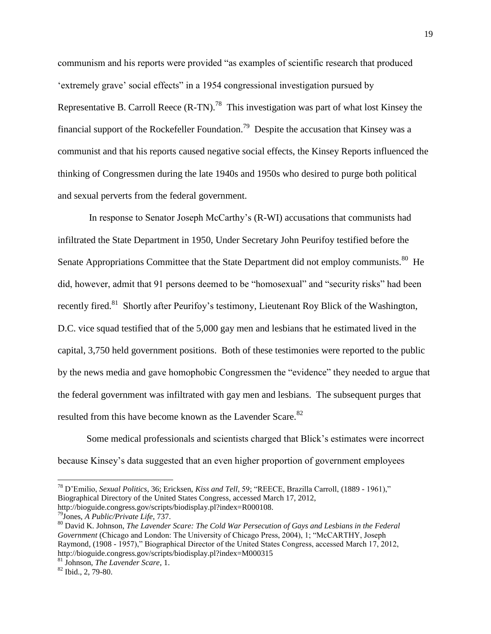communism and his reports were provided "as examples of scientific research that produced "extremely grave" social effects" in a 1954 congressional investigation pursued by Representative B. Carroll Reece  $(R-TN)$ .<sup>78</sup> This investigation was part of what lost Kinsey the financial support of the Rockefeller Foundation.<sup>79</sup> Despite the accusation that Kinsey was a communist and that his reports caused negative social effects, the Kinsey Reports influenced the thinking of Congressmen during the late 1940s and 1950s who desired to purge both political and sexual perverts from the federal government.

In response to Senator Joseph McCarthy"s (R-WI) accusations that communists had infiltrated the State Department in 1950, Under Secretary John Peurifoy testified before the Senate Appropriations Committee that the State Department did not employ communists.<sup>80</sup> He did, however, admit that 91 persons deemed to be "homosexual" and "security risks" had been recently fired.<sup>81</sup> Shortly after Peurifoy's testimony, Lieutenant Roy Blick of the Washington, D.C. vice squad testified that of the 5,000 gay men and lesbians that he estimated lived in the capital, 3,750 held government positions. Both of these testimonies were reported to the public by the news media and gave homophobic Congressmen the "evidence" they needed to argue that the federal government was infiltrated with gay men and lesbians. The subsequent purges that resulted from this have become known as the Lavender Scare.<sup>82</sup>

Some medical professionals and scientists charged that Blick"s estimates were incorrect because Kinsey's data suggested that an even higher proportion of government employees

<sup>78</sup> D"Emilio, *Sexual Politics*, 36; Ericksen, *Kiss and Tell*, 59; "REECE, Brazilla Carroll, (1889 - 1961)," Biographical Directory of the United States Congress, accessed March 17, 2012, http://bioguide.congress.gov/scripts/biodisplay.pl?index=R000108.

<sup>79</sup>Jones, *A Public/Private Life*, 737.

<sup>80</sup> David K. Johnson, *The Lavender Scare: The Cold War Persecution of Gays and Lesbians in the Federal Government* (Chicago and London: The University of Chicago Press, 2004), 1; "McCARTHY, Joseph Raymond, (1908 - 1957)," Biographical Director of the United States Congress, accessed March 17, 2012, http://bioguide.congress.gov/scripts/biodisplay.pl?index=M000315

<sup>81</sup> Johnson, *The Lavender Scare*, 1.

<sup>82</sup> Ibid., 2, 79-80.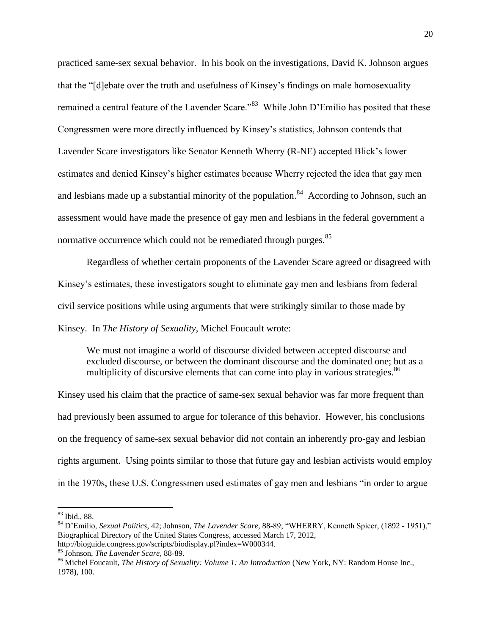practiced same-sex sexual behavior. In his book on the investigations, David K. Johnson argues that the "[d]ebate over the truth and usefulness of Kinsey"s findings on male homosexuality remained a central feature of the Lavender Scare."<sup>83</sup> While John D'Emilio has posited that these Congressmen were more directly influenced by Kinsey"s statistics, Johnson contends that Lavender Scare investigators like Senator Kenneth Wherry (R-NE) accepted Blick"s lower estimates and denied Kinsey"s higher estimates because Wherry rejected the idea that gay men and lesbians made up a substantial minority of the population.<sup>84</sup> According to Johnson, such an assessment would have made the presence of gay men and lesbians in the federal government a normative occurrence which could not be remediated through purges.<sup>85</sup>

Regardless of whether certain proponents of the Lavender Scare agreed or disagreed with Kinsey's estimates, these investigators sought to eliminate gay men and lesbians from federal civil service positions while using arguments that were strikingly similar to those made by Kinsey. In *The History of Sexuality*, Michel Foucault wrote:

We must not imagine a world of discourse divided between accepted discourse and excluded discourse, or between the dominant discourse and the dominated one; but as a multiplicity of discursive elements that can come into play in various strategies.<sup>86</sup>

Kinsey used his claim that the practice of same-sex sexual behavior was far more frequent than had previously been assumed to argue for tolerance of this behavior. However, his conclusions on the frequency of same-sex sexual behavior did not contain an inherently pro-gay and lesbian rights argument. Using points similar to those that future gay and lesbian activists would employ in the 1970s, these U.S. Congressmen used estimates of gay men and lesbians "in order to argue

<sup>83</sup> Ibid., 88.

<sup>84</sup> D"Emilio, *Sexual Politics*, 42; Johnson, *The Lavender Scare*, 88-89; "WHERRY, Kenneth Spicer, (1892 - 1951)," Biographical Directory of the United States Congress, accessed March 17, 2012, http://bioguide.congress.gov/scripts/biodisplay.pl?index=W000344.

<sup>85</sup> Johnson, *The Lavender Scare*, 88-89.

<sup>86</sup> Michel Foucault, *The History of Sexuality: Volume 1: An Introduction* (New York, NY: Random House Inc., 1978), 100.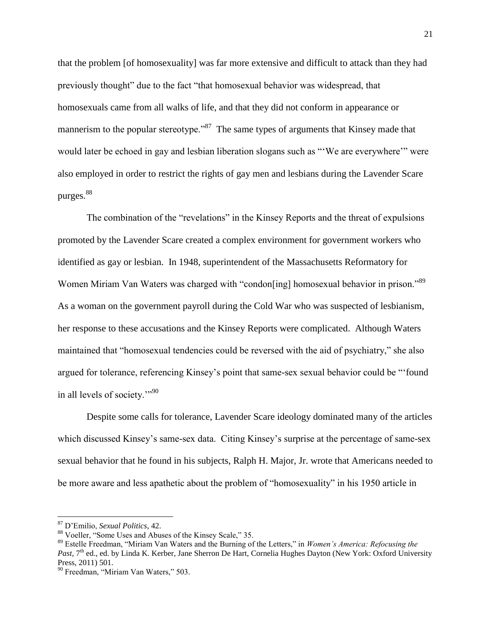that the problem [of homosexuality] was far more extensive and difficult to attack than they had previously thought" due to the fact "that homosexual behavior was widespread, that homosexuals came from all walks of life, and that they did not conform in appearance or mannerism to the popular stereotype."<sup>87</sup> The same types of arguments that Kinsey made that would later be echoed in gay and lesbian liberation slogans such as ""We are everywhere"" were also employed in order to restrict the rights of gay men and lesbians during the Lavender Scare purges.<sup>88</sup>

The combination of the "revelations" in the Kinsey Reports and the threat of expulsions promoted by the Lavender Scare created a complex environment for government workers who identified as gay or lesbian. In 1948, superintendent of the Massachusetts Reformatory for Women Miriam Van Waters was charged with "condon[ing] homosexual behavior in prison."<sup>89</sup> As a woman on the government payroll during the Cold War who was suspected of lesbianism, her response to these accusations and the Kinsey Reports were complicated. Although Waters maintained that "homosexual tendencies could be reversed with the aid of psychiatry," she also argued for tolerance, referencing Kinsey"s point that same-sex sexual behavior could be "'found in all levels of society.""<sup>90</sup>

Despite some calls for tolerance, Lavender Scare ideology dominated many of the articles which discussed Kinsey's same-sex data. Citing Kinsey's surprise at the percentage of same-sex sexual behavior that he found in his subjects, Ralph H. Major, Jr. wrote that Americans needed to be more aware and less apathetic about the problem of "homosexuality" in his 1950 article in

l

<sup>87</sup> D"Emilio, *Sexual Politics*, 42.

<sup>88</sup> Voeller, "Some Uses and Abuses of the Kinsey Scale," 35.

<sup>89</sup> Estelle Freedman, "Miriam Van Waters and the Burning of the Letters," in *Women's America: Refocusing the*  Past, 7<sup>th</sup> ed., ed. by Linda K. Kerber, Jane Sherron De Hart, Cornelia Hughes Dayton (New York: Oxford University Press, 2011) 501.

<sup>&</sup>lt;sup>90</sup> Freedman, "Miriam Van Waters," 503.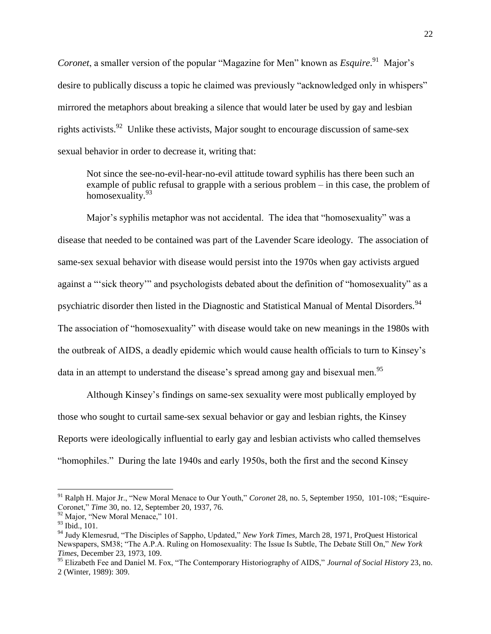*Coronet*, a smaller version of the popular "Magazine for Men" known as *Esquire*.<sup>91</sup> Major's desire to publically discuss a topic he claimed was previously "acknowledged only in whispers" mirrored the metaphors about breaking a silence that would later be used by gay and lesbian rights activists.<sup>92</sup> Unlike these activists, Major sought to encourage discussion of same-sex sexual behavior in order to decrease it, writing that:

Not since the see-no-evil-hear-no-evil attitude toward syphilis has there been such an example of public refusal to grapple with a serious problem – in this case, the problem of homosexuality.<sup>93</sup>

Major"s syphilis metaphor was not accidental. The idea that "homosexuality" was a disease that needed to be contained was part of the Lavender Scare ideology. The association of same-sex sexual behavior with disease would persist into the 1970s when gay activists argued against a "'sick theory"" and psychologists debated about the definition of "homosexuality" as a psychiatric disorder then listed in the Diagnostic and Statistical Manual of Mental Disorders.<sup>94</sup> The association of "homosexuality" with disease would take on new meanings in the 1980s with the outbreak of AIDS, a deadly epidemic which would cause health officials to turn to Kinsey"s data in an attempt to understand the disease's spread among gay and bisexual men.<sup>95</sup>

Although Kinsey"s findings on same-sex sexuality were most publically employed by those who sought to curtail same-sex sexual behavior or gay and lesbian rights, the Kinsey Reports were ideologically influential to early gay and lesbian activists who called themselves "homophiles." During the late 1940s and early 1950s, both the first and the second Kinsey

<sup>91</sup> Ralph H. Major Jr., "New Moral Menace to Our Youth," *Coronet* 28, no. 5, September 1950, 101-108; "Esquire-Coronet," *[Time](javascript:__doLinkPostBack()* 30, no. 12, September 20, 1937, 76.

<sup>&</sup>lt;sup>92</sup> Major, "New Moral Menace," 101.

<sup>93</sup> Ibid., 101.

<sup>94</sup> Judy Klemesrud, "The Disciples of Sappho, Updated," *New York Times,* March 28, 1971, ProQuest Historical Newspapers, SM38; "The A.P.A. Ruling on Homosexuality: The Issue Is Subtle, The Debate Still On," *New York Times*, December 23, 1973, 109.

<sup>95</sup> Elizabeth Fee and Daniel M. Fox, "The Contemporary Historiography of AIDS," *Journal of Social History* 23, no. 2 (Winter, 1989): 309.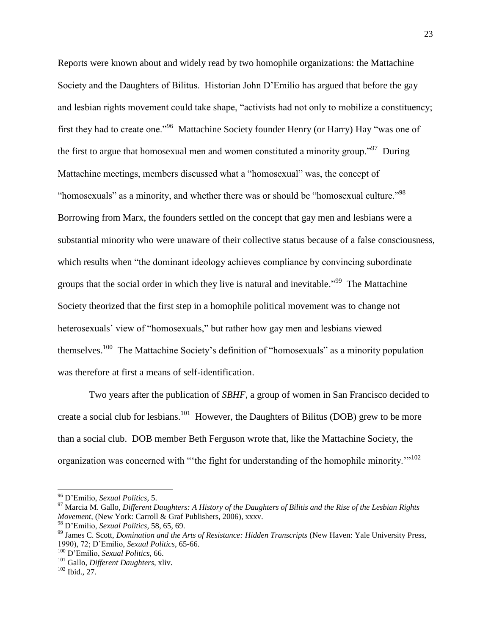Reports were known about and widely read by two homophile organizations: the Mattachine Society and the Daughters of Bilitus. Historian John D"Emilio has argued that before the gay and lesbian rights movement could take shape, "activists had not only to mobilize a constituency; first they had to create one."<sup>96</sup> Mattachine Society founder Henry (or Harry) Hay "was one of the first to argue that homosexual men and women constituted a minority group.<sup>"97</sup> During Mattachine meetings, members discussed what a "homosexual" was, the concept of "homosexuals" as a minority, and whether there was or should be "homosexual culture."<sup>98</sup> Borrowing from Marx, the founders settled on the concept that gay men and lesbians were a substantial minority who were unaware of their collective status because of a false consciousness, which results when "the dominant ideology achieves compliance by convincing subordinate groups that the social order in which they live is natural and inevitable."<sup>99</sup> The Mattachine Society theorized that the first step in a homophile political movement was to change not heterosexuals" view of "homosexuals," but rather how gay men and lesbians viewed themselves.<sup>100</sup> The Mattachine Society's definition of "homosexuals" as a minority population was therefore at first a means of self-identification.

Two years after the publication of *SBHF*, a group of women in San Francisco decided to create a social club for lesbians.<sup>101</sup> However, the Daughters of Bilitus (DOB) grew to be more than a social club. DOB member Beth Ferguson wrote that, like the Mattachine Society, the organization was concerned with "the fight for understanding of the homophile minority."<sup>102</sup>

<sup>96</sup> D"Emilio, *Sexual Politics*, 5.

<sup>97</sup> Marcia M. Gallo, *Different Daughters: A History of the Daughters of Bilitis and the Rise of the Lesbian Rights Movement*, (New York: Carroll & Graf Publishers, 2006), xxxv.

<sup>98</sup> D"Emilio, *Sexual Politics,* 58, 65, 69.

<sup>99</sup> James C. Scott, *Domination and the Arts of Resistance: Hidden Transcripts* (New Haven: Yale University Press, 1990), 72; D"Emilio, *Sexual Politics*, 65-66.

<sup>100</sup> D"Emilio, *Sexual Politics*, 66.

<sup>101</sup> Gallo, *Different Daughters*, xliv.

<sup>102</sup> Ibid., 27.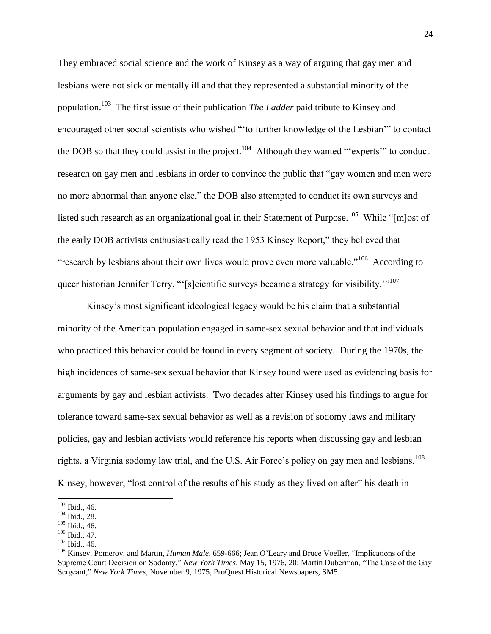They embraced social science and the work of Kinsey as a way of arguing that gay men and lesbians were not sick or mentally ill and that they represented a substantial minority of the population.<sup>103</sup> The first issue of their publication *The Ladder* paid tribute to Kinsey and encouraged other social scientists who wished "'to further knowledge of the Lesbian"" to contact the DOB so that they could assist in the project.<sup>104</sup> Although they wanted "'experts" to conduct research on gay men and lesbians in order to convince the public that "gay women and men were no more abnormal than anyone else," the DOB also attempted to conduct its own surveys and listed such research as an organizational goal in their Statement of Purpose.<sup>105</sup> While "[m]ost of the early DOB activists enthusiastically read the 1953 Kinsey Report," they believed that "research by lesbians about their own lives would prove even more valuable."<sup>106</sup> According to queer historian Jennifer Terry, "'[s]cientific surveys became a strategy for visibility."<sup>107</sup>

Kinsey"s most significant ideological legacy would be his claim that a substantial minority of the American population engaged in same-sex sexual behavior and that individuals who practiced this behavior could be found in every segment of society. During the 1970s, the high incidences of same-sex sexual behavior that Kinsey found were used as evidencing basis for arguments by gay and lesbian activists. Two decades after Kinsey used his findings to argue for tolerance toward same-sex sexual behavior as well as a revision of sodomy laws and military policies, gay and lesbian activists would reference his reports when discussing gay and lesbian rights, a Virginia sodomy law trial, and the U.S. Air Force's policy on gay men and lesbians.<sup>108</sup> Kinsey, however, "lost control of the results of his study as they lived on after" his death in

 $\overline{a}$ 

 $103$  Ibid., 46.

<sup>104</sup> Ibid., 28.

 $105$  Ibid., 46.

 $106$  Ibid., 47.

 $107$  Ibid., 46.

<sup>108</sup> Kinsey, Pomeroy, and Martin, *Human Male*, 659-666; Jean O"Leary and Bruce Voeller, "Implications of the Supreme Court Decision on Sodomy," *New York Times,* May 15, 1976, 20; Martin Duberman, "The Case of the Gay Sergeant," *New York Times*, November 9, 1975, ProQuest Historical Newspapers, SM5.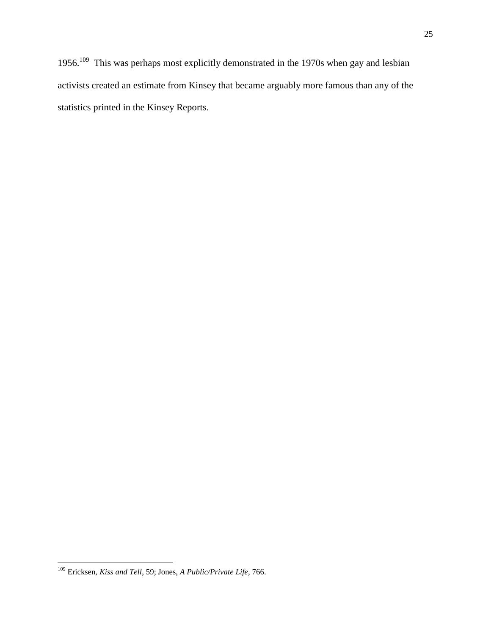1956.<sup>109</sup> This was perhaps most explicitly demonstrated in the 1970s when gay and lesbian activists created an estimate from Kinsey that became arguably more famous than any of the statistics printed in the Kinsey Reports.

 $\overline{\phantom{a}}$ <sup>109</sup> Ericksen, *Kiss and Tell*, 59; Jones, *A Public/Private Life*, 766.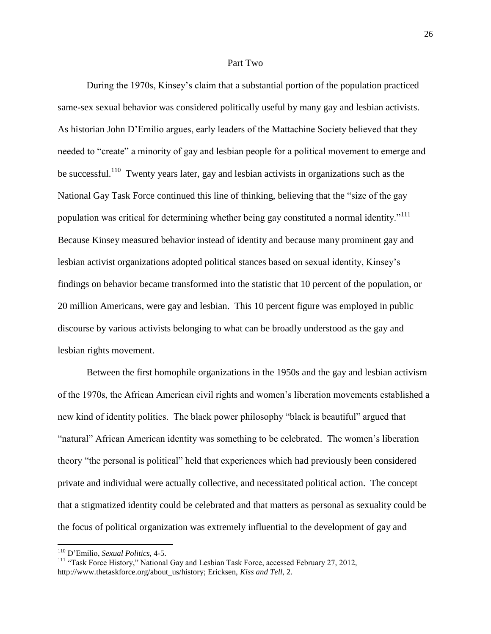### Part Two

During the 1970s, Kinsey"s claim that a substantial portion of the population practiced same-sex sexual behavior was considered politically useful by many gay and lesbian activists. As historian John D"Emilio argues, early leaders of the Mattachine Society believed that they needed to "create" a minority of gay and lesbian people for a political movement to emerge and be successful.<sup>110</sup> Twenty years later, gay and lesbian activists in organizations such as the National Gay Task Force continued this line of thinking, believing that the "size of the gay population was critical for determining whether being gay constituted a normal identity."<sup>111</sup> Because Kinsey measured behavior instead of identity and because many prominent gay and lesbian activist organizations adopted political stances based on sexual identity, Kinsey"s findings on behavior became transformed into the statistic that 10 percent of the population, or 20 million Americans, were gay and lesbian. This 10 percent figure was employed in public discourse by various activists belonging to what can be broadly understood as the gay and lesbian rights movement.

Between the first homophile organizations in the 1950s and the gay and lesbian activism of the 1970s, the African American civil rights and women"s liberation movements established a new kind of identity politics. The black power philosophy "black is beautiful" argued that "natural" African American identity was something to be celebrated. The women"s liberation theory "the personal is political" held that experiences which had previously been considered private and individual were actually collective, and necessitated political action. The concept that a stigmatized identity could be celebrated and that matters as personal as sexuality could be the focus of political organization was extremely influential to the development of gay and

<sup>110</sup> D"Emilio, *Sexual Politics*, 4-5.

<sup>&</sup>lt;sup>111</sup> "Task Force History," National Gay and Lesbian Task Force, accessed February 27, 2012, http://www.thetaskforce.org/about\_us/history; Ericksen, *Kiss and Tell*, 2.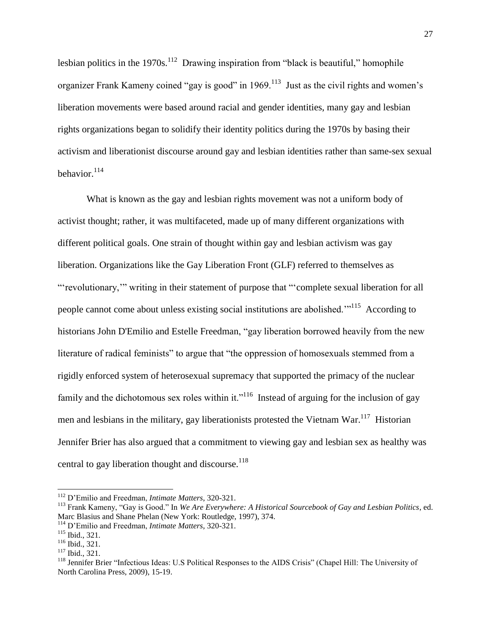lesbian politics in the 1970s.<sup>112</sup> Drawing inspiration from "black is beautiful," homophile organizer Frank Kameny coined "gay is good" in 1969.<sup>113</sup> Just as the civil rights and women's liberation movements were based around racial and gender identities, many gay and lesbian rights organizations began to solidify their identity politics during the 1970s by basing their activism and liberationist discourse around gay and lesbian identities rather than same-sex sexual behavior.<sup>114</sup>

What is known as the gay and lesbian rights movement was not a uniform body of activist thought; rather, it was multifaceted, made up of many different organizations with different political goals. One strain of thought within gay and lesbian activism was gay liberation. Organizations like the Gay Liberation Front (GLF) referred to themselves as ""revolutionary,"" writing in their statement of purpose that ""complete sexual liberation for all people cannot come about unless existing social institutions are abolished."<sup>115</sup> According to historians John D'Emilio and Estelle Freedman, "gay liberation borrowed heavily from the new literature of radical feminists" to argue that "the oppression of homosexuals stemmed from a rigidly enforced system of heterosexual supremacy that supported the primacy of the nuclear family and the dichotomous sex roles within it."<sup>116</sup> Instead of arguing for the inclusion of gay men and lesbians in the military, gay liberationists protested the Vietnam War.<sup>117</sup> Historian Jennifer Brier has also argued that a commitment to viewing gay and lesbian sex as healthy was central to gay liberation thought and discourse. $118$ 

<sup>112</sup> D"Emilio and Freedman, *Intimate Matters*, 320-321.

<sup>113</sup> Frank Kameny, "Gay is Good." In *We Are Everywhere: A Historical Sourcebook of Gay and Lesbian Politics*, ed. Marc Blasius and Shane Phelan (New York: Routledge, 1997), 374.

<sup>114</sup> D"Emilio and Freedman, *Intimate Matters*, 320-321.

<sup>115</sup> Ibid., 321.

<sup>116</sup> Ibid., 321.

<sup>117</sup> Ibid., 321.

<sup>&</sup>lt;sup>118</sup> Jennifer Brier "Infectious Ideas: U.S Political Responses to the AIDS Crisis" (Chapel Hill: The University of North Carolina Press, 2009), 15-19.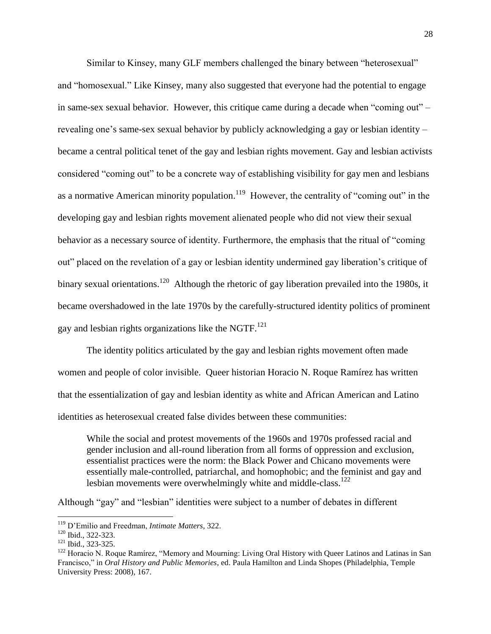Similar to Kinsey, many GLF members challenged the binary between "heterosexual" and "homosexual." Like Kinsey, many also suggested that everyone had the potential to engage in same-sex sexual behavior. However, this critique came during a decade when "coming out" – revealing one's same-sex sexual behavior by publicly acknowledging a gay or lesbian identity – became a central political tenet of the gay and lesbian rights movement. Gay and lesbian activists considered "coming out" to be a concrete way of establishing visibility for gay men and lesbians as a normative American minority population.<sup>119</sup> However, the centrality of "coming out" in the developing gay and lesbian rights movement alienated people who did not view their sexual behavior as a necessary source of identity. Furthermore, the emphasis that the ritual of "coming out" placed on the revelation of a gay or lesbian identity undermined gay liberation"s critique of binary sexual orientations.<sup>120</sup> Although the rhetoric of gay liberation prevailed into the 1980s, it became overshadowed in the late 1970s by the carefully-structured identity politics of prominent gay and lesbian rights organizations like the NGTF.<sup>121</sup>

The identity politics articulated by the gay and lesbian rights movement often made women and people of color invisible. Queer historian Horacio N. Roque Ramírez has written that the essentialization of gay and lesbian identity as white and African American and Latino identities as heterosexual created false divides between these communities:

While the social and protest movements of the 1960s and 1970s professed racial and gender inclusion and all-round liberation from all forms of oppression and exclusion, essentialist practices were the norm: the Black Power and Chicano movements were essentially male-controlled, patriarchal, and homophobic; and the feminist and gay and lesbian movements were overwhelmingly white and middle-class.<sup>122</sup>

Although "gay" and "lesbian" identities were subject to a number of debates in different

l

<sup>119</sup> D"Emilio and Freedman, *Intimate Matters*, 322.

<sup>120</sup> Ibid., 322-323.

<sup>121</sup> Ibid., 323-325.

<sup>&</sup>lt;sup>122</sup> Horacio N. Roque Ramírez, "Memory and Mourning: Living Oral History with Queer Latinos and Latinas in San Francisco," in *Oral History and Public Memories*, ed. Paula Hamilton and Linda Shopes (Philadelphia, Temple University Press: 2008), 167.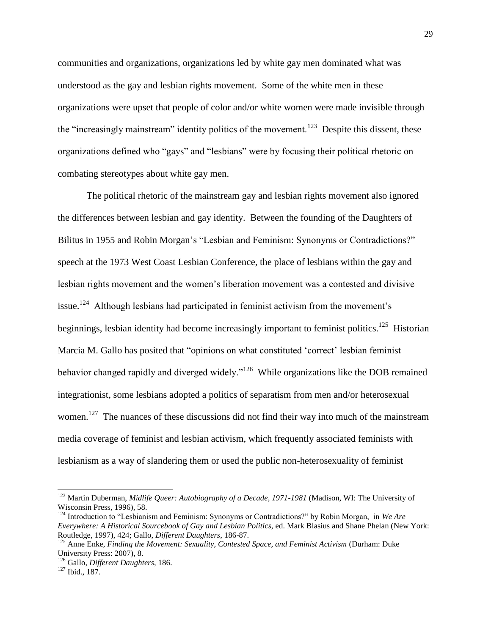communities and organizations, organizations led by white gay men dominated what was understood as the gay and lesbian rights movement. Some of the white men in these organizations were upset that people of color and/or white women were made invisible through the "increasingly mainstream" identity politics of the movement.<sup>123</sup> Despite this dissent, these organizations defined who "gays" and "lesbians" were by focusing their political rhetoric on combating stereotypes about white gay men.

The political rhetoric of the mainstream gay and lesbian rights movement also ignored the differences between lesbian and gay identity. Between the founding of the Daughters of Bilitus in 1955 and Robin Morgan's "Lesbian and Feminism: Synonyms or Contradictions?" speech at the 1973 West Coast Lesbian Conference, the place of lesbians within the gay and lesbian rights movement and the women"s liberation movement was a contested and divisive issue.<sup>124</sup> Although lesbians had participated in feminist activism from the movement's beginnings, lesbian identity had become increasingly important to feminist politics.<sup>125</sup> Historian Marcia M. Gallo has posited that "opinions on what constituted "correct" lesbian feminist behavior changed rapidly and diverged widely."<sup>126</sup> While organizations like the DOB remained integrationist, some lesbians adopted a politics of separatism from men and/or heterosexual women.<sup>127</sup> The nuances of these discussions did not find their way into much of the mainstream media coverage of feminist and lesbian activism, which frequently associated feminists with lesbianism as a way of slandering them or used the public non-heterosexuality of feminist

<sup>&</sup>lt;sup>123</sup> Martin Duberman, *Midlife Queer: Autobiography of a Decade, 1971-1981* (Madison, WI: The University of Wisconsin Press, 1996), 58.

<sup>124</sup> Introduction to "Lesbianism and Feminism: Synonyms or Contradictions?" by Robin Morgan, in *We Are Everywhere: A Historical Sourcebook of Gay and Lesbian Politics*, ed. Mark Blasius and Shane Phelan (New York: Routledge, 1997), 424; Gallo, *Different Daughters*, 186-87.

<sup>125</sup> Anne Enke, *Finding the Movement: Sexuality, Contested Space, and Feminist Activism* (Durham: Duke University Press: 2007), 8.

<sup>126</sup> Gallo, *Different Daughters*, 186.

<sup>127</sup> Ibid., 187.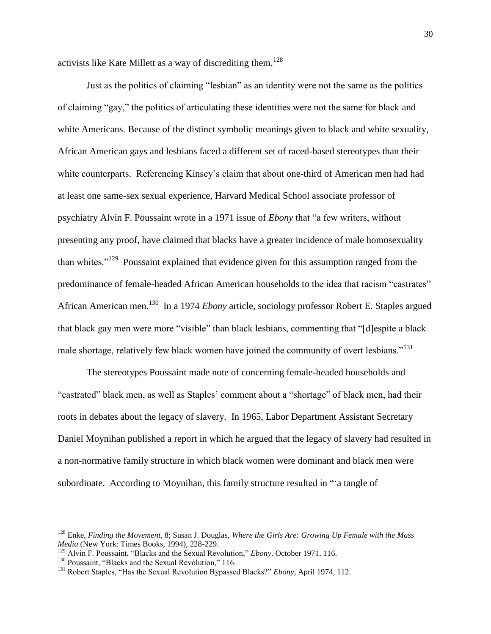activists like Kate Millett as a way of discrediting them.<sup>128</sup>

Just as the politics of claiming "lesbian" as an identity were not the same as the politics of claiming "gay," the politics of articulating these identities were not the same for black and white Americans. Because of the distinct symbolic meanings given to black and white sexuality, African American gays and lesbians faced a different set of raced-based stereotypes than their white counterparts. Referencing Kinsey's claim that about one-third of American men had had at least one same-sex sexual experience, Harvard Medical School associate professor of psychiatry Alvin F. Poussaint wrote in a 1971 issue of *Ebony* that "a few writers, without presenting any proof, have claimed that blacks have a greater incidence of male homosexuality than whites."<sup>129</sup> Poussaint explained that evidence given for this assumption ranged from the predominance of female-headed African American households to the idea that racism "castrates" African American men. <sup>130</sup> In a 1974 *Ebony* article, sociology professor Robert E. Staples argued that black gay men were more "visible" than black lesbians, commenting that "[d]espite a black male shortage, relatively few black women have joined the community of overt lesbians."<sup>131</sup>

The stereotypes Poussaint made note of concerning female-headed households and "castrated" black men, as well as Staples" comment about a "shortage" of black men, had their roots in debates about the legacy of slavery. In 1965, Labor Department Assistant Secretary Daniel Moynihan published a report in which he argued that the legacy of slavery had resulted in a non-normative family structure in which black women were dominant and black men were subordinate. According to Moynihan, this family structure resulted in ""a tangle of

 $\overline{a}$ 

<sup>128</sup> Enke, *Finding the Movement*, 8; Susan J. Douglas, *Where the Girls Are: Growing Up Female with the Mass Media* (New York: Times Books, 1994), 228-229.

<sup>129</sup> Alvin F. Poussaint, "Blacks and the Sexual Revolution," *Ebony*. October 1971, 116.

<sup>&</sup>lt;sup>130</sup> Poussaint, "Blacks and the Sexual Revolution," 116.

<sup>131</sup> Robert Staples, "Has the Sexual Revolution Bypassed Blacks?" *Ebony*, April 1974, 112.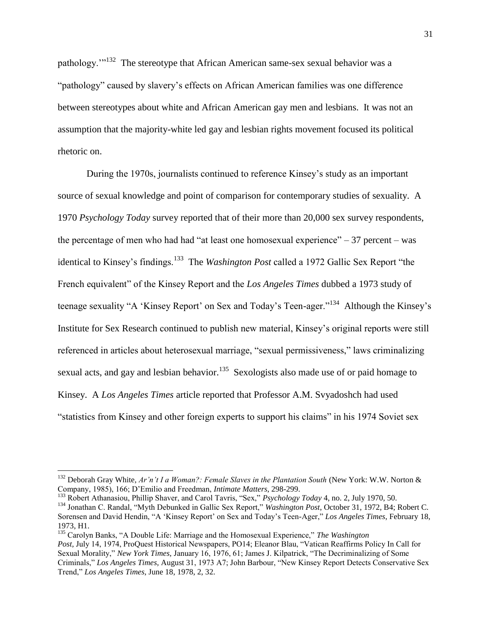pathology."<sup>132</sup> The stereotype that African American same-sex sexual behavior was a "pathology" caused by slavery"s effects on African American families was one difference between stereotypes about white and African American gay men and lesbians. It was not an assumption that the majority-white led gay and lesbian rights movement focused its political rhetoric on.

During the 1970s, journalists continued to reference Kinsey"s study as an important source of sexual knowledge and point of comparison for contemporary studies of sexuality. A 1970 *Psychology Today* survey reported that of their more than 20,000 sex survey respondents, the percentage of men who had had "at least one homosexual experience"  $-37$  percent – was identical to Kinsey's findings.<sup>133</sup> The *Washington Post* called a 1972 Gallic Sex Report "the French equivalent" of the Kinsey Report and the *Los Angeles Times* dubbed a 1973 study of teenage sexuality "A 'Kinsey Report' on Sex and Today's Teen-ager."<sup>134</sup> Although the Kinsey's Institute for Sex Research continued to publish new material, Kinsey"s original reports were still referenced in articles about heterosexual marriage, "sexual permissiveness," laws criminalizing sexual acts, and gay and lesbian behavior.<sup>135</sup> Sexologists also made use of or paid homage to Kinsey. A *Los Angeles Times* article reported that Professor A.M. Svyadoshch had used "statistics from Kinsey and other foreign experts to support his claims" in his 1974 Soviet sex

<sup>&</sup>lt;sup>132</sup> Deborah Gray White, *Ar'n't I a Woman?: Female Slaves in the Plantation South* (New York: W.W. Norton & Company, 1985), 166; D"Emilio and Freedman, *Intimate Matters*, 298-299.

<sup>133</sup> Robert Athanasiou, Phillip Shaver, and Carol Tavris, "Sex," *Psychology Today* 4, no. 2, July 1970, 50.

<sup>134</sup> Jonathan C. Randal, "Myth Debunked in Gallic Sex Report," *Washington Post*, October 31, 1972, B4; Robert C. Sorensen and David Hendin, "A "Kinsey Report" on Sex and Today"s Teen-Ager," *Los Angeles Times*, February 18, 1973, H1.

<sup>135</sup> Carolyn Banks, "A Double Life: Marriage and the Homosexual Experience," *The Washington Post,* July 14, 1974, ProQuest Historical Newspapers, PO14; Eleanor Blau, "Vatican Reaffirms Policy In Call for Sexual Morality," *New York Times,* January 16, 1976, 61; James J. Kilpatrick, "The Decriminalizing of Some Criminals," *Los Angeles Times,* August 31, 1973 A7; John Barbour, "New Kinsey Report Detects Conservative Sex Trend," *Los Angeles Times*, June 18, 1978, 2, 32.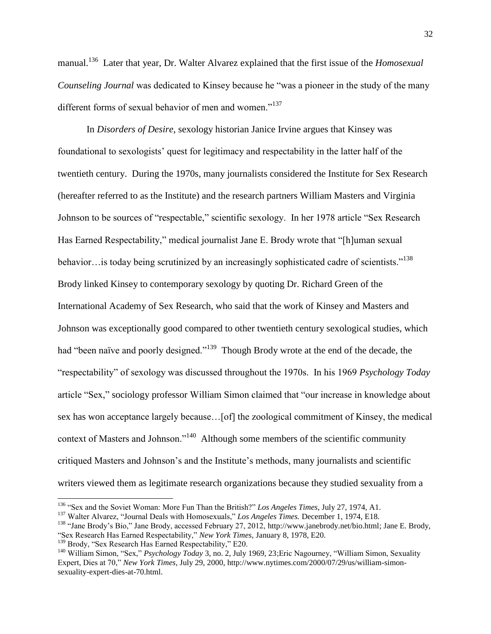manual.<sup>136</sup> Later that year, Dr. Walter Alvarez explained that the first issue of the *Homosexual Counseling Journal* was dedicated to Kinsey because he "was a pioneer in the study of the many different forms of sexual behavior of men and women."<sup>137</sup>

In *Disorders of Desire*, sexology historian Janice Irvine argues that Kinsey was foundational to sexologists" quest for legitimacy and respectability in the latter half of the twentieth century. During the 1970s, many journalists considered the Institute for Sex Research (hereafter referred to as the Institute) and the research partners William Masters and Virginia Johnson to be sources of "respectable," scientific sexology. In her 1978 article "Sex Research Has Earned Respectability," medical journalist Jane E. Brody wrote that "[h]uman sexual behavior... is today being scrutinized by an increasingly sophisticated cadre of scientists."<sup>138</sup> Brody linked Kinsey to contemporary sexology by quoting Dr. Richard Green of the International Academy of Sex Research, who said that the work of Kinsey and Masters and Johnson was exceptionally good compared to other twentieth century sexological studies, which had "been naïve and poorly designed."<sup>139</sup> Though Brody wrote at the end of the decade, the "respectability" of sexology was discussed throughout the 1970s. In his 1969 *Psychology Today*  article "Sex," sociology professor William Simon claimed that "our increase in knowledge about sex has won acceptance largely because…[of] the zoological commitment of Kinsey, the medical context of Masters and Johnson."<sup>140</sup> Although some members of the scientific community critiqued Masters and Johnson"s and the Institute"s methods, many journalists and scientific writers viewed them as legitimate research organizations because they studied sexuality from a

 $\overline{a}$ 

<sup>136</sup> "Sex and the Soviet Woman: More Fun Than the British?" *Los Angeles Times*, July 27, 1974, A1.

<sup>137</sup> Walter Alvarez, "Journal Deals with Homosexuals," *Los Angeles Times.* December 1, 1974, E18.

<sup>&</sup>lt;sup>138</sup> "Jane Brody's Bio," Jane Brody, accessed February 27, 2012, [http://www.janebrody.net/bio.html;](http://www.janebrody.net/bio.html) Jane E. Brody, "Sex Research Has Earned Respectability," *New York Times,* January 8, 1978, E20.

<sup>&</sup>lt;sup>139</sup> Brody, "Sex Research Has Earned Respectability," E20.

<sup>140</sup> William Simon, "Sex," *Psychology Today* 3, no. 2, July 1969, 23;Eric Nagourney, "William Simon, Sexuality Expert, Dies at 70," *New York Times*, July 29, 2000, http://www.nytimes.com/2000/07/29/us/william-simonsexuality-expert-dies-at-70.html.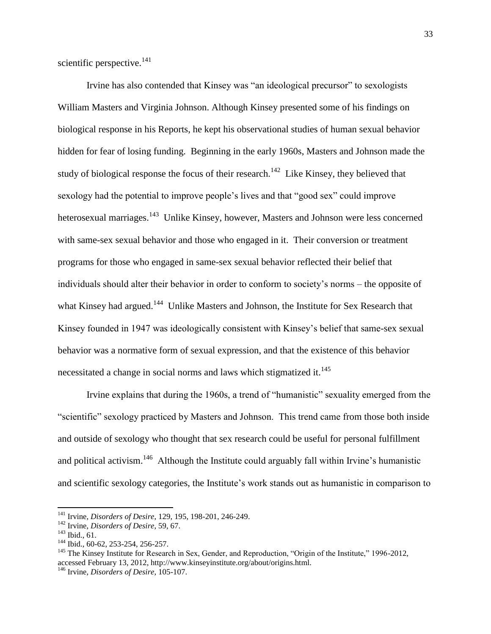scientific perspective. $^{141}$ 

Irvine has also contended that Kinsey was "an ideological precursor" to sexologists William Masters and Virginia Johnson. Although Kinsey presented some of his findings on biological response in his Reports, he kept his observational studies of human sexual behavior hidden for fear of losing funding. Beginning in the early 1960s, Masters and Johnson made the study of biological response the focus of their research.<sup>142</sup> Like Kinsey, they believed that sexology had the potential to improve people"s lives and that "good sex" could improve heterosexual marriages.<sup>143</sup> Unlike Kinsey, however, Masters and Johnson were less concerned with same-sex sexual behavior and those who engaged in it. Their conversion or treatment programs for those who engaged in same-sex sexual behavior reflected their belief that individuals should alter their behavior in order to conform to society"s norms – the opposite of what Kinsey had argued.<sup>144</sup> Unlike Masters and Johnson, the Institute for Sex Research that Kinsey founded in 1947 was ideologically consistent with Kinsey's belief that same-sex sexual behavior was a normative form of sexual expression, and that the existence of this behavior necessitated a change in social norms and laws which stigmatized it.<sup>145</sup>

Irvine explains that during the 1960s, a trend of "humanistic" sexuality emerged from the "scientific" sexology practiced by Masters and Johnson. This trend came from those both inside and outside of sexology who thought that sex research could be useful for personal fulfillment and political activism.<sup>146</sup> Although the Institute could arguably fall within Irvine's humanistic and scientific sexology categories, the Institute's work stands out as humanistic in comparison to

<sup>141</sup> Irvine, *Disorders of Desire*, 129, 195, 198-201, 246-249.

<sup>142</sup> Irvine, *Disorders of Desire*, 59, 67.

 $143$  Ibid., 61.

<sup>144</sup> Ibid., 60-62, 253-254, 256-257.

<sup>&</sup>lt;sup>145</sup> The Kinsey Institute for Research in Sex, Gender, and Reproduction, "Origin of the Institute," 1996-2012, accessed February 13, 2012, http://www.kinseyinstitute.org/about/origins.html.

<sup>146</sup> Irvine, *Disorders of Desire*, 105-107.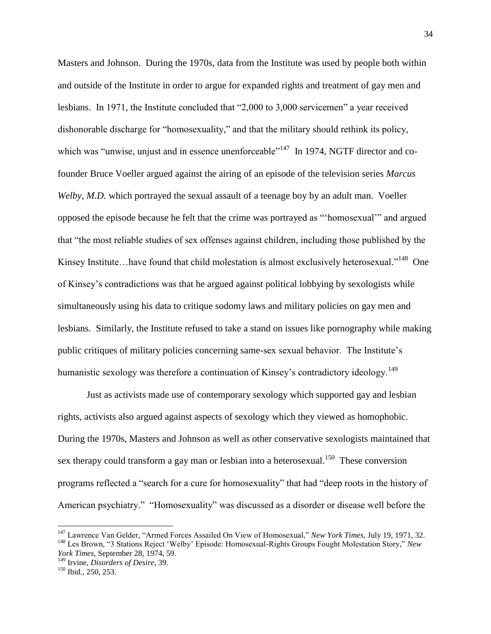Masters and Johnson. During the 1970s, data from the Institute was used by people both within and outside of the Institute in order to argue for expanded rights and treatment of gay men and lesbians. In 1971, the Institute concluded that "2,000 to 3,000 servicemen" a year received dishonorable discharge for "homosexuality," and that the military should rethink its policy, which was "unwise, unjust and in essence unenforceable"<sup>147</sup> In 1974, NGTF director and cofounder Bruce Voeller argued against the airing of an episode of the television series *Marcus Welby, M.D.* which portrayed the sexual assault of a teenage boy by an adult man. Voeller opposed the episode because he felt that the crime was portrayed as ""homosexual"" and argued that "the most reliable studies of sex offenses against children, including those published by the Kinsey Institute...have found that child molestation is almost exclusively heterosexual."<sup>148</sup> One of Kinsey"s contradictions was that he argued against political lobbying by sexologists while simultaneously using his data to critique sodomy laws and military policies on gay men and lesbians. Similarly, the Institute refused to take a stand on issues like pornography while making public critiques of military policies concerning same-sex sexual behavior. The Institute"s humanistic sexology was therefore a continuation of Kinsey's contradictory ideology.<sup>149</sup>

Just as activists made use of contemporary sexology which supported gay and lesbian rights, activists also argued against aspects of sexology which they viewed as homophobic. During the 1970s, Masters and Johnson as well as other conservative sexologists maintained that sex therapy could transform a gay man or lesbian into a heterosexual.<sup>150</sup> These conversion programs reflected a "search for a cure for homosexuality" that had "deep roots in the history of American psychiatry." "Homosexuality" was discussed as a disorder or disease well before the

<sup>147</sup> Lawrence Van Gelder, "Armed Forces Assailed On View of Homosexual," *New York Times,* July 19, 1971, 32. <sup>148</sup> Les Brown, "3 Stations Reject "Welby" Episode: Homosexual-Rights Groups Fought Molestation Story," *New York Times*, September 28, 1974, 59.

<sup>149</sup> Irvine, *Disorders of Desire*, 39.

<sup>150</sup> Ibid., 250, 253.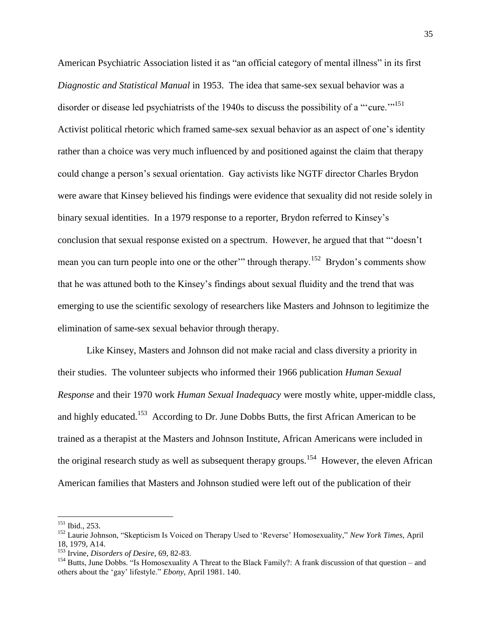American Psychiatric Association listed it as "an official category of mental illness" in its first *Diagnostic and Statistical Manual* in 1953. The idea that same-sex sexual behavior was a disorder or disease led psychiatrists of the 1940s to discuss the possibility of a ""cure."<sup>151</sup> Activist political rhetoric which framed same-sex sexual behavior as an aspect of one"s identity rather than a choice was very much influenced by and positioned against the claim that therapy could change a person"s sexual orientation. Gay activists like NGTF director Charles Brydon were aware that Kinsey believed his findings were evidence that sexuality did not reside solely in binary sexual identities. In a 1979 response to a reporter, Brydon referred to Kinsey"s conclusion that sexual response existed on a spectrum. However, he argued that that ""doesn"t mean you can turn people into one or the other" through therapy.<sup>152</sup> Brydon's comments show that he was attuned both to the Kinsey"s findings about sexual fluidity and the trend that was emerging to use the scientific sexology of researchers like Masters and Johnson to legitimize the elimination of same-sex sexual behavior through therapy.

Like Kinsey, Masters and Johnson did not make racial and class diversity a priority in their studies. The volunteer subjects who informed their 1966 publication *Human Sexual Response* and their 1970 work *Human Sexual Inadequacy* were mostly white, upper-middle class, and highly educated.<sup>153</sup> According to Dr. June Dobbs Butts, the first African American to be trained as a therapist at the Masters and Johnson Institute, African Americans were included in the original research study as well as subsequent therapy groups.<sup>154</sup> However, the eleven African American families that Masters and Johnson studied were left out of the publication of their

l

 $151$  Ibid., 253.

<sup>152</sup> Laurie Johnson, "Skepticism Is Voiced on Therapy Used to "Reverse" Homosexuality," *New York Times,* April 18, 1979, A14.

<sup>153</sup> Irvine, *Disorders of Desire*, 69, 82-83.

<sup>&</sup>lt;sup>154</sup> Butts, June Dobbs. "Is Homosexuality A Threat to the Black Family?: A frank discussion of that question – and others about the "gay" lifestyle." *Ebony*, April 1981. 140.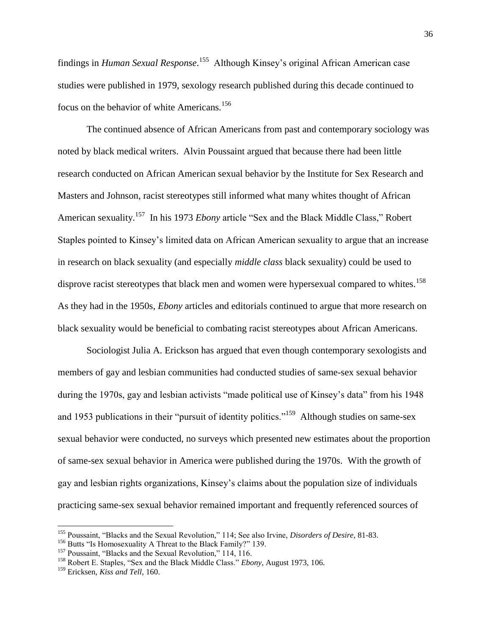findings in *Human Sexual Response*. 155 Although Kinsey"s original African American case studies were published in 1979, sexology research published during this decade continued to focus on the behavior of white Americans.<sup>156</sup>

The continued absence of African Americans from past and contemporary sociology was noted by black medical writers. Alvin Poussaint argued that because there had been little research conducted on African American sexual behavior by the Institute for Sex Research and Masters and Johnson, racist stereotypes still informed what many whites thought of African American sexuality.<sup>157</sup> In his 1973 *Ebony* article "Sex and the Black Middle Class," Robert Staples pointed to Kinsey"s limited data on African American sexuality to argue that an increase in research on black sexuality (and especially *middle class* black sexuality) could be used to disprove racist stereotypes that black men and women were hypersexual compared to whites.<sup>158</sup> As they had in the 1950s, *Ebony* articles and editorials continued to argue that more research on black sexuality would be beneficial to combating racist stereotypes about African Americans.

Sociologist Julia A. Erickson has argued that even though contemporary sexologists and members of gay and lesbian communities had conducted studies of same-sex sexual behavior during the 1970s, gay and lesbian activists "made political use of Kinsey"s data" from his 1948 and 1953 publications in their "pursuit of identity politics."<sup>159</sup> Although studies on same-sex sexual behavior were conducted, no surveys which presented new estimates about the proportion of same-sex sexual behavior in America were published during the 1970s. With the growth of gay and lesbian rights organizations, Kinsey"s claims about the population size of individuals practicing same-sex sexual behavior remained important and frequently referenced sources of

<sup>155</sup> Poussaint, "Blacks and the Sexual Revolution," 114; See also Irvine, *Disorders of Desire*, 81-83.

<sup>&</sup>lt;sup>156</sup> Butts "Is Homosexuality A Threat to the Black Family?" 139.

<sup>&</sup>lt;sup>157</sup> Poussaint, "Blacks and the Sexual Revolution," 114, 116.

<sup>158</sup> Robert E. Staples, "Sex and the Black Middle Class." *Ebony*, August 1973, 106.

<sup>159</sup> Ericksen, *Kiss and Tell*, 160.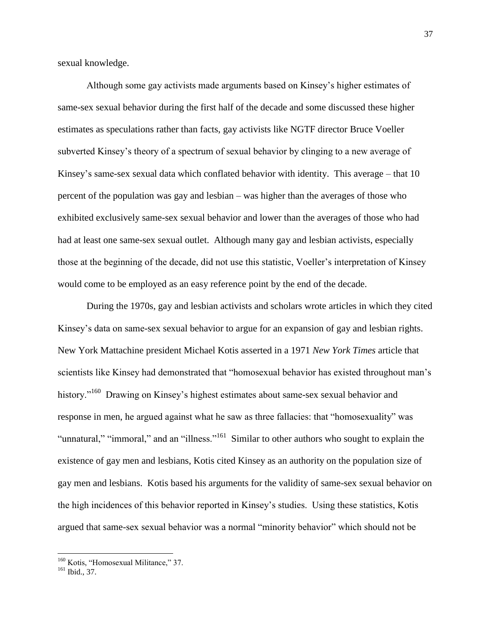sexual knowledge.

Although some gay activists made arguments based on Kinsey"s higher estimates of same-sex sexual behavior during the first half of the decade and some discussed these higher estimates as speculations rather than facts, gay activists like NGTF director Bruce Voeller subverted Kinsey"s theory of a spectrum of sexual behavior by clinging to a new average of Kinsey's same-sex sexual data which conflated behavior with identity. This average – that 10 percent of the population was gay and lesbian – was higher than the averages of those who exhibited exclusively same-sex sexual behavior and lower than the averages of those who had had at least one same-sex sexual outlet. Although many gay and lesbian activists, especially those at the beginning of the decade, did not use this statistic, Voeller"s interpretation of Kinsey would come to be employed as an easy reference point by the end of the decade.

During the 1970s, gay and lesbian activists and scholars wrote articles in which they cited Kinsey's data on same-sex sexual behavior to argue for an expansion of gay and lesbian rights. New York Mattachine president Michael Kotis asserted in a 1971 *New York Times* article that scientists like Kinsey had demonstrated that "homosexual behavior has existed throughout man"s history."<sup>160</sup> Drawing on Kinsey's highest estimates about same-sex sexual behavior and response in men, he argued against what he saw as three fallacies: that "homosexuality" was "unnatural," "immoral," and an "illness."<sup>161</sup> Similar to other authors who sought to explain the existence of gay men and lesbians, Kotis cited Kinsey as an authority on the population size of gay men and lesbians. Kotis based his arguments for the validity of same-sex sexual behavior on the high incidences of this behavior reported in Kinsey"s studies. Using these statistics, Kotis argued that same-sex sexual behavior was a normal "minority behavior" which should not be

<sup>&</sup>lt;sup>160</sup> Kotis, "Homosexual Militance," 37.

<sup>161</sup> Ibid., 37.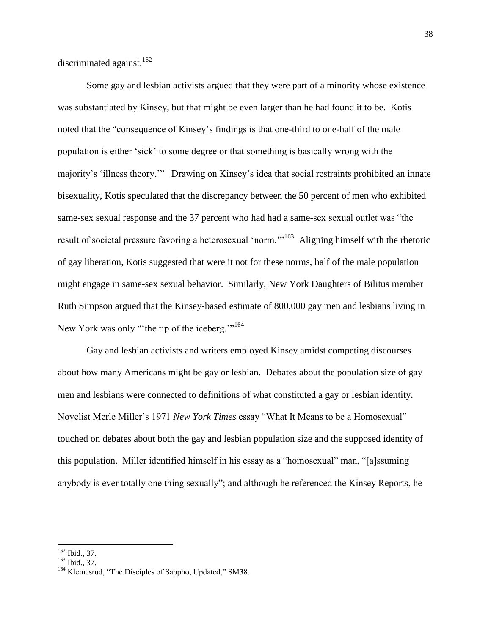discriminated against.<sup>162</sup>

Some gay and lesbian activists argued that they were part of a minority whose existence was substantiated by Kinsey, but that might be even larger than he had found it to be. Kotis noted that the "consequence of Kinsey"s findings is that one-third to one-half of the male population is either "sick" to some degree or that something is basically wrong with the majority's 'illness theory."" Drawing on Kinsey's idea that social restraints prohibited an innate bisexuality, Kotis speculated that the discrepancy between the 50 percent of men who exhibited same-sex sexual response and the 37 percent who had had a same-sex sexual outlet was "the result of societal pressure favoring a heterosexual 'norm."<sup>163</sup> Aligning himself with the rhetoric of gay liberation, Kotis suggested that were it not for these norms, half of the male population might engage in same-sex sexual behavior. Similarly, New York Daughters of Bilitus member Ruth Simpson argued that the Kinsey-based estimate of 800,000 gay men and lesbians living in New York was only ""the tip of the iceberg."<sup>164</sup>

Gay and lesbian activists and writers employed Kinsey amidst competing discourses about how many Americans might be gay or lesbian. Debates about the population size of gay men and lesbians were connected to definitions of what constituted a gay or lesbian identity. Novelist Merle Miller"s 1971 *New York Times* essay "What It Means to be a Homosexual" touched on debates about both the gay and lesbian population size and the supposed identity of this population. Miller identified himself in his essay as a "homosexual" man, "[a]ssuming anybody is ever totally one thing sexually"; and although he referenced the Kinsey Reports, he

 $\overline{\phantom{a}}$  $162$  Ibid., 37.

 $163$  Ibid., 37.

<sup>&</sup>lt;sup>164</sup> Klemesrud, "The Disciples of Sappho, Updated," SM38.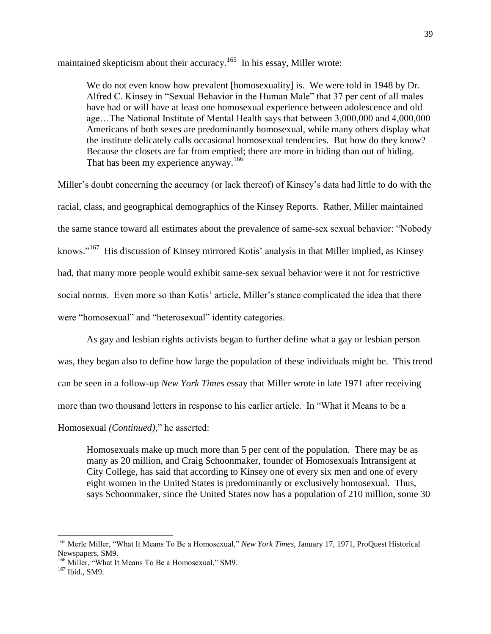maintained skepticism about their accuracy.<sup>165</sup> In his essay, Miller wrote:

We do not even know how prevalent [homosexuality] is. We were told in 1948 by Dr. Alfred C. Kinsey in "Sexual Behavior in the Human Male" that 37 per cent of all males have had or will have at least one homosexual experience between adolescence and old age…The National Institute of Mental Health says that between 3,000,000 and 4,000,000 Americans of both sexes are predominantly homosexual, while many others display what the institute delicately calls occasional homosexual tendencies. But how do they know? Because the closets are far from emptied; there are more in hiding than out of hiding. That has been my experience anyway.<sup>166</sup>

Miller"s doubt concerning the accuracy (or lack thereof) of Kinsey"s data had little to do with the racial, class, and geographical demographics of the Kinsey Reports. Rather, Miller maintained the same stance toward all estimates about the prevalence of same-sex sexual behavior: "Nobody knows."<sup>167</sup> His discussion of Kinsey mirrored Kotis' analysis in that Miller implied, as Kinsey had, that many more people would exhibit same-sex sexual behavior were it not for restrictive social norms. Even more so than Kotis' article, Miller's stance complicated the idea that there were "homosexual" and "heterosexual" identity categories.

As gay and lesbian rights activists began to further define what a gay or lesbian person was, they began also to define how large the population of these individuals might be. This trend can be seen in a follow-up *New York Times* essay that Miller wrote in late 1971 after receiving more than two thousand letters in response to his earlier article. In "What it Means to be a

Homosexual *(Continued)*," he asserted:

Homosexuals make up much more than 5 per cent of the population. There may be as many as 20 million, and Craig Schoonmaker, founder of Homosexuals Intransigent at City College, has said that according to Kinsey one of every six men and one of every eight women in the United States is predominantly or exclusively homosexual. Thus, says Schoonmaker, since the United States now has a population of 210 million, some 30

<sup>165</sup> Merle Miller, "What It Means To Be a Homosexual," *New York Times*, January 17, 1971, ProQuest Historical Newspapers, SM9.

<sup>&</sup>lt;sup>166</sup> Miller, "What It Means To Be a Homosexual," SM9.

<sup>167</sup> Ibid., SM9.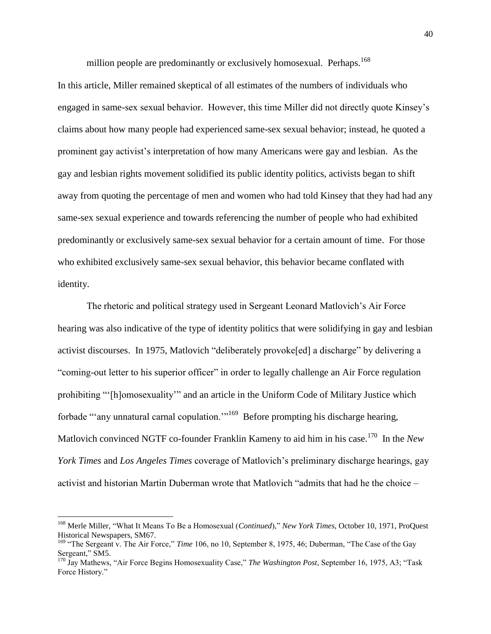million people are predominantly or exclusively homosexual. Perhaps.<sup>168</sup>

In this article, Miller remained skeptical of all estimates of the numbers of individuals who engaged in same-sex sexual behavior. However, this time Miller did not directly quote Kinsey"s claims about how many people had experienced same-sex sexual behavior; instead, he quoted a prominent gay activist"s interpretation of how many Americans were gay and lesbian. As the gay and lesbian rights movement solidified its public identity politics, activists began to shift away from quoting the percentage of men and women who had told Kinsey that they had had any same-sex sexual experience and towards referencing the number of people who had exhibited predominantly or exclusively same-sex sexual behavior for a certain amount of time. For those who exhibited exclusively same-sex sexual behavior, this behavior became conflated with identity.

The rhetoric and political strategy used in Sergeant Leonard Matlovich"s Air Force hearing was also indicative of the type of identity politics that were solidifying in gay and lesbian activist discourses. In 1975, Matlovich "deliberately provoke[ed] a discharge" by delivering a "coming-out letter to his superior officer" in order to legally challenge an Air Force regulation prohibiting ""[h]omosexuality"" and an article in the Uniform Code of Military Justice which forbade "any unnatural carnal copulation."<sup>169</sup> Before prompting his discharge hearing, Matlovich convinced NGTF co-founder Franklin Kameny to aid him in his case.<sup>170</sup> In the *New York Times* and *Los Angeles Times* coverage of Matlovich"s preliminary discharge hearings, gay activist and historian Martin Duberman wrote that Matlovich "admits that had he the choice –

l

<sup>168</sup> Merle Miller, "What It Means To Be a Homosexual (*Continued*)," *New York Times*, October 10, 1971, ProQuest Historical Newspapers, SM67.

<sup>&</sup>lt;sup>169</sup> "The Sergeant v. The Air Force," *Time* 106, no 10, September 8, 1975, 46; Duberman, "The Case of the Gay Sergeant," SM5.

<sup>170</sup> Jay Mathews, "Air Force Begins Homosexuality Case," *The Washington Post*, September 16, 1975, A3; "Task Force History."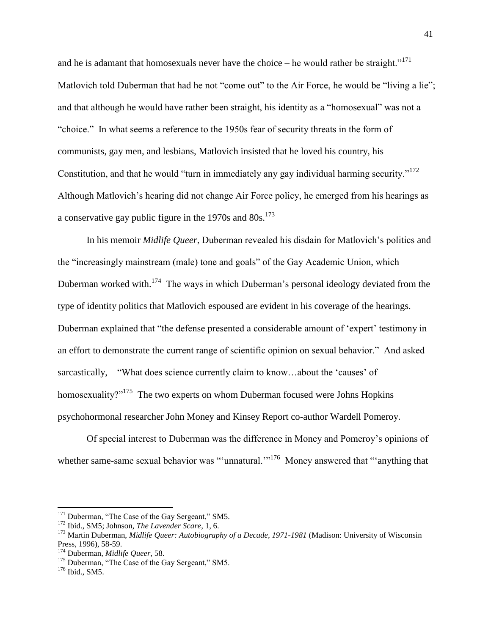and he is adamant that homosexuals never have the choice – he would rather be straight."<sup>171</sup> Matlovich told Duberman that had he not "come out" to the Air Force, he would be "living a lie"; and that although he would have rather been straight, his identity as a "homosexual" was not a "choice." In what seems a reference to the 1950s fear of security threats in the form of communists, gay men, and lesbians, Matlovich insisted that he loved his country, his Constitution, and that he would "turn in immediately any gay individual harming security."<sup>172</sup> Although Matlovich"s hearing did not change Air Force policy, he emerged from his hearings as a conservative gay public figure in the 1970s and  $80s$ <sup>173</sup>

In his memoir *Midlife Queer*, Duberman revealed his disdain for Matlovich"s politics and the "increasingly mainstream (male) tone and goals" of the Gay Academic Union, which Duberman worked with.<sup>174</sup> The ways in which Duberman's personal ideology deviated from the type of identity politics that Matlovich espoused are evident in his coverage of the hearings. Duberman explained that "the defense presented a considerable amount of 'expert' testimony in an effort to demonstrate the current range of scientific opinion on sexual behavior." And asked sarcastically, – "What does science currently claim to know...about the 'causes' of homosexuality?"<sup>175</sup> The two experts on whom Duberman focused were Johns Hopkins psychohormonal researcher John Money and Kinsey Report co-author Wardell Pomeroy.

Of special interest to Duberman was the difference in Money and Pomeroy"s opinions of whether same-same sexual behavior was ""unnatural."<sup>176</sup> Money answered that ""anything that

 $171$  Duberman, "The Case of the Gay Sergeant," SM5.

<sup>172</sup> Ibid., SM5; Johnson, *The Lavender Scare*, 1, 6.

<sup>173</sup> Martin Duberman, *Midlife Queer: Autobiography of a Decade, 1971-1981* (Madison: University of Wisconsin Press, 1996), 58-59.

<sup>174</sup> Duberman, *Midlife Queer*, 58.

<sup>&</sup>lt;sup>175</sup> Duberman, "The Case of the Gay Sergeant," SM5.

<sup>176</sup> Ibid., SM5.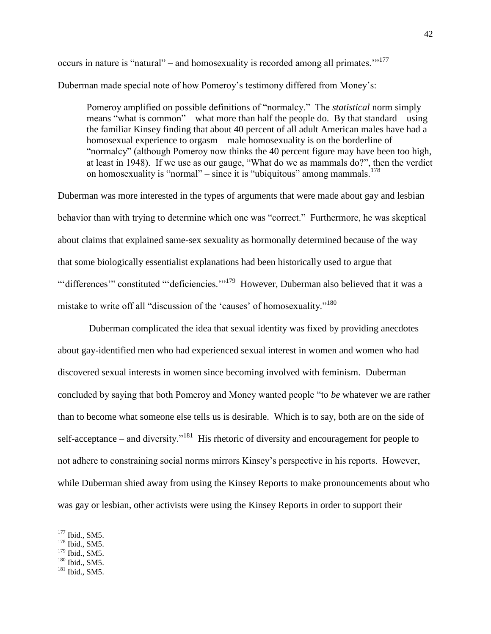occurs in nature is "natural" – and homosexuality is recorded among all primates. $1177$ 

Duberman made special note of how Pomeroy"s testimony differed from Money"s:

Pomeroy amplified on possible definitions of "normalcy." The *statistical* norm simply means "what is common" – what more than half the people do. By that standard – using the familiar Kinsey finding that about 40 percent of all adult American males have had a homosexual experience to orgasm – male homosexuality is on the borderline of "normalcy" (although Pomeroy now thinks the 40 percent figure may have been too high, at least in 1948). If we use as our gauge, "What do we as mammals do?", then the verdict on homosexuality is "normal" – since it is "ubiquitous" among mammals.<sup>178</sup>

Duberman was more interested in the types of arguments that were made about gay and lesbian behavior than with trying to determine which one was "correct." Furthermore, he was skeptical about claims that explained same-sex sexuality as hormonally determined because of the way that some biologically essentialist explanations had been historically used to argue that "differences" constituted ""deficiencies."<sup>179</sup> However, Duberman also believed that it was a mistake to write off all "discussion of the 'causes' of homosexuality."<sup>180</sup>

Duberman complicated the idea that sexual identity was fixed by providing anecdotes about gay-identified men who had experienced sexual interest in women and women who had discovered sexual interests in women since becoming involved with feminism. Duberman concluded by saying that both Pomeroy and Money wanted people "to *be* whatever we are rather than to become what someone else tells us is desirable. Which is to say, both are on the side of self-acceptance – and diversity."<sup>181</sup> His rhetoric of diversity and encouragement for people to not adhere to constraining social norms mirrors Kinsey"s perspective in his reports. However, while Duberman shied away from using the Kinsey Reports to make pronouncements about who was gay or lesbian, other activists were using the Kinsey Reports in order to support their

<sup>&</sup>lt;sup>177</sup> Ibid., SM5.

<sup>178</sup> Ibid., SM5.

 $179$  Ibid., SM5.

<sup>&</sup>lt;sup>180</sup> Ibid., SM5.

<sup>&</sup>lt;sup>181</sup> Ibid., SM5.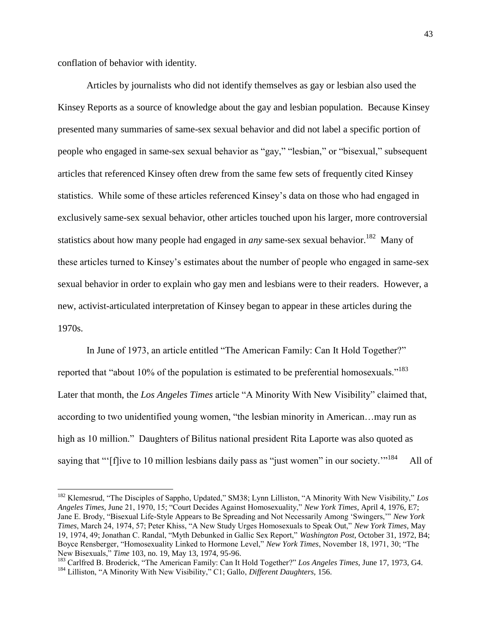conflation of behavior with identity.

 $\overline{\phantom{a}}$ 

Articles by journalists who did not identify themselves as gay or lesbian also used the Kinsey Reports as a source of knowledge about the gay and lesbian population. Because Kinsey presented many summaries of same-sex sexual behavior and did not label a specific portion of people who engaged in same-sex sexual behavior as "gay," "lesbian," or "bisexual," subsequent articles that referenced Kinsey often drew from the same few sets of frequently cited Kinsey statistics. While some of these articles referenced Kinsey"s data on those who had engaged in exclusively same-sex sexual behavior, other articles touched upon his larger, more controversial statistics about how many people had engaged in *any* same-sex sexual behavior.<sup>182</sup> Many of these articles turned to Kinsey"s estimates about the number of people who engaged in same-sex sexual behavior in order to explain who gay men and lesbians were to their readers. However, a new, activist-articulated interpretation of Kinsey began to appear in these articles during the 1970s.

In June of 1973, an article entitled "The American Family: Can It Hold Together?" reported that "about 10% of the population is estimated to be preferential homosexuals."<sup>183</sup> Later that month, the *Los Angeles Times* article "A Minority With New Visibility" claimed that, according to two unidentified young women, "the lesbian minority in American…may run as high as 10 million." Daughters of Bilitus national president Rita Laporte was also quoted as saying that ""[f]ive to 10 million lesbians daily pass as "just women" in our society."<sup>184</sup> All of

<sup>182</sup> Klemesrud, "The Disciples of Sappho, Updated," SM38; Lynn Lilliston, "A Minority With New Visibility," *Los Angeles Times*, June 21, 1970, 15; "Court Decides Against Homosexuality," *New York Times*, April 4, 1976, E7; Jane E. Brody, "Bisexual Life-Style Appears to Be Spreading and Not Necessarily Among "Swingers,"" *New York Times*, March 24, 1974, 57; Peter Khiss, "A New Study Urges Homosexuals to Speak Out," *New York Times*, May 19, 1974, 49; Jonathan C. Randal, "Myth Debunked in Gallic Sex Report," *Washington Post*, October 31, 1972, B4; Boyce Rensberger, "Homosexuality Linked to Hormone Level," *New York Times*, November 18, 1971, 30; "The New Bisexuals," *Time* 103, no. 19, May 13, 1974, 95-96.

<sup>183</sup> Carlfred B. Broderick, "The American Family: Can It Hold Together?" *Los Angeles Times,* June 17, 1973, G4. <sup>184</sup> Lilliston, "A Minority With New Visibility," C1; Gallo, *Different Daughters*, 156.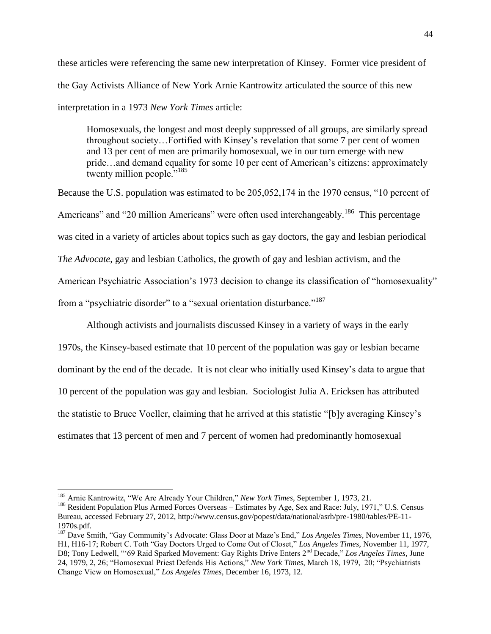these articles were referencing the same new interpretation of Kinsey. Former vice president of the Gay Activists Alliance of New York Arnie Kantrowitz articulated the source of this new interpretation in a 1973 *New York Times* article:

Homosexuals, the longest and most deeply suppressed of all groups, are similarly spread throughout society…Fortified with Kinsey"s revelation that some 7 per cent of women and 13 per cent of men are primarily homosexual, we in our turn emerge with new pride…and demand equality for some 10 per cent of American"s citizens: approximately twenty million people."<sup>185</sup>

Because the U.S. population was estimated to be 205,052,174 in the 1970 census, "10 percent of Americans" and "20 million Americans" were often used interchangeably.<sup>186</sup> This percentage was cited in a variety of articles about topics such as gay doctors, the gay and lesbian periodical *The Advocate*, gay and lesbian Catholics, the growth of gay and lesbian activism, and the American Psychiatric Association"s 1973 decision to change its classification of "homosexuality" from a "psychiatric disorder" to a "sexual orientation disturbance."<sup>187</sup>

Although activists and journalists discussed Kinsey in a variety of ways in the early 1970s, the Kinsey-based estimate that 10 percent of the population was gay or lesbian became dominant by the end of the decade. It is not clear who initially used Kinsey"s data to argue that 10 percent of the population was gay and lesbian. Sociologist Julia A. Ericksen has attributed the statistic to Bruce Voeller, claiming that he arrived at this statistic "[b]y averaging Kinsey"s estimates that 13 percent of men and 7 percent of women had predominantly homosexual

<sup>185</sup> Arnie Kantrowitz, "We Are Already Your Children," *New York Times,* September 1, 1973, 21.

<sup>&</sup>lt;sup>186</sup> Resident Population Plus Armed Forces Overseas – Estimates by Age, Sex and Race: July, 1971," U.S. Census Bureau, accessed February 27, 2012, http://www.census.gov/popest/data/national/asrh/pre-1980/tables/PE-11- 1970s.pdf.

<sup>&</sup>lt;sup>187</sup> Dave Smith, "Gay Community's Advocate: Glass Door at Maze's End," Los Angeles Times, November 11, 1976, H1, H16-17; Robert C. Toth "Gay Doctors Urged to Come Out of Closet," *Los Angeles Times,* November 11, 1977, D8; Tony Ledwell, ""69 Raid Sparked Movement: Gay Rights Drive Enters 2nd Decade," *Los Angeles Times,* June 24, 1979, 2, 26; "Homosexual Priest Defends His Actions," *New York Times*, March 18, 1979, 20; "Psychiatrists Change View on Homosexual," *Los Angeles Times*, December 16, 1973, 12.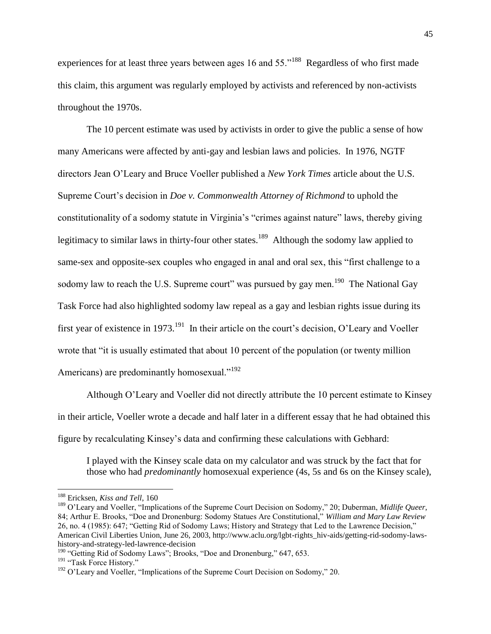experiences for at least three years between ages 16 and  $55.^{188}$  Regardless of who first made this claim, this argument was regularly employed by activists and referenced by non-activists throughout the 1970s.

The 10 percent estimate was used by activists in order to give the public a sense of how many Americans were affected by anti-gay and lesbian laws and policies. In 1976, NGTF directors Jean O"Leary and Bruce Voeller published a *New York Times* article about the U.S. Supreme Court"s decision in *Doe v. Commonwealth Attorney of Richmond* to uphold the constitutionality of a sodomy statute in Virginia"s "crimes against nature" laws, thereby giving legitimacy to similar laws in thirty-four other states.<sup>189</sup> Although the sodomy law applied to same-sex and opposite-sex couples who engaged in anal and oral sex, this "first challenge to a sodomy law to reach the U.S. Supreme court" was pursued by gay men.<sup>190</sup> The National Gay Task Force had also highlighted sodomy law repeal as a gay and lesbian rights issue during its first year of existence in 1973.<sup>191</sup> In their article on the court's decision, O'Leary and Voeller wrote that "it is usually estimated that about 10 percent of the population (or twenty million Americans) are predominantly homosexual."<sup>192</sup>

Although O"Leary and Voeller did not directly attribute the 10 percent estimate to Kinsey in their article, Voeller wrote a decade and half later in a different essay that he had obtained this figure by recalculating Kinsey"s data and confirming these calculations with Gebhard:

I played with the Kinsey scale data on my calculator and was struck by the fact that for those who had *predominantly* homosexual experience (4s, 5s and 6s on the Kinsey scale),

<sup>188</sup> Ericksen, *Kiss and Tell*, 160

<sup>189</sup> O"Leary and Voeller, "Implications of the Supreme Court Decision on Sodomy," 20; Duberman, *Midlife Queer*, 84; Arthur E. Brooks, "Doe and Dronenburg: Sodomy Statues Are Constitutional," *William and Mary Law Review* 26, no. 4 (1985): 647; "Getting Rid of Sodomy Laws; History and Strategy that Led to the Lawrence Decision," American Civil Liberties Union, June 26, 2003, http://www.aclu.org/lgbt-rights\_hiv-aids/getting-rid-sodomy-lawshistory-and-strategy-led-lawrence-decision

<sup>&</sup>lt;sup>190</sup> "Getting Rid of Sodomy Laws"; Brooks, "Doe and Dronenburg," 647, 653.

<sup>&</sup>lt;sup>191</sup> "Task Force History."

<sup>&</sup>lt;sup>192</sup> O'Leary and Voeller, "Implications of the Supreme Court Decision on Sodomy," 20.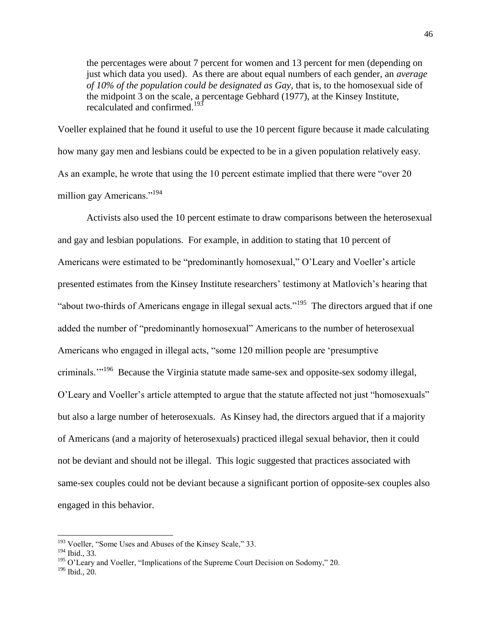the percentages were about 7 percent for women and 13 percent for men (depending on just which data you used). As there are about equal numbers of each gender, an *average of 10% of the population could be designated as Gay*, that is, to the homosexual side of the midpoint 3 on the scale, a percentage Gebhard (1977), at the Kinsey Institute, recalculated and confirmed.<sup>193</sup>

Voeller explained that he found it useful to use the 10 percent figure because it made calculating how many gay men and lesbians could be expected to be in a given population relatively easy. As an example, he wrote that using the 10 percent estimate implied that there were "over 20 million gay Americans."<sup>194</sup>

Activists also used the 10 percent estimate to draw comparisons between the heterosexual and gay and lesbian populations. For example, in addition to stating that 10 percent of Americans were estimated to be "predominantly homosexual," O'Leary and Voeller's article presented estimates from the Kinsey Institute researchers' testimony at Matlovich's hearing that "about two-thirds of Americans engage in illegal sexual acts."<sup>195</sup> The directors argued that if one added the number of "predominantly homosexual" Americans to the number of heterosexual Americans who engaged in illegal acts, "some 120 million people are "presumptive criminals."<sup>196</sup> Because the Virginia statute made same-sex and opposite-sex sodomy illegal, O'Leary and Voeller's article attempted to argue that the statute affected not just "homosexuals" but also a large number of heterosexuals. As Kinsey had, the directors argued that if a majority of Americans (and a majority of heterosexuals) practiced illegal sexual behavior, then it could not be deviant and should not be illegal. This logic suggested that practices associated with same-sex couples could not be deviant because a significant portion of opposite-sex couples also engaged in this behavior.

<sup>&</sup>lt;sup>193</sup> Voeller, "Some Uses and Abuses of the Kinsey Scale," 33.

<sup>194</sup> Ibid., 33.

<sup>&</sup>lt;sup>195</sup> O'Leary and Voeller, "Implications of the Supreme Court Decision on Sodomy," 20.

<sup>196</sup> Ibid., 20.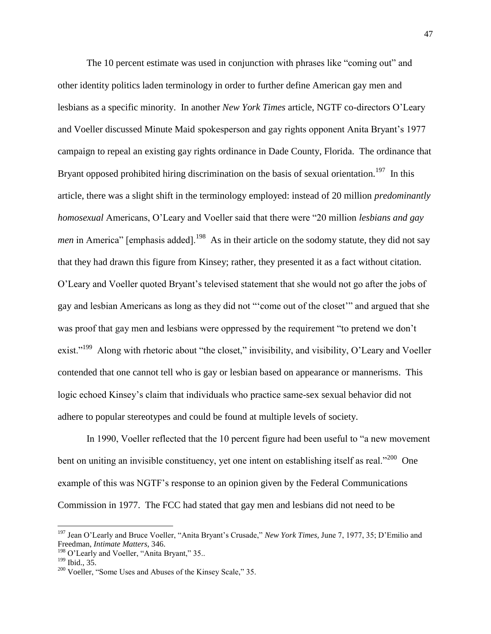The 10 percent estimate was used in conjunction with phrases like "coming out" and other identity politics laden terminology in order to further define American gay men and lesbians as a specific minority. In another *New York Times* article, NGTF co-directors O"Leary and Voeller discussed Minute Maid spokesperson and gay rights opponent Anita Bryant"s 1977 campaign to repeal an existing gay rights ordinance in Dade County, Florida. The ordinance that Bryant opposed prohibited hiring discrimination on the basis of sexual orientation.<sup>197</sup> In this article, there was a slight shift in the terminology employed: instead of 20 million *predominantly homosexual* Americans, O"Leary and Voeller said that there were "20 million *lesbians and gay men* in America" [emphasis added].<sup>198</sup> As in their article on the sodomy statute, they did not say that they had drawn this figure from Kinsey; rather, they presented it as a fact without citation. O"Leary and Voeller quoted Bryant"s televised statement that she would not go after the jobs of gay and lesbian Americans as long as they did not ""come out of the closet"" and argued that she was proof that gay men and lesbians were oppressed by the requirement "to pretend we don"t exist."<sup>199</sup> Along with rhetoric about "the closet," invisibility, and visibility, O'Leary and Voeller contended that one cannot tell who is gay or lesbian based on appearance or mannerisms. This logic echoed Kinsey"s claim that individuals who practice same-sex sexual behavior did not adhere to popular stereotypes and could be found at multiple levels of society.

In 1990, Voeller reflected that the 10 percent figure had been useful to "a new movement bent on uniting an invisible constituency, yet one intent on establishing itself as real."<sup>200</sup> One example of this was NGTF"s response to an opinion given by the Federal Communications Commission in 1977. The FCC had stated that gay men and lesbians did not need to be

<sup>197</sup> Jean O"Learly and Bruce Voeller, "Anita Bryant"s Crusade," *New York Times,* June 7, 1977, 35; D"Emilio and Freedman, *Intimate Matters*, 346.

<sup>&</sup>lt;sup>198</sup> O'Learly and Voeller, "Anita Bryant," 35..

<sup>199</sup> Ibid., 35.

<sup>&</sup>lt;sup>200</sup> Voeller, "Some Uses and Abuses of the Kinsey Scale," 35.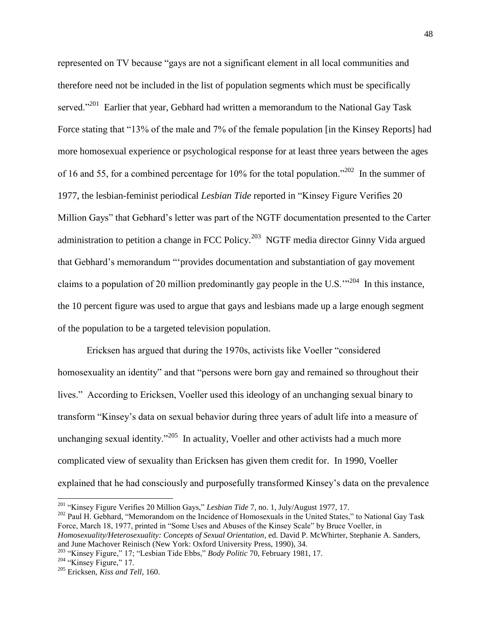represented on TV because "gays are not a significant element in all local communities and therefore need not be included in the list of population segments which must be specifically served."<sup>201</sup> Earlier that year, Gebhard had written a memorandum to the National Gay Task Force stating that "13% of the male and 7% of the female population [in the Kinsey Reports] had more homosexual experience or psychological response for at least three years between the ages of 16 and 55, for a combined percentage for 10% for the total population."<sup>202</sup> In the summer of 1977, the lesbian-feminist periodical *Lesbian Tide* reported in "Kinsey Figure Verifies 20 Million Gays" that Gebhard"s letter was part of the NGTF documentation presented to the Carter administration to petition a change in FCC Policy.<sup>203</sup> NGTF media director Ginny Vida argued that Gebhard"s memorandum ""provides documentation and substantiation of gay movement claims to a population of 20 million predominantly gay people in the U.S." $204$  In this instance, the 10 percent figure was used to argue that gays and lesbians made up a large enough segment of the population to be a targeted television population.

Ericksen has argued that during the 1970s, activists like Voeller "considered homosexuality an identity" and that "persons were born gay and remained so throughout their lives." According to Ericksen, Voeller used this ideology of an unchanging sexual binary to transform "Kinsey"s data on sexual behavior during three years of adult life into a measure of unchanging sexual identity."<sup>205</sup> In actuality, Voeller and other activists had a much more complicated view of sexuality than Ericksen has given them credit for. In 1990, Voeller explained that he had consciously and purposefully transformed Kinsey"s data on the prevalence

<sup>201</sup> "Kinsey Figure Verifies 20 Million Gays," *Lesbian Tide* 7, no. 1, July/August 1977, 17.

<sup>&</sup>lt;sup>202</sup> Paul H. Gebhard, "Memorandom on the Incidence of Homosexuals in the United States," to National Gay Task Force, March 18, 1977, printed in "Some Uses and Abuses of the Kinsey Scale" by Bruce Voeller, in *Homosexuality/Heterosexuality: Concepts of Sexual Orientation*, ed. David P. McWhirter, Stephanie A. Sanders, and June Machover Reinisch (New York: Oxford University Press, 1990), 34.

<sup>203</sup> "Kinsey Figure," 17; "Lesbian Tide Ebbs," *Body Politic* 70, February 1981, 17.

 $204$  "Kinsey Figure," 17.

<sup>205</sup> Ericksen, *Kiss and Tell*, 160.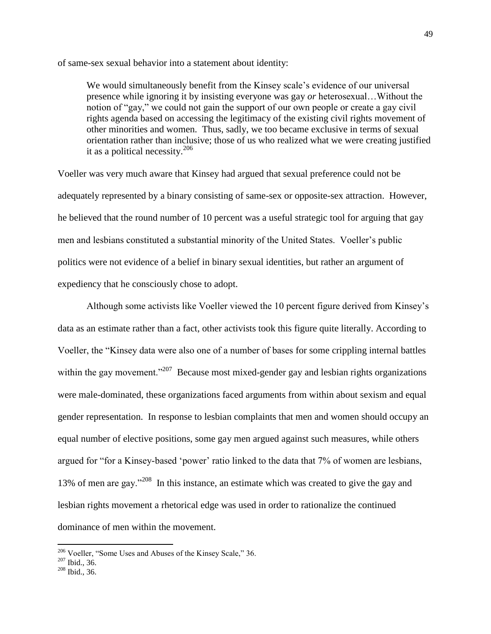of same-sex sexual behavior into a statement about identity:

We would simultaneously benefit from the Kinsey scale's evidence of our universal presence while ignoring it by insisting everyone was gay *or* heterosexual…Without the notion of "gay," we could not gain the support of our own people or create a gay civil rights agenda based on accessing the legitimacy of the existing civil rights movement of other minorities and women. Thus, sadly, we too became exclusive in terms of sexual orientation rather than inclusive; those of us who realized what we were creating justified it as a political necessity.<sup>206</sup>

Voeller was very much aware that Kinsey had argued that sexual preference could not be adequately represented by a binary consisting of same-sex or opposite-sex attraction. However, he believed that the round number of 10 percent was a useful strategic tool for arguing that gay men and lesbians constituted a substantial minority of the United States. Voeller"s public politics were not evidence of a belief in binary sexual identities, but rather an argument of expediency that he consciously chose to adopt.

Although some activists like Voeller viewed the 10 percent figure derived from Kinsey"s data as an estimate rather than a fact, other activists took this figure quite literally. According to Voeller, the "Kinsey data were also one of a number of bases for some crippling internal battles within the gay movement."<sup>207</sup> Because most mixed-gender gay and lesbian rights organizations were male-dominated, these organizations faced arguments from within about sexism and equal gender representation. In response to lesbian complaints that men and women should occupy an equal number of elective positions, some gay men argued against such measures, while others argued for "for a Kinsey-based "power" ratio linked to the data that 7% of women are lesbians, 13% of men are gay."<sup>208</sup> In this instance, an estimate which was created to give the gay and lesbian rights movement a rhetorical edge was used in order to rationalize the continued dominance of men within the movement.

<sup>&</sup>lt;sup>206</sup> Voeller, "Some Uses and Abuses of the Kinsey Scale," 36.

<sup>207</sup> Ibid., 36.

<sup>208</sup> Ibid., 36.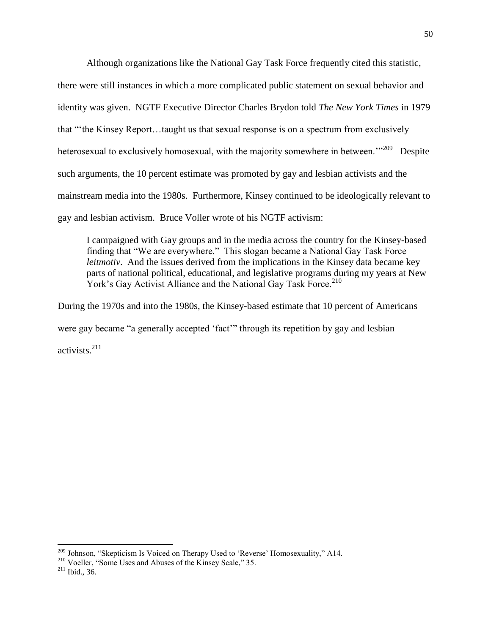Although organizations like the National Gay Task Force frequently cited this statistic, there were still instances in which a more complicated public statement on sexual behavior and identity was given. NGTF Executive Director Charles Brydon told *The New York Times* in 1979 that ""the Kinsey Report…taught us that sexual response is on a spectrum from exclusively heterosexual to exclusively homosexual, with the majority somewhere in between."<sup>209</sup> Despite such arguments, the 10 percent estimate was promoted by gay and lesbian activists and the mainstream media into the 1980s. Furthermore, Kinsey continued to be ideologically relevant to gay and lesbian activism. Bruce Voller wrote of his NGTF activism:

I campaigned with Gay groups and in the media across the country for the Kinsey-based finding that "We are everywhere." This slogan became a National Gay Task Force *leitmotiv*. And the issues derived from the implications in the Kinsey data became key parts of national political, educational, and legislative programs during my years at New York's Gay Activist Alliance and the National Gav Task Force.<sup>210</sup>

During the 1970s and into the 1980s, the Kinsey-based estimate that 10 percent of Americans were gay became "a generally accepted "fact"" through its repetition by gay and lesbian activists.<sup>211</sup>

<sup>&</sup>lt;sup>209</sup> Johnson, "Skepticism Is Voiced on Therapy Used to 'Reverse' Homosexuality," A14.

<sup>&</sup>lt;sup>210</sup> Voeller, "Some Uses and Abuses of the Kinsey Scale," 35.

<sup>211</sup> Ibid., 36.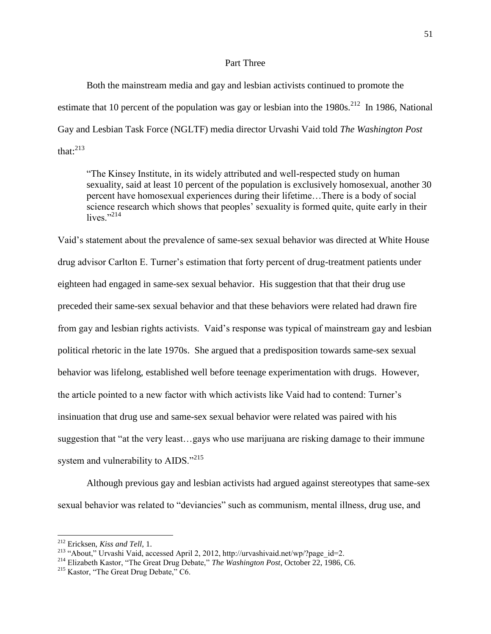## Part Three

Both the mainstream media and gay and lesbian activists continued to promote the estimate that 10 percent of the population was gay or lesbian into the  $1980s$ <sup>212</sup> In 1986, National Gay and Lesbian Task Force (NGLTF) media director Urvashi Vaid told *The Washington Post*  that: $^{213}$ 

"The Kinsey Institute, in its widely attributed and well-respected study on human sexuality, said at least 10 percent of the population is exclusively homosexual, another 30 percent have homosexual experiences during their lifetime…There is a body of social science research which shows that peoples' sexuality is formed quite, quite early in their lives. $^{9214}$ 

Vaid"s statement about the prevalence of same-sex sexual behavior was directed at White House drug advisor Carlton E. Turner"s estimation that forty percent of drug-treatment patients under eighteen had engaged in same-sex sexual behavior. His suggestion that that their drug use preceded their same-sex sexual behavior and that these behaviors were related had drawn fire from gay and lesbian rights activists. Vaid"s response was typical of mainstream gay and lesbian political rhetoric in the late 1970s. She argued that a predisposition towards same-sex sexual behavior was lifelong, established well before teenage experimentation with drugs. However, the article pointed to a new factor with which activists like Vaid had to contend: Turner"s insinuation that drug use and same-sex sexual behavior were related was paired with his suggestion that "at the very least…gays who use marijuana are risking damage to their immune system and vulnerability to AIDS."<sup>215</sup>

Although previous gay and lesbian activists had argued against stereotypes that same-sex sexual behavior was related to "deviancies" such as communism, mental illness, drug use, and

<sup>212</sup> Ericksen, *Kiss and Tell*, 1.

<sup>213</sup> "About," Urvashi Vaid, accessed April 2, 2012, http://urvashivaid.net/wp/?page\_id=2.

<sup>214</sup> Elizabeth Kastor, "The Great Drug Debate," *The Washington Post*, October 22, 1986, C6.

<sup>&</sup>lt;sup>215</sup> Kastor, "The Great Drug Debate," C6.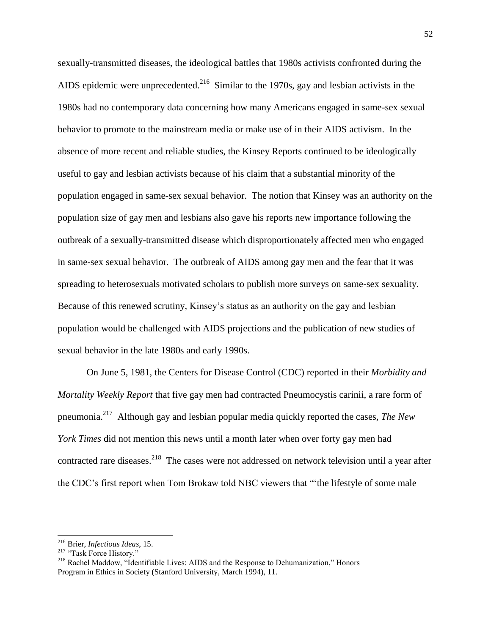sexually-transmitted diseases, the ideological battles that 1980s activists confronted during the AIDS epidemic were unprecedented.<sup>216</sup> Similar to the 1970s, gay and lesbian activists in the 1980s had no contemporary data concerning how many Americans engaged in same-sex sexual behavior to promote to the mainstream media or make use of in their AIDS activism. In the absence of more recent and reliable studies, the Kinsey Reports continued to be ideologically useful to gay and lesbian activists because of his claim that a substantial minority of the population engaged in same-sex sexual behavior. The notion that Kinsey was an authority on the population size of gay men and lesbians also gave his reports new importance following the outbreak of a sexually-transmitted disease which disproportionately affected men who engaged in same-sex sexual behavior. The outbreak of AIDS among gay men and the fear that it was spreading to heterosexuals motivated scholars to publish more surveys on same-sex sexuality. Because of this renewed scrutiny, Kinsey"s status as an authority on the gay and lesbian population would be challenged with AIDS projections and the publication of new studies of sexual behavior in the late 1980s and early 1990s.

On June 5, 1981, the Centers for Disease Control (CDC) reported in their *Morbidity and Mortality Weekly Report* that five gay men had contracted Pneumocystis carinii, a rare form of pneumonia.<sup>217</sup> Although gay and lesbian popular media quickly reported the cases, *The New York Times* did not mention this news until a month later when over forty gay men had contracted rare diseases.<sup>218</sup> The cases were not addressed on network television until a year after the CDC"s first report when Tom Brokaw told NBC viewers that ""the lifestyle of some male

<sup>216</sup> Brier, *Infectious Ideas*, 15.

<sup>&</sup>lt;sup>217</sup> "Task Force History."

<sup>&</sup>lt;sup>218</sup> Rachel Maddow, "Identifiable Lives: AIDS and the Response to Dehumanization," Honors Program in Ethics in Society (Stanford University, March 1994), 11.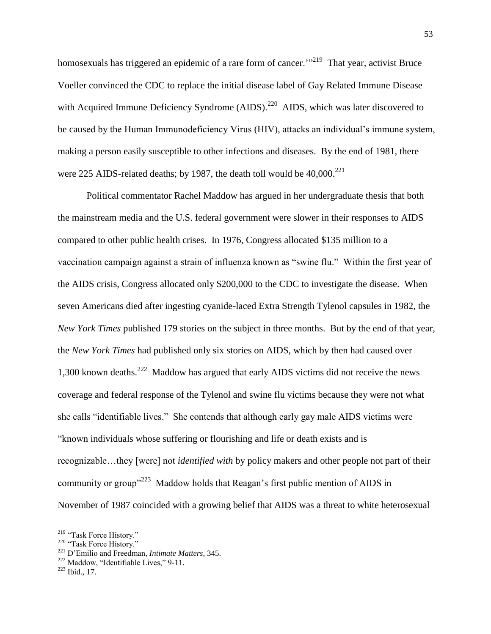homosexuals has triggered an epidemic of a rare form of cancer."<sup>219</sup> That year, activist Bruce Voeller convinced the CDC to replace the initial disease label of Gay Related Immune Disease with Acquired Immune Deficiency Syndrome (AIDS).<sup>220</sup> AIDS, which was later discovered to be caused by the Human Immunodeficiency Virus (HIV), attacks an individual"s immune system, making a person easily susceptible to other infections and diseases. By the end of 1981, there were 225 AIDS-related deaths; by 1987, the death toll would be  $40,000^{221}$ 

Political commentator Rachel Maddow has argued in her undergraduate thesis that both the mainstream media and the U.S. federal government were slower in their responses to AIDS compared to other public health crises. In 1976, Congress allocated \$135 million to a vaccination campaign against a strain of influenza known as "swine flu." Within the first year of the AIDS crisis, Congress allocated only \$200,000 to the CDC to investigate the disease. When seven Americans died after ingesting cyanide-laced Extra Strength Tylenol capsules in 1982, the *New York Times* published 179 stories on the subject in three months. But by the end of that year, the *New York Times* had published only six stories on AIDS, which by then had caused over 1,300 known deaths.<sup>222</sup> Maddow has argued that early AIDS victims did not receive the news coverage and federal response of the Tylenol and swine flu victims because they were not what she calls "identifiable lives." She contends that although early gay male AIDS victims were "known individuals whose suffering or flourishing and life or death exists and is recognizable…they [were] not *identified with* by policy makers and other people not part of their community or group<sup> $1223$ </sup> Maddow holds that Reagan's first public mention of AIDS in November of 1987 coincided with a growing belief that AIDS was a threat to white heterosexual

<sup>&</sup>lt;sup>219</sup> "Task Force History."

<sup>&</sup>lt;sup>220</sup> "Task Force History."

<sup>221</sup> D"Emilio and Freedman, *Intimate Matters*, 345.

 $222$  Maddow, "Identifiable Lives," 9-11.

<sup>223</sup> Ibid., 17.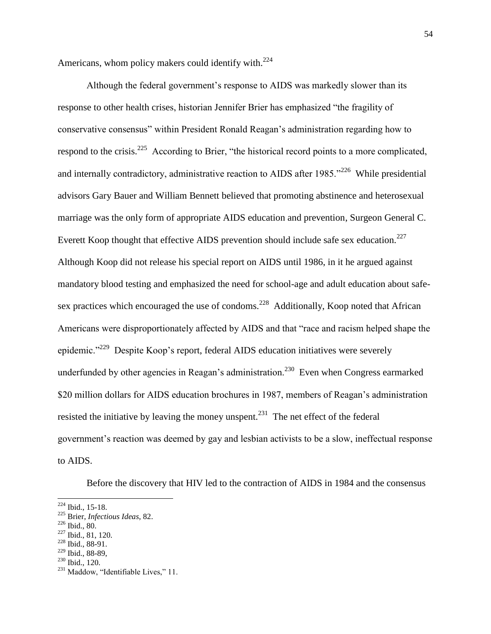Americans, whom policy makers could identify with. $224$ 

Although the federal government's response to AIDS was markedly slower than its response to other health crises, historian Jennifer Brier has emphasized "the fragility of conservative consensus" within President Ronald Reagan"s administration regarding how to respond to the crisis.<sup>225</sup> According to Brier, "the historical record points to a more complicated, and internally contradictory, administrative reaction to AIDS after 1985."<sup>226</sup> While presidential advisors Gary Bauer and William Bennett believed that promoting abstinence and heterosexual marriage was the only form of appropriate AIDS education and prevention, Surgeon General C. Everett Koop thought that effective AIDS prevention should include safe sex education.<sup>227</sup> Although Koop did not release his special report on AIDS until 1986, in it he argued against mandatory blood testing and emphasized the need for school-age and adult education about safesex practices which encouraged the use of condoms.<sup>228</sup> Additionally, Koop noted that African Americans were disproportionately affected by AIDS and that "race and racism helped shape the epidemic."<sup>229</sup> Despite Koop's report, federal AIDS education initiatives were severely underfunded by other agencies in Reagan's administration.<sup>230</sup> Even when Congress earmarked \$20 million dollars for AIDS education brochures in 1987, members of Reagan's administration resisted the initiative by leaving the money unspent.<sup>231</sup> The net effect of the federal government's reaction was deemed by gay and lesbian activists to be a slow, ineffectual response to AIDS.

Before the discovery that HIV led to the contraction of AIDS in 1984 and the consensus

 $224$  Ibid., 15-18.

<sup>225</sup> Brier, *Infectious Ideas*, 82.

<sup>226</sup> Ibid., 80.

<sup>227</sup> Ibid., 81, 120.

<sup>228</sup> Ibid., 88-91.  $229$  Ibid., 88-89,

<sup>230</sup> Ibid., 120.

 $^{231}$  Maddow, "Identifiable Lives," 11.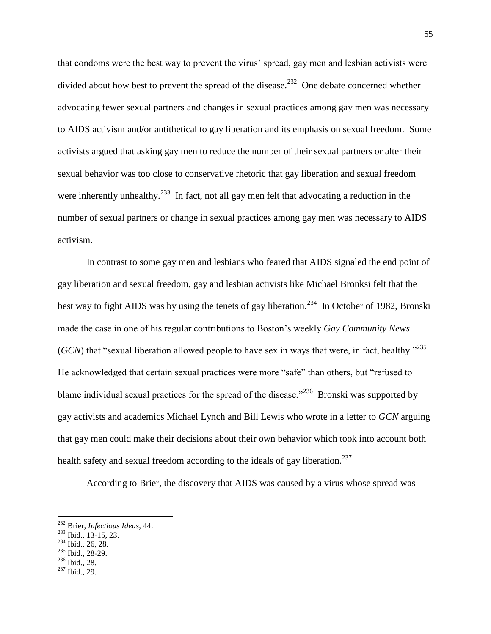that condoms were the best way to prevent the virus" spread, gay men and lesbian activists were divided about how best to prevent the spread of the disease.<sup>232</sup> One debate concerned whether advocating fewer sexual partners and changes in sexual practices among gay men was necessary to AIDS activism and/or antithetical to gay liberation and its emphasis on sexual freedom. Some activists argued that asking gay men to reduce the number of their sexual partners or alter their sexual behavior was too close to conservative rhetoric that gay liberation and sexual freedom were inherently unhealthy.<sup>233</sup> In fact, not all gay men felt that advocating a reduction in the number of sexual partners or change in sexual practices among gay men was necessary to AIDS activism.

In contrast to some gay men and lesbians who feared that AIDS signaled the end point of gay liberation and sexual freedom, gay and lesbian activists like Michael Bronksi felt that the best way to fight AIDS was by using the tenets of gay liberation.<sup>234</sup> In October of 1982, Bronski made the case in one of his regular contributions to Boston"s weekly *Gay Community News*  (*GCN*) that "sexual liberation allowed people to have sex in ways that were, in fact, healthy."<sup>235</sup> He acknowledged that certain sexual practices were more "safe" than others, but "refused to blame individual sexual practices for the spread of the disease.<sup>3236</sup> Bronski was supported by gay activists and academics Michael Lynch and Bill Lewis who wrote in a letter to *GCN* arguing that gay men could make their decisions about their own behavior which took into account both health safety and sexual freedom according to the ideals of gay liberation.<sup>237</sup>

According to Brier, the discovery that AIDS was caused by a virus whose spread was

- <sup>235</sup> Ibid., 28-29.
- <sup>236</sup> Ibid., 28.

l

<sup>237</sup> Ibid., 29.

<sup>232</sup> Brier, *Infectious Ideas*, 44.

<sup>233</sup> Ibid., 13-15, 23.

<sup>&</sup>lt;sup>234</sup> Ibid., 26, 28.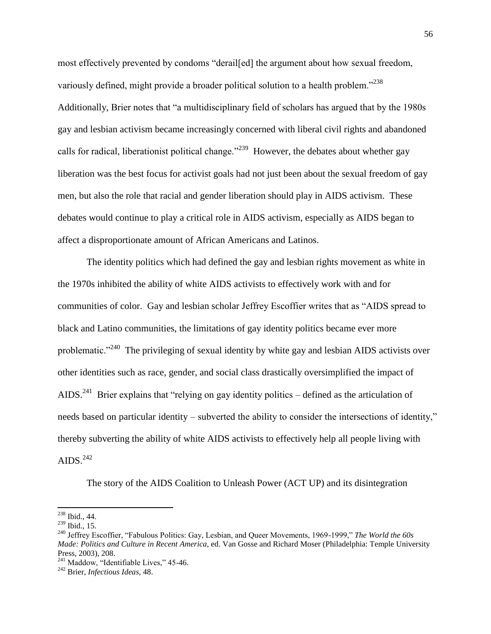most effectively prevented by condoms "derail[ed] the argument about how sexual freedom, variously defined, might provide a broader political solution to a health problem."<sup>238</sup> Additionally, Brier notes that "a multidisciplinary field of scholars has argued that by the 1980s gay and lesbian activism became increasingly concerned with liberal civil rights and abandoned calls for radical, liberationist political change."<sup>239</sup> However, the debates about whether gay liberation was the best focus for activist goals had not just been about the sexual freedom of gay men, but also the role that racial and gender liberation should play in AIDS activism. These debates would continue to play a critical role in AIDS activism, especially as AIDS began to affect a disproportionate amount of African Americans and Latinos.

The identity politics which had defined the gay and lesbian rights movement as white in the 1970s inhibited the ability of white AIDS activists to effectively work with and for communities of color. Gay and lesbian scholar Jeffrey Escoffier writes that as "AIDS spread to black and Latino communities, the limitations of gay identity politics became ever more problematic."<sup>240</sup> The privileging of sexual identity by white gay and lesbian AIDS activists over other identities such as race, gender, and social class drastically oversimplified the impact of AIDS.<sup>241</sup> Brier explains that "relying on gay identity politics – defined as the articulation of needs based on particular identity – subverted the ability to consider the intersections of identity," thereby subverting the ability of white AIDS activists to effectively help all people living with AIDS. $^{242}$ 

The story of the AIDS Coalition to Unleash Power (ACT UP) and its disintegration

 $\overline{\phantom{a}}$  $238$  Ibid., 44.

<sup>239</sup> Ibid., 15.

<sup>240</sup> Jeffrey Escoffier, "Fabulous Politics: Gay, Lesbian, and Queer Movements, 1969-1999," *The World the 60s Made: Politics and Culture in Recent America*, ed. Van Gosse and Richard Moser (Philadelphia: Temple University Press, 2003), 208.

 $^{241}$  Maddow, "Identifiable Lives," 45-46.

<sup>242</sup> Brier, *Infectious Ideas*, 48.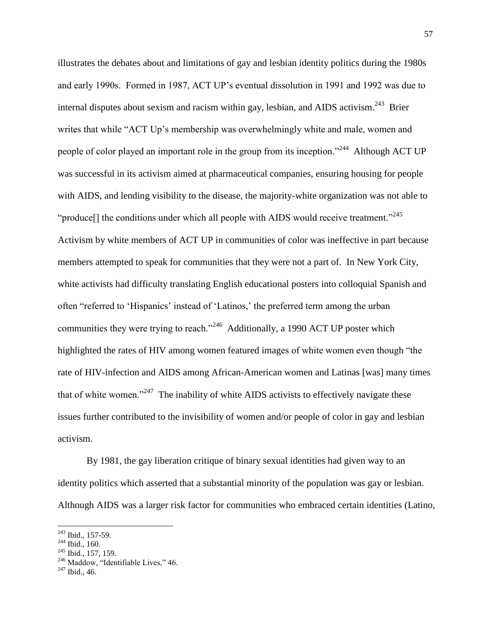illustrates the debates about and limitations of gay and lesbian identity politics during the 1980s and early 1990s. Formed in 1987, ACT UP"s eventual dissolution in 1991 and 1992 was due to internal disputes about sexism and racism within gay, lesbian, and AIDS activism. $^{243}$  Brier writes that while "ACT Up's membership was overwhelmingly white and male, women and people of color played an important role in the group from its inception."<sup>244</sup> Although ACT UP was successful in its activism aimed at pharmaceutical companies, ensuring housing for people with AIDS, and lending visibility to the disease, the majority-white organization was not able to "produce[] the conditions under which all people with AIDS would receive treatment."<sup>245</sup> Activism by white members of ACT UP in communities of color was ineffective in part because members attempted to speak for communities that they were not a part of. In New York City, white activists had difficulty translating English educational posters into colloquial Spanish and often "referred to "Hispanics" instead of "Latinos," the preferred term among the urban communities they were trying to reach."<sup>246</sup> Additionally, a 1990 ACT UP poster which highlighted the rates of HIV among women featured images of white women even though "the rate of HIV-infection and AIDS among African-American women and Latinas [was] many times that of white women."<sup>247</sup> The inability of white AIDS activists to effectively navigate these issues further contributed to the invisibility of women and/or people of color in gay and lesbian activism.

By 1981, the gay liberation critique of binary sexual identities had given way to an identity politics which asserted that a substantial minority of the population was gay or lesbian. Although AIDS was a larger risk factor for communities who embraced certain identities (Latino,

 $243$  Ibid., 157-59.

<sup>&</sup>lt;sup>244</sup> Ibid., 160.

<sup>245</sup> Ibid., 157, 159.

<sup>&</sup>lt;sup>246</sup> Maddow, "Identifiable Lives," 46.

 $^{247}$  Ibid., 46.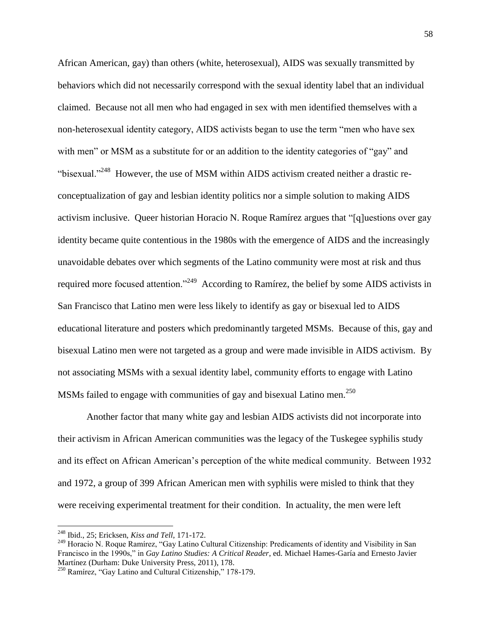African American, gay) than others (white, heterosexual), AIDS was sexually transmitted by behaviors which did not necessarily correspond with the sexual identity label that an individual claimed. Because not all men who had engaged in sex with men identified themselves with a non-heterosexual identity category, AIDS activists began to use the term "men who have sex with men" or MSM as a substitute for or an addition to the identity categories of "gay" and "bisexual."<sup>248</sup> However, the use of MSM within AIDS activism created neither a drastic reconceptualization of gay and lesbian identity politics nor a simple solution to making AIDS activism inclusive. Queer historian Horacio N. Roque Ramírez argues that "[q]uestions over gay identity became quite contentious in the 1980s with the emergence of AIDS and the increasingly unavoidable debates over which segments of the Latino community were most at risk and thus required more focused attention."<sup>249</sup> According to Ramírez, the belief by some AIDS activists in San Francisco that Latino men were less likely to identify as gay or bisexual led to AIDS educational literature and posters which predominantly targeted MSMs. Because of this, gay and bisexual Latino men were not targeted as a group and were made invisible in AIDS activism. By not associating MSMs with a sexual identity label, community efforts to engage with Latino MSMs failed to engage with communities of gay and bisexual Latino men. $^{250}$ 

Another factor that many white gay and lesbian AIDS activists did not incorporate into their activism in African American communities was the legacy of the Tuskegee syphilis study and its effect on African American"s perception of the white medical community. Between 1932 and 1972, a group of 399 African American men with syphilis were misled to think that they were receiving experimental treatment for their condition. In actuality, the men were left

<sup>248</sup> Ibid., 25; Ericksen, *Kiss and Tell*, 171-172.

<sup>&</sup>lt;sup>249</sup> Horacio N. Roque Ramírez, "Gay Latino Cultural Citizenship: Predicaments of identity and Visibility in San Francisco in the 1990s," in *Gay Latino Studies: A Critical Reader*, ed. Michael Hames-Garía and Ernesto Javier Martínez (Durham: Duke University Press, 2011), 178.

<sup>250</sup> Ramírez, "Gay Latino and Cultural Citizenship," 178-179.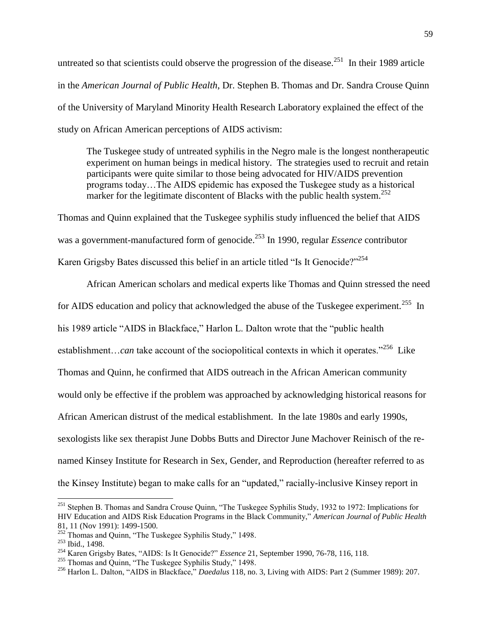untreated so that scientists could observe the progression of the disease.<sup>251</sup> In their 1989 article in the *American Journal of Public Health*, Dr. Stephen B. Thomas and Dr. Sandra Crouse Quinn of the University of Maryland Minority Health Research Laboratory explained the effect of the study on African American perceptions of AIDS activism:

The Tuskegee study of untreated syphilis in the Negro male is the longest nontherapeutic experiment on human beings in medical history. The strategies used to recruit and retain participants were quite similar to those being advocated for HIV/AIDS prevention programs today…The AIDS epidemic has exposed the Tuskegee study as a historical marker for the legitimate discontent of Blacks with the public health system.<sup>252</sup>

Thomas and Quinn explained that the Tuskegee syphilis study influenced the belief that AIDS was a government-manufactured form of genocide.<sup>253</sup> In 1990, regular *Essence* contributor Karen Grigsby Bates discussed this belief in an article titled "Is It Genocide?"<sup>254</sup>

African American scholars and medical experts like Thomas and Quinn stressed the need for AIDS education and policy that acknowledged the abuse of the Tuskegee experiment.<sup>255</sup> In his 1989 article "AIDS in Blackface," Harlon L. Dalton wrote that the "public health establishment...*can* take account of the sociopolitical contexts in which it operates.<sup>256</sup> Like Thomas and Quinn, he confirmed that AIDS outreach in the African American community would only be effective if the problem was approached by acknowledging historical reasons for African American distrust of the medical establishment. In the late 1980s and early 1990s, sexologists like sex therapist June Dobbs Butts and Director June Machover Reinisch of the renamed Kinsey Institute for Research in Sex, Gender, and Reproduction (hereafter referred to as the Kinsey Institute) began to make calls for an "updated," racially-inclusive Kinsey report in

<sup>&</sup>lt;sup>251</sup> Stephen B. Thomas and Sandra Crouse Quinn, "The Tuskegee Syphilis Study, 1932 to 1972: Implications for HIV Education and AIDS Risk Education Programs in the Black Community," *American Journal of Public Health* 81, 11 (Nov 1991): 1499-1500.

 $252$  Thomas and Quinn, "The Tuskegee Syphilis Study," 1498.

<sup>253</sup> Ibid., 1498.

<sup>254</sup> Karen Grigsby Bates, "AIDS: Is It Genocide?" *Essence* 21, September 1990, 76-78, 116, 118.

<sup>&</sup>lt;sup>255</sup> Thomas and Quinn, "The Tuskegee Syphilis Study," 1498.

<sup>256</sup> Harlon L. Dalton, "AIDS in Blackface," *Daedalus* 118, no. 3, Living with AIDS: Part 2 (Summer 1989): 207.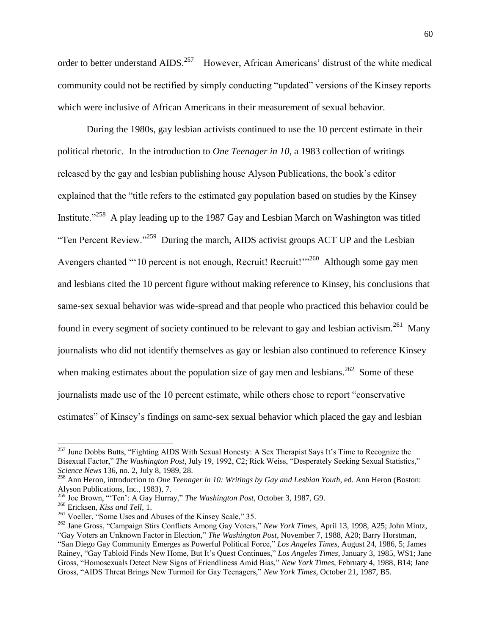order to better understand AIDS.<sup>257</sup> However, African Americans' distrust of the white medical community could not be rectified by simply conducting "updated" versions of the Kinsey reports which were inclusive of African Americans in their measurement of sexual behavior.

During the 1980s, gay lesbian activists continued to use the 10 percent estimate in their political rhetoric. In the introduction to *One Teenager in 10*, a 1983 collection of writings released by the gay and lesbian publishing house Alyson Publications, the book"s editor explained that the "title refers to the estimated gay population based on studies by the Kinsey Institute."<sup>258</sup> A play leading up to the 1987 Gay and Lesbian March on Washington was titled "Ten Percent Review."<sup>259</sup> During the march, AIDS activist groups ACT UP and the Lesbian Avengers chanted "'10 percent is not enough, Recruit! Recruit!"<sup>260</sup> Although some gay men and lesbians cited the 10 percent figure without making reference to Kinsey, his conclusions that same-sex sexual behavior was wide-spread and that people who practiced this behavior could be found in every segment of society continued to be relevant to gay and lesbian activism.<sup>261</sup> Many journalists who did not identify themselves as gay or lesbian also continued to reference Kinsey when making estimates about the population size of gay men and lesbians.<sup>262</sup> Some of these journalists made use of the 10 percent estimate, while others chose to report "conservative estimates" of Kinsey"s findings on same-sex sexual behavior which placed the gay and lesbian

 $^{257}$  June Dobbs Butts, "Fighting AIDS With Sexual Honesty: A Sex Therapist Says It's Time to Recognize the Bisexual Factor," *The Washington Post*, July 19, 1992, C2; Rick Weiss, "Desperately Seeking Sexual Statistics," *Science News* 136, no. 2, July 8, 1989, 28.

<sup>258</sup> Ann Heron, introduction to *One Teenager in 10: Writings by Gay and Lesbian Youth*, ed. Ann Heron (Boston: Alyson Publications, Inc., 1983), 7.

<sup>259</sup> Joe Brown, ""Ten": A Gay Hurray," *The Washington Post*, October 3, 1987, G9.

<sup>260</sup> Ericksen, *Kiss and Tell*, 1.

<sup>&</sup>lt;sup>261</sup> Voeller, "Some Uses and Abuses of the Kinsey Scale," 35.

<sup>262</sup> Jane Gross, "Campaign Stirs Conflicts Among Gay Voters," *New York Times*, April 13, 1998, A25; John Mintz, "Gay Voters an Unknown Factor in Election," *The Washington Post*, November 7, 1988, A20; Barry Horstman, "San Diego Gay Community Emerges as Powerful Political Force," *Los Angeles Times*, August 24, 1986, 5; James Rainey, "Gay Tabloid Finds New Home, But It"s Quest Continues," *Los Angeles Times*, January 3, 1985, WS1; Jane Gross, "Homosexuals Detect New Signs of Friendliness Amid Bias," *New York Times*, February 4, 1988, B14; Jane Gross, "AIDS Threat Brings New Turmoil for Gay Teenagers," *New York Times*, October 21, 1987, B5.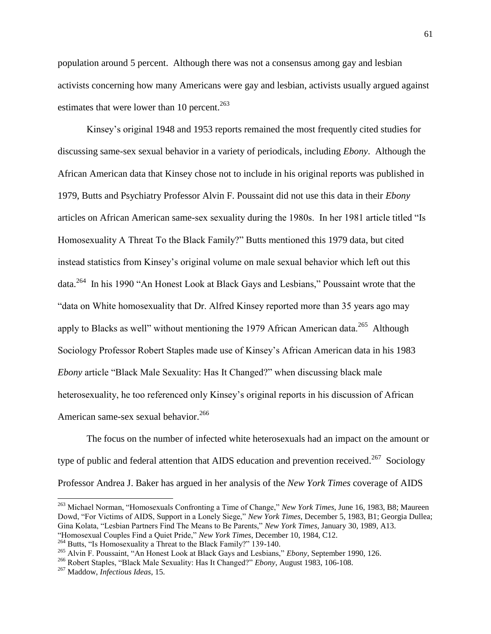population around 5 percent. Although there was not a consensus among gay and lesbian activists concerning how many Americans were gay and lesbian, activists usually argued against estimates that were lower than 10 percent. $263$ 

Kinsey"s original 1948 and 1953 reports remained the most frequently cited studies for discussing same-sex sexual behavior in a variety of periodicals, including *Ebony*. Although the African American data that Kinsey chose not to include in his original reports was published in 1979, Butts and Psychiatry Professor Alvin F. Poussaint did not use this data in their *Ebony*  articles on African American same-sex sexuality during the 1980s. In her 1981 article titled "Is Homosexuality A Threat To the Black Family?" Butts mentioned this 1979 data, but cited instead statistics from Kinsey"s original volume on male sexual behavior which left out this data.<sup>264</sup> In his 1990 "An Honest Look at Black Gays and Lesbians," Poussaint wrote that the "data on White homosexuality that Dr. Alfred Kinsey reported more than 35 years ago may apply to Blacks as well" without mentioning the 1979 African American data.<sup>265</sup> Although Sociology Professor Robert Staples made use of Kinsey"s African American data in his 1983 *Ebony* article "Black Male Sexuality: Has It Changed?" when discussing black male heterosexuality, he too referenced only Kinsey's original reports in his discussion of African American same-sex sexual behavior.<sup>266</sup>

The focus on the number of infected white heterosexuals had an impact on the amount or type of public and federal attention that AIDS education and prevention received.<sup>267</sup> Sociology Professor Andrea J. Baker has argued in her analysis of the *New York Times* coverage of AIDS

"Homosexual Couples Find a Quiet Pride," *New York Times*, December 10, 1984, C12.

<sup>263</sup> Michael Norman, "Homosexuals Confronting a Time of Change," *New York Times*, June 16, 1983, B8; Maureen Dowd, "For Victims of AIDS, Support in a Lonely Siege," *New York Times*, December 5, 1983, B1; Georgia Dullea; Gina Kolata, "Lesbian Partners Find The Means to Be Parents," *New York Times*, January 30, 1989, A13.

<sup>&</sup>lt;sup>264</sup> Butts, "Is Homosexuality a Threat to the Black Family?" 139-140.

<sup>265</sup> Alvin F. Poussaint, "An Honest Look at Black Gays and Lesbians," *Ebony*, September 1990, 126.

<sup>266</sup> Robert Staples, "Black Male Sexuality: Has It Changed?" *Ebony*, August 1983, 106-108.

<sup>267</sup> Maddow, *Infectious Ideas*, 15.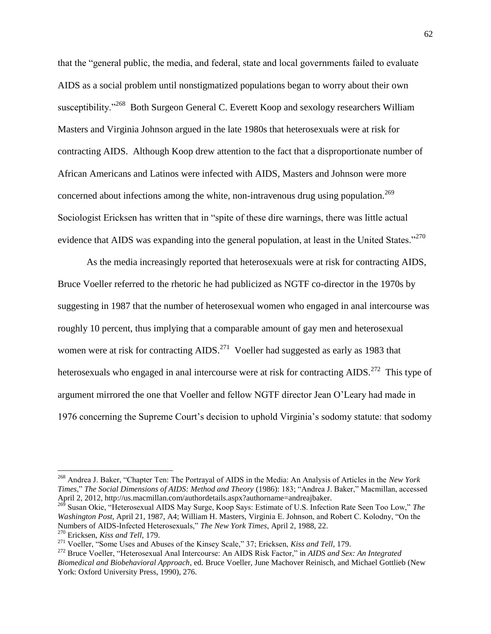that the "general public, the media, and federal, state and local governments failed to evaluate AIDS as a social problem until nonstigmatized populations began to worry about their own susceptibility."<sup>268</sup> Both Surgeon General C. Everett Koop and sexology researchers William Masters and Virginia Johnson argued in the late 1980s that heterosexuals were at risk for contracting AIDS. Although Koop drew attention to the fact that a disproportionate number of African Americans and Latinos were infected with AIDS, Masters and Johnson were more concerned about infections among the white, non-intravenous drug using population.<sup>269</sup> Sociologist Ericksen has written that in "spite of these dire warnings, there was little actual evidence that AIDS was expanding into the general population, at least in the United States."<sup>270</sup>

As the media increasingly reported that heterosexuals were at risk for contracting AIDS, Bruce Voeller referred to the rhetoric he had publicized as NGTF co-director in the 1970s by suggesting in 1987 that the number of heterosexual women who engaged in anal intercourse was roughly 10 percent, thus implying that a comparable amount of gay men and heterosexual women were at risk for contracting  $AIDS$ .<sup>271</sup> Voeller had suggested as early as 1983 that heterosexuals who engaged in anal intercourse were at risk for contracting AIDS.<sup>272</sup> This type of argument mirrored the one that Voeller and fellow NGTF director Jean O"Leary had made in 1976 concerning the Supreme Court"s decision to uphold Virginia"s sodomy statute: that sodomy

<sup>268</sup> Andrea J. Baker, "Chapter Ten: The Portrayal of AIDS in the Media: An Analysis of Articles in the *New York Times*," *The Social Dimensions of AIDS: Method and Theory* (1986): 183; "Andrea J. Baker," Macmillan, accessed April 2, 2012, http://us.macmillan.com/authordetails.aspx?authorname=andreajbaker.

<sup>269</sup> Susan Okie, "Heterosexual AIDS May Surge, Koop Says: Estimate of U.S. Infection Rate Seen Too Low," *The Washington Post*, April 21, 1987, A4; William H. Masters, Virginia E. Johnson, and Robert C. Kolodny, "On the Numbers of AIDS-Infected Heterosexuals," *The New York Times*, April 2, 1988, 22.

<sup>270</sup> Ericksen, *Kiss and Tell,* 179.

<sup>271</sup> Voeller, "Some Uses and Abuses of the Kinsey Scale," 37; Ericksen, *Kiss and Tell*, 179.

<sup>272</sup> Bruce Voeller, "Heterosexual Anal Intercourse: An AIDS Risk Factor," in *AIDS and Sex: An Integrated Biomedical and Biobehavioral Approach*, ed. Bruce Voeller, June Machover Reinisch, and Michael Gottlieb (New York: Oxford University Press, 1990), 276.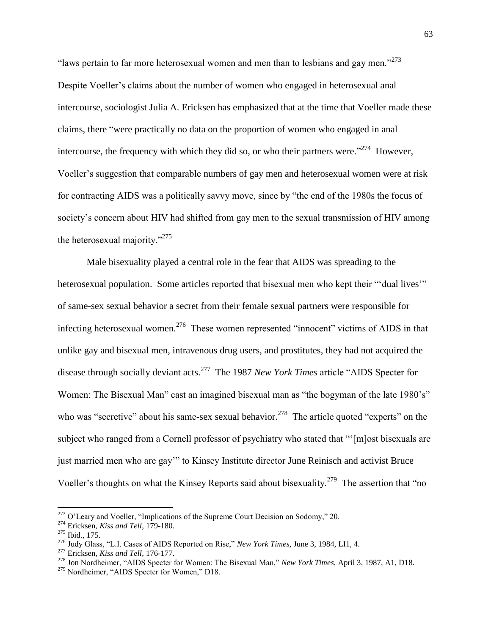"laws pertain to far more heterosexual women and men than to lesbians and gay men." $273$ Despite Voeller"s claims about the number of women who engaged in heterosexual anal intercourse, sociologist Julia A. Ericksen has emphasized that at the time that Voeller made these claims, there "were practically no data on the proportion of women who engaged in anal intercourse, the frequency with which they did so, or who their partners were."<sup>274</sup> However, Voeller"s suggestion that comparable numbers of gay men and heterosexual women were at risk for contracting AIDS was a politically savvy move, since by "the end of the 1980s the focus of society's concern about HIV had shifted from gay men to the sexual transmission of HIV among the heterosexual majority."<sup>275</sup>

Male bisexuality played a central role in the fear that AIDS was spreading to the heterosexual population. Some articles reported that bisexual men who kept their ""dual lives"" of same-sex sexual behavior a secret from their female sexual partners were responsible for infecting heterosexual women.<sup>276</sup> These women represented "innocent" victims of AIDS in that unlike gay and bisexual men, intravenous drug users, and prostitutes, they had not acquired the disease through socially deviant acts.<sup>277</sup> The 1987 *New York Times* article "AIDS Specter for Women: The Bisexual Man" cast an imagined bisexual man as "the bogyman of the late 1980's" who was "secretive" about his same-sex sexual behavior.<sup>278</sup> The article quoted "experts" on the subject who ranged from a Cornell professor of psychiatry who stated that ""[m]ost bisexuals are just married men who are gay"" to Kinsey Institute director June Reinisch and activist Bruce Voeller's thoughts on what the Kinsey Reports said about bisexuality.<sup>279</sup> The assertion that "no

<sup>&</sup>lt;sup>273</sup> O'Leary and Voeller, "Implications of the Supreme Court Decision on Sodomy," 20.

<sup>274</sup> Ericksen, *Kiss and Tell*, 179-180.

 $275$  Ibid., 175.

<sup>276</sup> Judy Glass, "L.I. Cases of AIDS Reported on Rise," *New York Times*, June 3, 1984, LI1, 4.

<sup>277</sup> Ericksen, *Kiss and Tell*, 176-177.

<sup>278</sup> Jon Nordheimer, "AIDS Specter for Women: The Bisexual Man," *New York Times*, April 3, 1987, A1, D18.

<sup>&</sup>lt;sup>279</sup> Nordheimer, "AIDS Specter for Women," D18.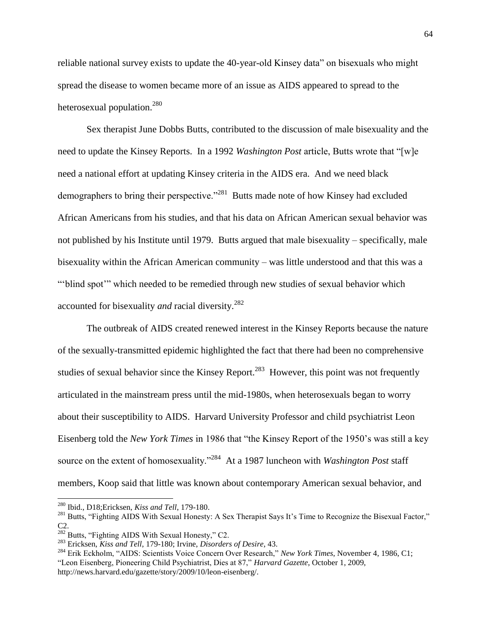reliable national survey exists to update the 40-year-old Kinsey data" on bisexuals who might spread the disease to women became more of an issue as AIDS appeared to spread to the heterosexual population.<sup>280</sup>

Sex therapist June Dobbs Butts, contributed to the discussion of male bisexuality and the need to update the Kinsey Reports. In a 1992 *Washington Post* article, Butts wrote that "[w]e need a national effort at updating Kinsey criteria in the AIDS era. And we need black demographers to bring their perspective."<sup>281</sup> Butts made note of how Kinsey had excluded African Americans from his studies, and that his data on African American sexual behavior was not published by his Institute until 1979. Butts argued that male bisexuality – specifically, male bisexuality within the African American community – was little understood and that this was a ""blind spot"" which needed to be remedied through new studies of sexual behavior which accounted for bisexuality *and* racial diversity.<sup>282</sup>

The outbreak of AIDS created renewed interest in the Kinsey Reports because the nature of the sexually-transmitted epidemic highlighted the fact that there had been no comprehensive studies of sexual behavior since the Kinsey Report.<sup>283</sup> However, this point was not frequently articulated in the mainstream press until the mid-1980s, when heterosexuals began to worry about their susceptibility to AIDS. Harvard University Professor and child psychiatrist Leon Eisenberg told the *New York Times* in 1986 that "the Kinsey Report of the 1950"s was still a key source on the extent of homosexuality."<sup>284</sup> At a 1987 luncheon with *Washington Post* staff members, Koop said that little was known about contemporary American sexual behavior, and

<sup>280</sup> Ibid., D18;Ericksen, *Kiss and Tell*, 179-180.

<sup>&</sup>lt;sup>281</sup> Butts, "Fighting AIDS With Sexual Honesty: A Sex Therapist Says It's Time to Recognize the Bisexual Factor," C2.

<sup>&</sup>lt;sup>282</sup> Butts, "Fighting AIDS With Sexual Honesty," C2.

<sup>283</sup> Ericksen, *Kiss and Tell*, 179-180; Irvine, *Disorders of Desire*, 43.

<sup>284</sup> Erik Eckholm, "AIDS: Scientists Voice Concern Over Research," *New York Times*, November 4, 1986, C1; "Leon Eisenberg, Pioneering Child Psychiatrist, Dies at 87," *Harvard Gazette*, October 1, 2009, [http://news.harvard.edu/gazette/story/2009/10/leon-eisenberg/.](http://news.harvard.edu/gazette/story/2009/10/leon-eisenberg/)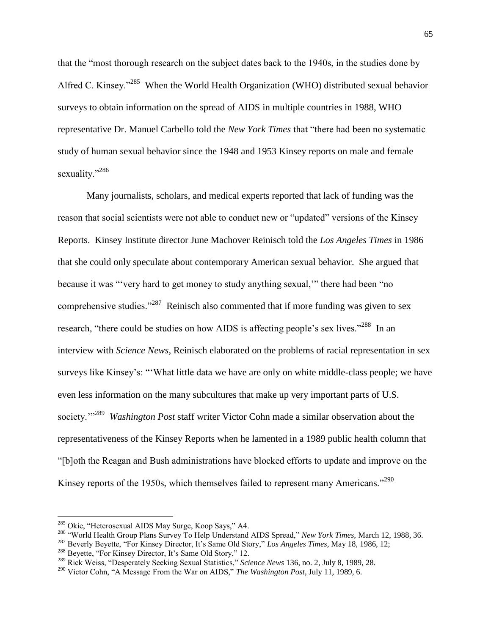that the "most thorough research on the subject dates back to the 1940s, in the studies done by Alfred C. Kinsey."<sup>285</sup> When the World Health Organization (WHO) distributed sexual behavior surveys to obtain information on the spread of AIDS in multiple countries in 1988, WHO representative Dr. Manuel Carbello told the *New York Times* that "there had been no systematic study of human sexual behavior since the 1948 and 1953 Kinsey reports on male and female sexuality."<sup>286</sup>

Many journalists, scholars, and medical experts reported that lack of funding was the reason that social scientists were not able to conduct new or "updated" versions of the Kinsey Reports. Kinsey Institute director June Machover Reinisch told the *Los Angeles Times* in 1986 that she could only speculate about contemporary American sexual behavior. She argued that because it was ""very hard to get money to study anything sexual,"" there had been "no comprehensive studies. $1287$  Reinisch also commented that if more funding was given to sex research, "there could be studies on how AIDS is affecting people's sex lives."<sup>288</sup> In an interview with *Science News*, Reinisch elaborated on the problems of racial representation in sex surveys like Kinsey's: ""What little data we have are only on white middle-class people; we have even less information on the many subcultures that make up very important parts of U.S. society.""<sup>289</sup> *Washington Post* staff writer Victor Cohn made a similar observation about the representativeness of the Kinsey Reports when he lamented in a 1989 public health column that "[b]oth the Reagan and Bush administrations have blocked efforts to update and improve on the Kinsey reports of the 1950s, which themselves failed to represent many Americans."<sup>290</sup>

l

<sup>&</sup>lt;sup>285</sup> Okie, "Heterosexual AIDS May Surge, Koop Says," A4.

<sup>286</sup> "World Health Group Plans Survey To Help Understand AIDS Spread," *New York Times*, March 12, 1988, 36.

<sup>287</sup> Beverly Beyette, "For Kinsey Director, It"s Same Old Story," *Los Angeles Times*, May 18, 1986, 12;

<sup>&</sup>lt;sup>288</sup> Beyette, "For Kinsey Director, It's Same Old Story," 12.

<sup>289</sup> Rick Weiss, "Desperately Seeking Sexual Statistics," *Science News* 136, no. 2, July 8, 1989, 28.

<sup>290</sup> Victor Cohn, "A Message From the War on AIDS," *The Washington Post*, July 11, 1989, 6.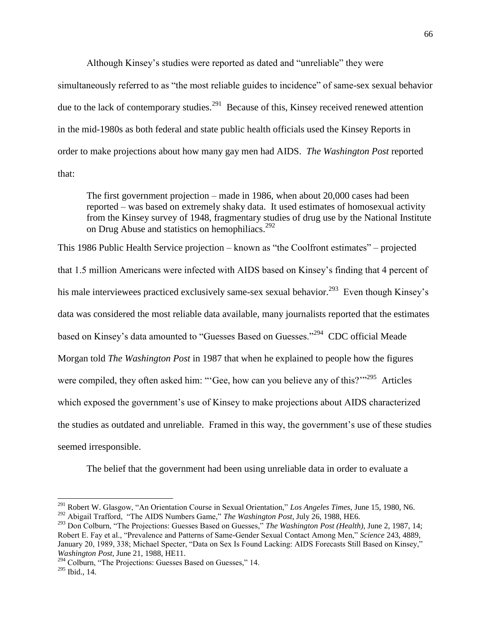Although Kinsey"s studies were reported as dated and "unreliable" they were

simultaneously referred to as "the most reliable guides to incidence" of same-sex sexual behavior due to the lack of contemporary studies.<sup>291</sup> Because of this, Kinsey received renewed attention in the mid-1980s as both federal and state public health officials used the Kinsey Reports in order to make projections about how many gay men had AIDS. *The Washington Post* reported that:

The first government projection – made in 1986, when about 20,000 cases had been reported – was based on extremely shaky data. It used estimates of homosexual activity from the Kinsey survey of 1948, fragmentary studies of drug use by the National Institute on Drug Abuse and statistics on hemophiliacs.<sup>292</sup>

This 1986 Public Health Service projection – known as "the Coolfront estimates" – projected that 1.5 million Americans were infected with AIDS based on Kinsey"s finding that 4 percent of his male interviewees practiced exclusively same-sex sexual behavior.<sup>293</sup> Even though Kinsey's data was considered the most reliable data available, many journalists reported that the estimates based on Kinsey's data amounted to "Guesses Based on Guesses."<sup>294</sup> CDC official Meade Morgan told *The Washington Post* in 1987 that when he explained to people how the figures were compiled, they often asked him: "Gee, how can you believe any of this?"<sup>295</sup> Articles which exposed the government's use of Kinsey to make projections about AIDS characterized the studies as outdated and unreliable. Framed in this way, the government"s use of these studies seemed irresponsible.

The belief that the government had been using unreliable data in order to evaluate a

<sup>291</sup> Robert W. Glasgow, "An Orientation Course in Sexual Orientation," *Los Angeles Times*, June 15, 1980, N6. <sup>292</sup> Abigail Trafford, "The AIDS Numbers Game," *The Washington Post*, July 26, 1988, HE6.

<sup>293</sup> Don Colburn, "The Projections: Guesses Based on Guesses," *The Washington Post (Health)*, June 2, 1987, 14; Robert E. Fay et al., "Prevalence and Patterns of Same-Gender Sexual Contact Among Men," *Science* 243, 4889, January 20, 1989, 338; Michael Specter, "Data on Sex Is Found Lacking: AIDS Forecasts Still Based on Kinsey," *Washington Post*, June 21, 1988, HE11.

<sup>&</sup>lt;sup>294</sup> Colburn, "The Projections: Guesses Based on Guesses," 14.

<sup>295</sup> Ibid., 14.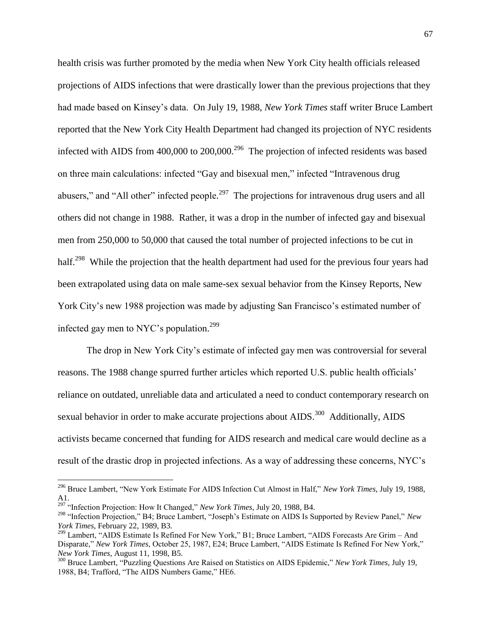health crisis was further promoted by the media when New York City health officials released projections of AIDS infections that were drastically lower than the previous projections that they had made based on Kinsey"s data. On July 19, 1988, *New York Times* staff writer Bruce Lambert reported that the New York City Health Department had changed its projection of NYC residents infected with AIDS from  $400,000$  to  $200,000$ .<sup>296</sup> The projection of infected residents was based on three main calculations: infected "Gay and bisexual men," infected "Intravenous drug abusers," and "All other" infected people.<sup>297</sup> The projections for intravenous drug users and all others did not change in 1988. Rather, it was a drop in the number of infected gay and bisexual men from 250,000 to 50,000 that caused the total number of projected infections to be cut in half.<sup>298</sup> While the projection that the health department had used for the previous four years had been extrapolated using data on male same-sex sexual behavior from the Kinsey Reports, New York City's new 1988 projection was made by adjusting San Francisco's estimated number of infected gay men to NYC's population.<sup>299</sup>

The drop in New York City's estimate of infected gay men was controversial for several reasons. The 1988 change spurred further articles which reported U.S. public health officials" reliance on outdated, unreliable data and articulated a need to conduct contemporary research on sexual behavior in order to make accurate projections about  $\text{AIDS}.^{300}$  Additionally, AIDS activists became concerned that funding for AIDS research and medical care would decline as a result of the drastic drop in projected infections. As a way of addressing these concerns, NYC"s

<sup>296</sup> Bruce Lambert, "New York Estimate For AIDS Infection Cut Almost in Half," *New York Times*, July 19, 1988, A1.

<sup>297</sup> "Infection Projection: How It Changed," *New York Times*, July 20, 1988, B4.

<sup>298</sup> "Infection Projection," B4; Bruce Lambert, "Joseph"s Estimate on AIDS Is Supported by Review Panel," *New York Times*, February 22, 1989, B3.

<sup>&</sup>lt;sup>299</sup> Lambert, "AIDS Estimate Is Refined For New York," B1; Bruce Lambert, "AIDS Forecasts Are Grim – And Disparate," *New York Times*, October 25, 1987, E24; Bruce Lambert, "AIDS Estimate Is Refined For New York," *New York Times*, August 11, 1998, B5.

<sup>300</sup> Bruce Lambert, "Puzzling Questions Are Raised on Statistics on AIDS Epidemic," *New York Times*, July 19, 1988, B4; Trafford, "The AIDS Numbers Game," HE6.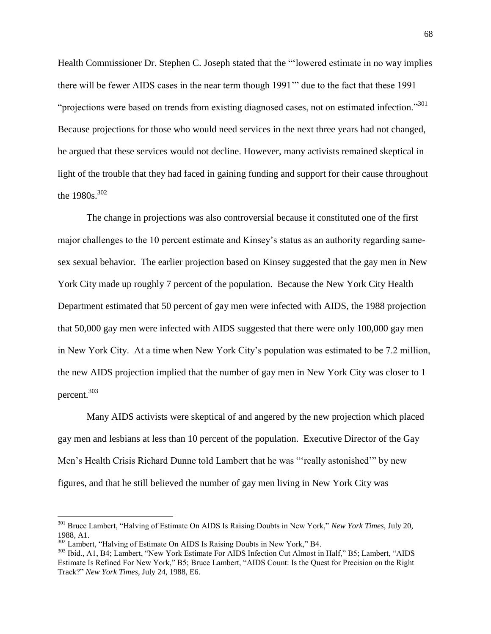Health Commissioner Dr. Stephen C. Joseph stated that the ""lowered estimate in no way implies there will be fewer AIDS cases in the near term though 1991"" due to the fact that these 1991 "projections were based on trends from existing diagnosed cases, not on estimated infection."<sup>301</sup> Because projections for those who would need services in the next three years had not changed, he argued that these services would not decline. However, many activists remained skeptical in light of the trouble that they had faced in gaining funding and support for their cause throughout the 1980s.<sup>302</sup>

The change in projections was also controversial because it constituted one of the first major challenges to the 10 percent estimate and Kinsey"s status as an authority regarding samesex sexual behavior. The earlier projection based on Kinsey suggested that the gay men in New York City made up roughly 7 percent of the population. Because the New York City Health Department estimated that 50 percent of gay men were infected with AIDS, the 1988 projection that 50,000 gay men were infected with AIDS suggested that there were only 100,000 gay men in New York City. At a time when New York City"s population was estimated to be 7.2 million, the new AIDS projection implied that the number of gay men in New York City was closer to 1 percent.<sup>303</sup>

Many AIDS activists were skeptical of and angered by the new projection which placed gay men and lesbians at less than 10 percent of the population. Executive Director of the Gay Men's Health Crisis Richard Dunne told Lambert that he was "really astonished" by new figures, and that he still believed the number of gay men living in New York City was

l

<sup>301</sup> Bruce Lambert, "Halving of Estimate On AIDS Is Raising Doubts in New York," *New York Times*, July 20, 1988, A1.

<sup>&</sup>lt;sup>302</sup> Lambert, "Halving of Estimate On AIDS Is Raising Doubts in New York," B4.

<sup>303</sup> Ibid., A1, B4; Lambert, "New York Estimate For AIDS Infection Cut Almost in Half," B5; Lambert, "AIDS Estimate Is Refined For New York," B5; Bruce Lambert, "AIDS Count: Is the Quest for Precision on the Right Track?" *New York Times*, July 24, 1988, E6.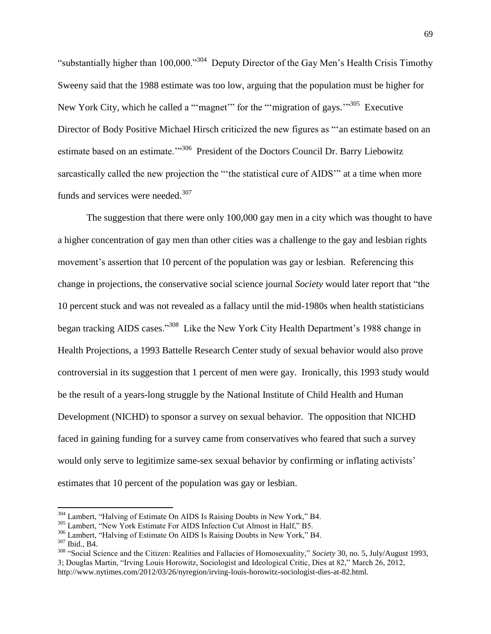"substantially higher than 100,000."<sup>304</sup> Deputy Director of the Gay Men's Health Crisis Timothy Sweeny said that the 1988 estimate was too low, arguing that the population must be higher for New York City, which he called a ""magnet"" for the ""migration of gays."<sup>305</sup> Executive Director of Body Positive Michael Hirsch criticized the new figures as ""an estimate based on an estimate based on an estimate."<sup>306</sup> President of the Doctors Council Dr. Barry Liebowitz sarcastically called the new projection the ""the statistical cure of AIDS"" at a time when more funds and services were needed.<sup>307</sup>

The suggestion that there were only 100,000 gay men in a city which was thought to have a higher concentration of gay men than other cities was a challenge to the gay and lesbian rights movement's assertion that 10 percent of the population was gay or lesbian. Referencing this change in projections, the conservative social science journal *Society* would later report that "the 10 percent stuck and was not revealed as a fallacy until the mid-1980s when health statisticians began tracking AIDS cases."<sup>308</sup> Like the New York City Health Department's 1988 change in Health Projections, a 1993 Battelle Research Center study of sexual behavior would also prove controversial in its suggestion that 1 percent of men were gay. Ironically, this 1993 study would be the result of a years-long struggle by the National Institute of Child Health and Human Development (NICHD) to sponsor a survey on sexual behavior. The opposition that NICHD faced in gaining funding for a survey came from conservatives who feared that such a survey would only serve to legitimize same-sex sexual behavior by confirming or inflating activists' estimates that 10 percent of the population was gay or lesbian.

<sup>&</sup>lt;sup>304</sup> Lambert, "Halving of Estimate On AIDS Is Raising Doubts in New York," B4.

<sup>&</sup>lt;sup>305</sup> Lambert, "New York Estimate For AIDS Infection Cut Almost in Half," B5.

<sup>306</sup> Lambert, "Halving of Estimate On AIDS Is Raising Doubts in New York," B4.

 $307$  Ibid., B4.

<sup>308</sup> "Social Science and the Citizen: Realities and Fallacies of Homosexuality," *Society* 30, no. 5, July/August 1993, 3; Douglas Martin, "Irving Louis Horowitz, Sociologist and Ideological Critic, Dies at 82," March 26, 2012, http://www.nytimes.com/2012/03/26/nyregion/irving-louis-horowitz-sociologist-dies-at-82.html.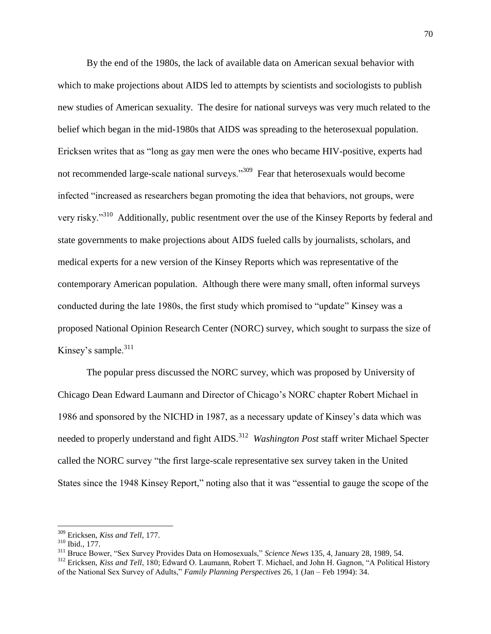By the end of the 1980s, the lack of available data on American sexual behavior with which to make projections about AIDS led to attempts by scientists and sociologists to publish new studies of American sexuality. The desire for national surveys was very much related to the belief which began in the mid-1980s that AIDS was spreading to the heterosexual population. Ericksen writes that as "long as gay men were the ones who became HIV-positive, experts had not recommended large-scale national surveys."<sup>309</sup> Fear that heterosexuals would become infected "increased as researchers began promoting the idea that behaviors, not groups, were very risky."<sup>310</sup> Additionally, public resentment over the use of the Kinsey Reports by federal and state governments to make projections about AIDS fueled calls by journalists, scholars, and medical experts for a new version of the Kinsey Reports which was representative of the contemporary American population. Although there were many small, often informal surveys conducted during the late 1980s, the first study which promised to "update" Kinsey was a proposed National Opinion Research Center (NORC) survey, which sought to surpass the size of Kinsey's sample. $311$ 

The popular press discussed the NORC survey, which was proposed by University of Chicago Dean Edward Laumann and Director of Chicago"s NORC chapter Robert Michael in 1986 and sponsored by the NICHD in 1987, as a necessary update of Kinsey"s data which was needed to properly understand and fight AIDS.<sup>312</sup> Washington Post staff writer Michael Specter called the NORC survey "the first large-scale representative sex survey taken in the United States since the 1948 Kinsey Report," noting also that it was "essential to gauge the scope of the

 $\overline{a}$ 

<sup>309</sup> Ericksen, *Kiss and Tell*, 177.

<sup>310</sup> Ibid., 177.

<sup>311</sup> Bruce Bower, "Sex Survey Provides Data on Homosexuals," *Science News* 135, 4, January 28, 1989, 54.

<sup>&</sup>lt;sup>312</sup> Ericksen, *Kiss and Tell*, 180; Edward O. Laumann, Robert T. Michael, and John H. Gagnon, "A Political History of the National Sex Survey of Adults," *Family Planning Perspectives* 26, 1 (Jan – Feb 1994): 34.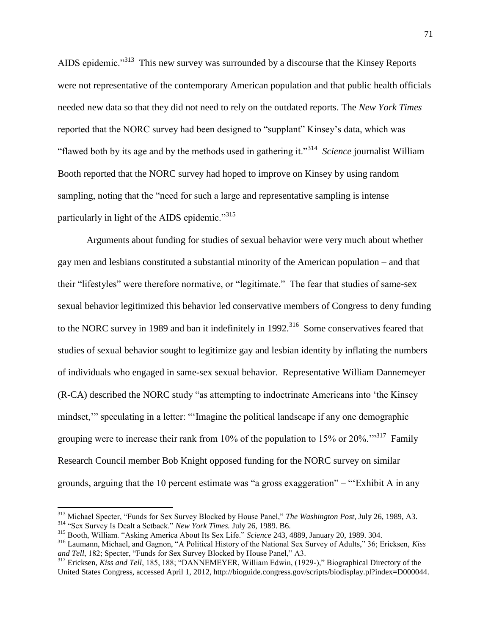AIDS epidemic."<sup>313</sup> This new survey was surrounded by a discourse that the Kinsey Reports were not representative of the contemporary American population and that public health officials needed new data so that they did not need to rely on the outdated reports. The *New York Times* reported that the NORC survey had been designed to "supplant" Kinsey"s data, which was "flawed both by its age and by the methods used in gathering it."<sup>314</sup> *Science* journalist William Booth reported that the NORC survey had hoped to improve on Kinsey by using random sampling, noting that the "need for such a large and representative sampling is intense particularly in light of the AIDS epidemic."<sup>315</sup>

Arguments about funding for studies of sexual behavior were very much about whether gay men and lesbians constituted a substantial minority of the American population – and that their "lifestyles" were therefore normative, or "legitimate." The fear that studies of same-sex sexual behavior legitimized this behavior led conservative members of Congress to deny funding to the NORC survey in 1989 and ban it indefinitely in  $1992$ .<sup>316</sup> Some conservatives feared that studies of sexual behavior sought to legitimize gay and lesbian identity by inflating the numbers of individuals who engaged in same-sex sexual behavior. Representative William Dannemeyer (R-CA) described the NORC study "as attempting to indoctrinate Americans into "the Kinsey mindset," speculating in a letter: "'Imagine the political landscape if any one demographic grouping were to increase their rank from 10% of the population to 15% or 20%. $\cdot$ <sup>317</sup> Family Research Council member Bob Knight opposed funding for the NORC survey on similar grounds, arguing that the 10 percent estimate was "a gross exaggeration" – ""Exhibit A in any

<sup>313</sup> Michael Specter, "Funds for Sex Survey Blocked by House Panel," *The Washington Post*, July 26, 1989, A3. <sup>314</sup> "Sex Survey Is Dealt a Setback." *New York Times.* July 26, 1989. B6.

<sup>315</sup> Booth, William. "Asking America About Its Sex Life." *Science* 243, 4889, January 20, 1989. 304.

<sup>316</sup> Laumann, Michael, and Gagnon, "A Political History of the National Sex Survey of Adults," 36; Ericksen, *Kiss* 

*and Tell*, 182; Specter, "Funds for Sex Survey Blocked by House Panel," A3.

<sup>317</sup> Ericksen, *Kiss and Tell*, 185, 188; "DANNEMEYER, William Edwin, (1929-)," Biographical Directory of the United States Congress, accessed April 1, 2012, http://bioguide.congress.gov/scripts/biodisplay.pl?index=D000044.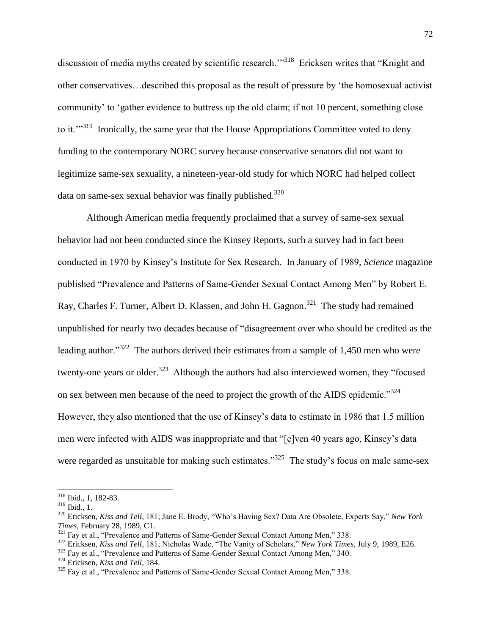discussion of media myths created by scientific research."<sup>318</sup> Ericksen writes that "Knight and other conservatives…described this proposal as the result of pressure by "the homosexual activist community" to "gather evidence to buttress up the old claim; if not 10 percent, something close to it.<sup> $11$ </sup> Ironically, the same year that the House Appropriations Committee voted to deny funding to the contemporary NORC survey because conservative senators did not want to legitimize same-sex sexuality, a nineteen-year-old study for which NORC had helped collect data on same-sex sexual behavior was finally published. $320$ 

Although American media frequently proclaimed that a survey of same-sex sexual behavior had not been conducted since the Kinsey Reports, such a survey had in fact been conducted in 1970 by Kinsey"s Institute for Sex Research. In January of 1989, *Science* magazine published "Prevalence and Patterns of Same-Gender Sexual Contact Among Men" by Robert E. Ray, Charles F. Turner, Albert D. Klassen, and John H. Gagnon.<sup>321</sup> The study had remained unpublished for nearly two decades because of "disagreement over who should be credited as the leading author."<sup>322</sup> The authors derived their estimates from a sample of 1,450 men who were twenty-one years or older.<sup>323</sup> Although the authors had also interviewed women, they "focused on sex between men because of the need to project the growth of the AIDS epidemic."<sup>324</sup> However, they also mentioned that the use of Kinsey"s data to estimate in 1986 that 1.5 million men were infected with AIDS was inappropriate and that "[e]ven 40 years ago, Kinsey"s data were regarded as unsuitable for making such estimates."<sup>325</sup> The study's focus on male same-sex

 $\overline{\phantom{a}}$ 

<sup>323</sup> Fay et al., "Prevalence and Patterns of Same-Gender Sexual Contact Among Men," 340.

<sup>318</sup> Ibid., 1, 182-83.

<sup>319</sup> Ibid., 1.

<sup>320</sup> Ericksen, *Kiss and Tell*, 181; Jane E. Brody, "Who"s Having Sex? Data Are Obsolete, Experts Say," *New York Times*, February 28, 1989, C1.

<sup>&</sup>lt;sup>321</sup> Fay et al., "Prevalence and Patterns of Same-Gender Sexual Contact Among Men," 338.

<sup>322</sup> Ericksen, *Kiss and Tell*, 181; Nicholas Wade, "The Vanity of Scholars," *New York Times*, July 9, 1989, E26.

<sup>324</sup> Ericksen, *Kiss and Tell*, 184.

<sup>&</sup>lt;sup>325</sup> Fay et al., "Prevalence and Patterns of Same-Gender Sexual Contact Among Men," 338.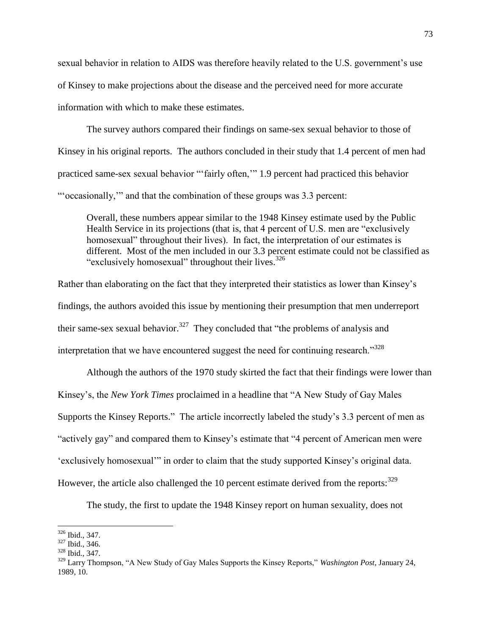sexual behavior in relation to AIDS was therefore heavily related to the U.S. government"s use of Kinsey to make projections about the disease and the perceived need for more accurate information with which to make these estimates.

The survey authors compared their findings on same-sex sexual behavior to those of Kinsey in his original reports. The authors concluded in their study that 1.4 percent of men had practiced same-sex sexual behavior ""fairly often,"" 1.9 percent had practiced this behavior ""occasionally,"" and that the combination of these groups was 3.3 percent:

Overall, these numbers appear similar to the 1948 Kinsey estimate used by the Public Health Service in its projections (that is, that 4 percent of U.S. men are "exclusively homosexual" throughout their lives). In fact, the interpretation of our estimates is different. Most of the men included in our 3.3 percent estimate could not be classified as "exclusively homosexual" throughout their lives.<sup>326</sup>

Rather than elaborating on the fact that they interpreted their statistics as lower than Kinsey"s findings, the authors avoided this issue by mentioning their presumption that men underreport their same-sex sexual behavior.<sup>327</sup> They concluded that "the problems of analysis and interpretation that we have encountered suggest the need for continuing research. $1^{328}$ 

Although the authors of the 1970 study skirted the fact that their findings were lower than Kinsey"s, the *New York Times* proclaimed in a headline that "A New Study of Gay Males Supports the Kinsey Reports." The article incorrectly labeled the study"s 3.3 percent of men as "actively gay" and compared them to Kinsey"s estimate that "4 percent of American men were "exclusively homosexual"" in order to claim that the study supported Kinsey"s original data. However, the article also challenged the 10 percent estimate derived from the reports:  $329$ 

The study, the first to update the 1948 Kinsey report on human sexuality, does not

 $\overline{a}$ <sup>326</sup> Ibid., 347.

<sup>327</sup> Ibid., 346.

<sup>328</sup> Ibid., 347.

<sup>329</sup> Larry Thompson, "A New Study of Gay Males Supports the Kinsey Reports," *Washington Post*, January 24, 1989, 10.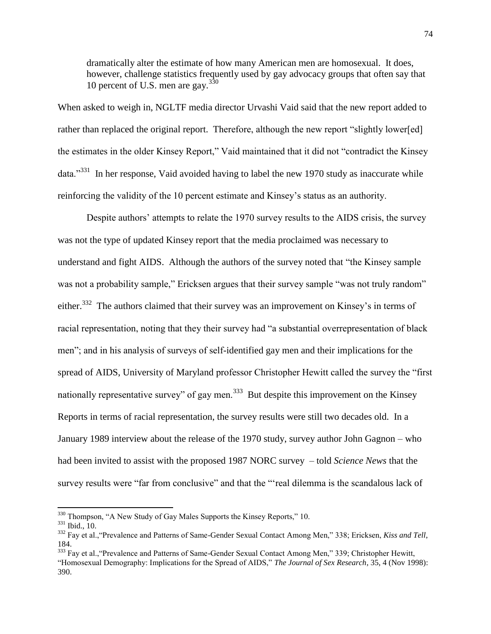dramatically alter the estimate of how many American men are homosexual. It does, however, challenge statistics frequently used by gay advocacy groups that often say that 10 percent of U.S. men are gay. $3\frac{30}{9}$ 

When asked to weigh in, NGLTF media director Urvashi Vaid said that the new report added to rather than replaced the original report. Therefore, although the new report "slightly lower[ed] the estimates in the older Kinsey Report," Vaid maintained that it did not "contradict the Kinsey data."<sup>331</sup> In her response, Vaid avoided having to label the new 1970 study as inaccurate while reinforcing the validity of the 10 percent estimate and Kinsey"s status as an authority.

Despite authors' attempts to relate the 1970 survey results to the AIDS crisis, the survey was not the type of updated Kinsey report that the media proclaimed was necessary to understand and fight AIDS. Although the authors of the survey noted that "the Kinsey sample was not a probability sample," Ericksen argues that their survey sample "was not truly random" either.<sup>332</sup> The authors claimed that their survey was an improvement on Kinsey's in terms of racial representation, noting that they their survey had "a substantial overrepresentation of black men"; and in his analysis of surveys of self-identified gay men and their implications for the spread of AIDS, University of Maryland professor Christopher Hewitt called the survey the "first nationally representative survey" of gay men.<sup>333</sup> But despite this improvement on the Kinsey Reports in terms of racial representation, the survey results were still two decades old. In a January 1989 interview about the release of the 1970 study, survey author John Gagnon – who had been invited to assist with the proposed 1987 NORC survey – told *Science News* that the survey results were "far from conclusive" and that the ""real dilemma is the scandalous lack of

 $330$  Thompson, "A New Study of Gay Males Supports the Kinsey Reports," 10.

<sup>331</sup> Ibid., 10.

<sup>332</sup> Fay et al.,"Prevalence and Patterns of Same-Gender Sexual Contact Among Men," 338; Ericksen, *Kiss and Tell*, 184.

<sup>&</sup>lt;sup>333</sup> Fay et al., "Prevalence and Patterns of Same-Gender Sexual Contact Among Men," 339; Christopher Hewitt, "Homosexual Demography: Implications for the Spread of AIDS," *The Journal of Sex Research*, 35, 4 (Nov 1998): 390.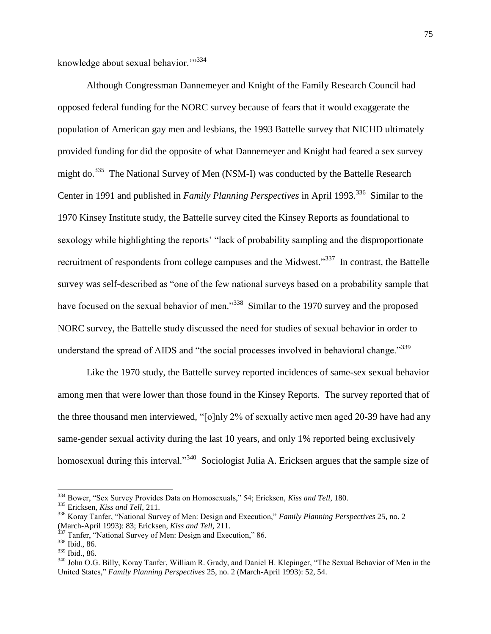knowledge about sexual behavior."<sup>334</sup>

Although Congressman Dannemeyer and Knight of the Family Research Council had opposed federal funding for the NORC survey because of fears that it would exaggerate the population of American gay men and lesbians, the 1993 Battelle survey that NICHD ultimately provided funding for did the opposite of what Dannemeyer and Knight had feared a sex survey might do.<sup>335</sup> The National Survey of Men (NSM-I) was conducted by the Battelle Research Center in 1991 and published in *Family Planning Perspectives* in April 1993.<sup>336</sup> Similar to the 1970 Kinsey Institute study, the Battelle survey cited the Kinsey Reports as foundational to sexology while highlighting the reports' "lack of probability sampling and the disproportionate recruitment of respondents from college campuses and the Midwest."<sup>337</sup> In contrast, the Battelle survey was self-described as "one of the few national surveys based on a probability sample that have focused on the sexual behavior of men."<sup>338</sup> Similar to the 1970 survey and the proposed NORC survey, the Battelle study discussed the need for studies of sexual behavior in order to understand the spread of AIDS and "the social processes involved in behavioral change."<sup>339</sup>

Like the 1970 study, the Battelle survey reported incidences of same-sex sexual behavior among men that were lower than those found in the Kinsey Reports. The survey reported that of the three thousand men interviewed, "[o]nly 2% of sexually active men aged 20-39 have had any same-gender sexual activity during the last 10 years, and only 1% reported being exclusively homosexual during this interval."<sup>340</sup> Sociologist Julia A. Ericksen argues that the sample size of

<sup>334</sup> Bower, "Sex Survey Provides Data on Homosexuals," 54; Ericksen, *Kiss and Tell*, 180.

<sup>335</sup> Ericksen, *Kiss and Tell*, 211.

<sup>336</sup> Koray Tanfer, "National Survey of Men: Design and Execution," *Family Planning Perspectives* 25, no. 2 (March-April 1993): 83; Ericksen, *Kiss and Tell*, 211.

<sup>&</sup>lt;sup>337</sup> Tanfer, "National Survey of Men: Design and Execution," 86.

<sup>338</sup> Ibid., 86.

<sup>339</sup> Ibid., 86.

<sup>&</sup>lt;sup>340</sup> John O.G. Billy, Koray Tanfer, William R. Grady, and Daniel H. Klepinger, "The Sexual Behavior of Men in the United States," *Family Planning Perspectives* 25, no. 2 (March-April 1993): 52, 54.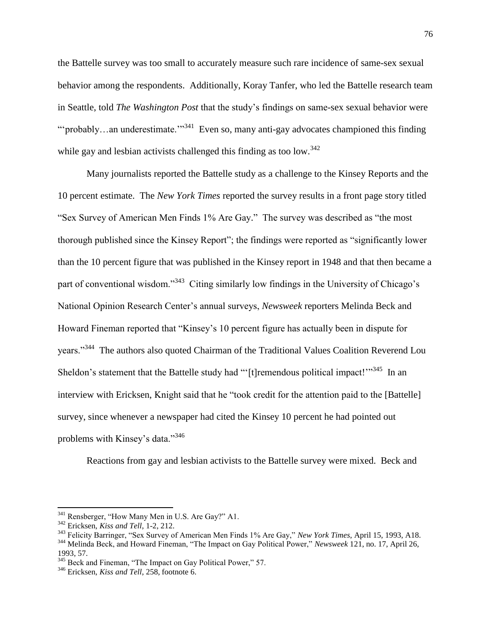the Battelle survey was too small to accurately measure such rare incidence of same-sex sexual behavior among the respondents. Additionally, Koray Tanfer, who led the Battelle research team in Seattle, told *The Washington Post* that the study"s findings on same-sex sexual behavior were "'probably...an underestimate."<sup>341</sup> Even so, many anti-gay advocates championed this finding while gay and lesbian activists challenged this finding as too low.<sup>342</sup>

Many journalists reported the Battelle study as a challenge to the Kinsey Reports and the 10 percent estimate. The *New York Times* reported the survey results in a front page story titled "Sex Survey of American Men Finds 1% Are Gay." The survey was described as "the most thorough published since the Kinsey Report"; the findings were reported as "significantly lower than the 10 percent figure that was published in the Kinsey report in 1948 and that then became a part of conventional wisdom."<sup>343</sup> Citing similarly low findings in the University of Chicago's National Opinion Research Center"s annual surveys, *Newsweek* reporters Melinda Beck and Howard Fineman reported that "Kinsey's 10 percent figure has actually been in dispute for years."<sup>344</sup> The authors also quoted Chairman of the Traditional Values Coalition Reverend Lou Sheldon's statement that the Battelle study had "'[t]remendous political impact!"<sup>345</sup> In an interview with Ericksen, Knight said that he "took credit for the attention paid to the [Battelle] survey, since whenever a newspaper had cited the Kinsey 10 percent he had pointed out problems with Kinsey's data."<sup>346</sup>

Reactions from gay and lesbian activists to the Battelle survey were mixed. Beck and

 $341$  Rensberger, "How Many Men in U.S. Are Gay?" A1.

<sup>342</sup> Ericksen, *Kiss and Tell*, 1-2, 212.

<sup>343</sup> Felicity Barringer, "Sex Survey of American Men Finds 1% Are Gay," *New York Times*, April 15, 1993, A18. <sup>344</sup> Melinda Beck, and Howard Fineman, "The Impact on Gay Political Power," *Newsweek* 121, no. 17, April 26, 1993, 57.

<sup>&</sup>lt;sup>345</sup> Beck and Fineman, "The Impact on Gay Political Power," 57.

<sup>346</sup> Ericksen, *Kiss and Tell*, 258, footnote 6.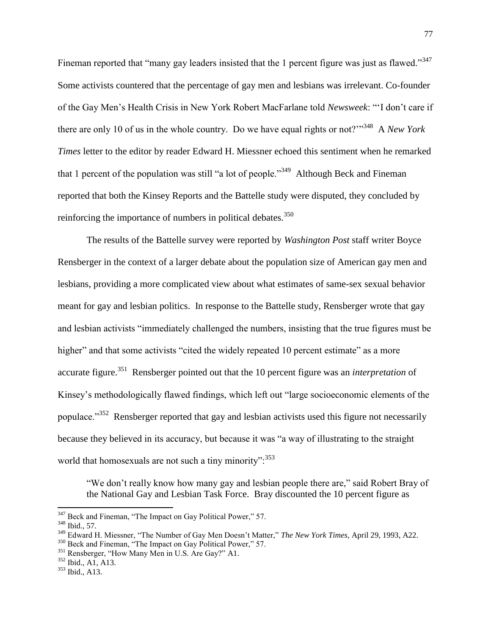Fineman reported that "many gay leaders insisted that the 1 percent figure was just as flawed."<sup>347</sup> Some activists countered that the percentage of gay men and lesbians was irrelevant. Co-founder of the Gay Men"s Health Crisis in New York Robert MacFarlane told *Newsweek*: ""I don"t care if there are only 10 of us in the whole country. Do we have equal rights or not?""<sup>348</sup> A *New York Times* letter to the editor by reader Edward H. Miessner echoed this sentiment when he remarked that 1 percent of the population was still "a lot of people."<sup>349</sup> Although Beck and Fineman reported that both the Kinsey Reports and the Battelle study were disputed, they concluded by reinforcing the importance of numbers in political debates. $350$ 

The results of the Battelle survey were reported by *Washington Post* staff writer Boyce Rensberger in the context of a larger debate about the population size of American gay men and lesbians, providing a more complicated view about what estimates of same-sex sexual behavior meant for gay and lesbian politics. In response to the Battelle study, Rensberger wrote that gay and lesbian activists "immediately challenged the numbers, insisting that the true figures must be higher" and that some activists "cited the widely repeated 10 percent estimate" as a more accurate figure.<sup>351</sup> Rensberger pointed out that the 10 percent figure was an *interpretation* of Kinsey"s methodologically flawed findings, which left out "large socioeconomic elements of the populace."<sup>352</sup> Rensberger reported that gay and lesbian activists used this figure not necessarily because they believed in its accuracy, but because it was "a way of illustrating to the straight world that homosexuals are not such a tiny minority":  $353$ 

"We don"t really know how many gay and lesbian people there are," said Robert Bray of the National Gay and Lesbian Task Force. Bray discounted the 10 percent figure as

 $347$  Beck and Fineman, "The Impact on Gay Political Power," 57.

<sup>348</sup> Ibid., 57.

<sup>349</sup> Edward H. Miessner, "The Number of Gay Men Doesn"t Matter," *The New York Times*, April 29, 1993, A22.

<sup>&</sup>lt;sup>350</sup> Beck and Fineman, "The Impact on Gay Political Power," 57.

<sup>351</sup> Rensberger, "How Many Men in U.S. Are Gay?" A1.

 $352$  Ibid., A<sub>1</sub>, A<sub>13</sub>.

<sup>353</sup> Ibid., A13.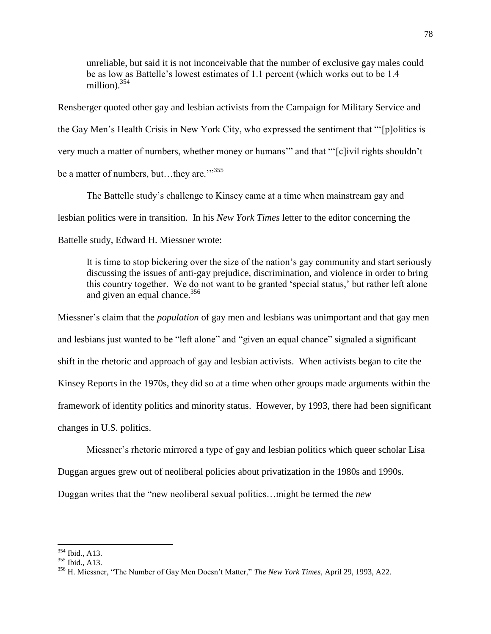unreliable, but said it is not inconceivable that the number of exclusive gay males could be as low as Battelle"s lowest estimates of 1.1 percent (which works out to be 1.4 million). $354$ 

Rensberger quoted other gay and lesbian activists from the Campaign for Military Service and the Gay Men"s Health Crisis in New York City, who expressed the sentiment that ""[p]olitics is very much a matter of numbers, whether money or humans" and that ""[c]ivil rights shouldn't be a matter of numbers, but... they are." $355$ 

The Battelle study"s challenge to Kinsey came at a time when mainstream gay and lesbian politics were in transition. In his *New York Times* letter to the editor concerning the Battelle study, Edward H. Miessner wrote:

It is time to stop bickering over the size of the nation"s gay community and start seriously discussing the issues of anti-gay prejudice, discrimination, and violence in order to bring this country together. We do not want to be granted "special status," but rather left alone and given an equal chance.<sup>356</sup>

Miessner"s claim that the *population* of gay men and lesbians was unimportant and that gay men and lesbians just wanted to be "left alone" and "given an equal chance" signaled a significant shift in the rhetoric and approach of gay and lesbian activists. When activists began to cite the Kinsey Reports in the 1970s, they did so at a time when other groups made arguments within the framework of identity politics and minority status. However, by 1993, there had been significant changes in U.S. politics.

Miessner"s rhetoric mirrored a type of gay and lesbian politics which queer scholar Lisa

Duggan argues grew out of neoliberal policies about privatization in the 1980s and 1990s.

Duggan writes that the "new neoliberal sexual politics…might be termed the *new* 

<sup>354</sup> Ibid., A13.

<sup>355</sup> Ibid., A13.

<sup>356</sup> H. Miessner, "The Number of Gay Men Doesn"t Matter," *The New York Times*, April 29, 1993, A22.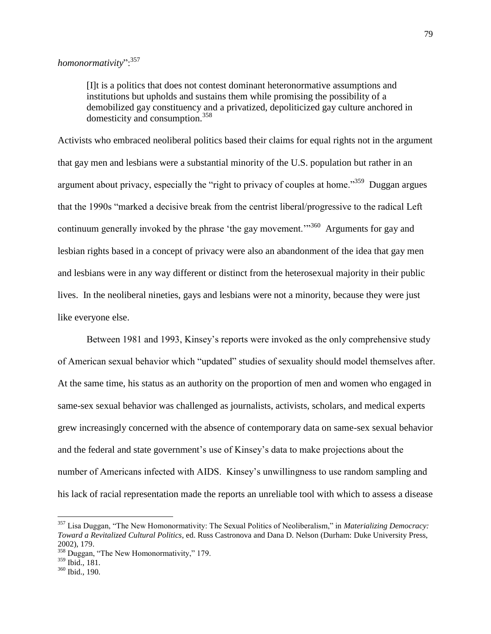[I]t is a politics that does not contest dominant heteronormative assumptions and institutions but upholds and sustains them while promising the possibility of a demobilized gay constituency and a privatized, depoliticized gay culture anchored in domesticity and consumption.<sup>358</sup>

Activists who embraced neoliberal politics based their claims for equal rights not in the argument that gay men and lesbians were a substantial minority of the U.S. population but rather in an argument about privacy, especially the "right to privacy of couples at home."<sup>359</sup> Duggan argues that the 1990s "marked a decisive break from the centrist liberal/progressive to the radical Left continuum generally invoked by the phrase 'the gay movement."<sup>360</sup> Arguments for gay and lesbian rights based in a concept of privacy were also an abandonment of the idea that gay men and lesbians were in any way different or distinct from the heterosexual majority in their public lives. In the neoliberal nineties, gays and lesbians were not a minority, because they were just like everyone else.

Between 1981 and 1993, Kinsey's reports were invoked as the only comprehensive study of American sexual behavior which "updated" studies of sexuality should model themselves after. At the same time, his status as an authority on the proportion of men and women who engaged in same-sex sexual behavior was challenged as journalists, activists, scholars, and medical experts grew increasingly concerned with the absence of contemporary data on same-sex sexual behavior and the federal and state government's use of Kinsey's data to make projections about the number of Americans infected with AIDS. Kinsey"s unwillingness to use random sampling and his lack of racial representation made the reports an unreliable tool with which to assess a disease

l

<sup>357</sup> Lisa Duggan, "The New Homonormativity: The Sexual Politics of Neoliberalism," in *Materializing Democracy: Toward a Revitalized Cultural Politics*, ed. Russ Castronova and Dana D. Nelson (Durham: Duke University Press, 2002), 179.

 $358$  Duggan, "The New Homonormativity," 179.

<sup>359</sup> Ibid., 181.

<sup>360</sup> Ibid., 190.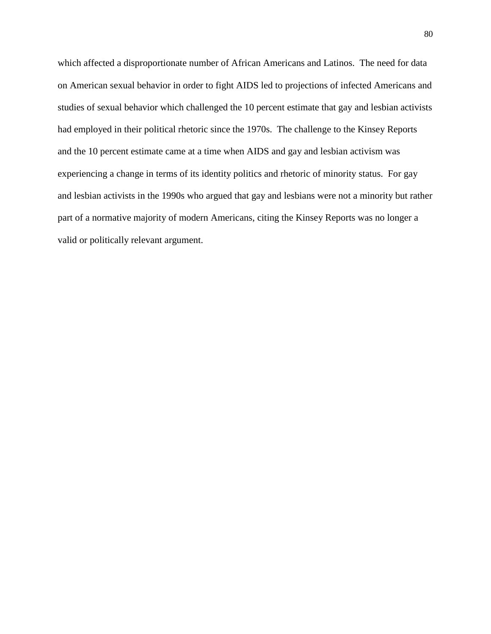which affected a disproportionate number of African Americans and Latinos. The need for data on American sexual behavior in order to fight AIDS led to projections of infected Americans and studies of sexual behavior which challenged the 10 percent estimate that gay and lesbian activists had employed in their political rhetoric since the 1970s. The challenge to the Kinsey Reports and the 10 percent estimate came at a time when AIDS and gay and lesbian activism was experiencing a change in terms of its identity politics and rhetoric of minority status. For gay and lesbian activists in the 1990s who argued that gay and lesbians were not a minority but rather part of a normative majority of modern Americans, citing the Kinsey Reports was no longer a valid or politically relevant argument.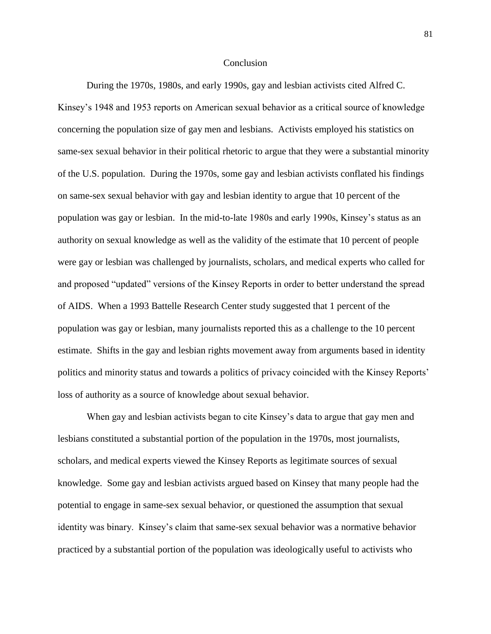## **Conclusion**

During the 1970s, 1980s, and early 1990s, gay and lesbian activists cited Alfred C. Kinsey"s 1948 and 1953 reports on American sexual behavior as a critical source of knowledge concerning the population size of gay men and lesbians. Activists employed his statistics on same-sex sexual behavior in their political rhetoric to argue that they were a substantial minority of the U.S. population. During the 1970s, some gay and lesbian activists conflated his findings on same-sex sexual behavior with gay and lesbian identity to argue that 10 percent of the population was gay or lesbian. In the mid-to-late 1980s and early 1990s, Kinsey"s status as an authority on sexual knowledge as well as the validity of the estimate that 10 percent of people were gay or lesbian was challenged by journalists, scholars, and medical experts who called for and proposed "updated" versions of the Kinsey Reports in order to better understand the spread of AIDS. When a 1993 Battelle Research Center study suggested that 1 percent of the population was gay or lesbian, many journalists reported this as a challenge to the 10 percent estimate. Shifts in the gay and lesbian rights movement away from arguments based in identity politics and minority status and towards a politics of privacy coincided with the Kinsey Reports" loss of authority as a source of knowledge about sexual behavior.

When gay and lesbian activists began to cite Kinsey"s data to argue that gay men and lesbians constituted a substantial portion of the population in the 1970s, most journalists, scholars, and medical experts viewed the Kinsey Reports as legitimate sources of sexual knowledge. Some gay and lesbian activists argued based on Kinsey that many people had the potential to engage in same-sex sexual behavior, or questioned the assumption that sexual identity was binary. Kinsey"s claim that same-sex sexual behavior was a normative behavior practiced by a substantial portion of the population was ideologically useful to activists who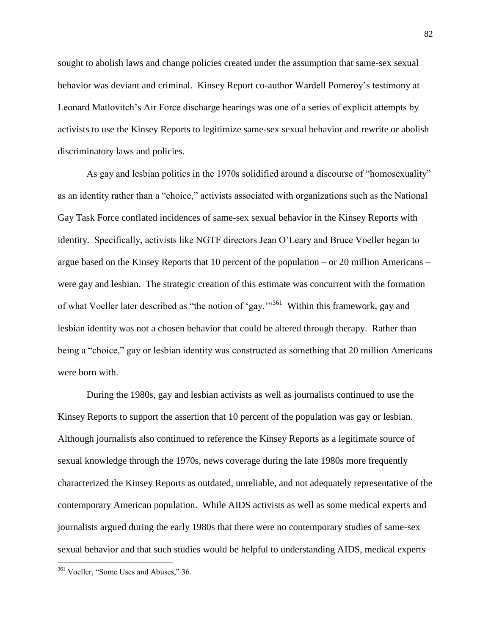sought to abolish laws and change policies created under the assumption that same-sex sexual behavior was deviant and criminal. Kinsey Report co-author Wardell Pomeroy's testimony at Leonard Matlovitch"s Air Force discharge hearings was one of a series of explicit attempts by activists to use the Kinsey Reports to legitimize same-sex sexual behavior and rewrite or abolish discriminatory laws and policies.

As gay and lesbian politics in the 1970s solidified around a discourse of "homosexuality" as an identity rather than a "choice," activists associated with organizations such as the National Gay Task Force conflated incidences of same-sex sexual behavior in the Kinsey Reports with identity. Specifically, activists like NGTF directors Jean O"Leary and Bruce Voeller began to argue based on the Kinsey Reports that 10 percent of the population – or 20 million Americans – were gay and lesbian. The strategic creation of this estimate was concurrent with the formation of what Voeller later described as "the notion of 'gay."<sup>361</sup> Within this framework, gay and lesbian identity was not a chosen behavior that could be altered through therapy. Rather than being a "choice," gay or lesbian identity was constructed as something that 20 million Americans were born with.

During the 1980s, gay and lesbian activists as well as journalists continued to use the Kinsey Reports to support the assertion that 10 percent of the population was gay or lesbian. Although journalists also continued to reference the Kinsey Reports as a legitimate source of sexual knowledge through the 1970s, news coverage during the late 1980s more frequently characterized the Kinsey Reports as outdated, unreliable, and not adequately representative of the contemporary American population. While AIDS activists as well as some medical experts and journalists argued during the early 1980s that there were no contemporary studies of same-sex sexual behavior and that such studies would be helpful to understanding AIDS, medical experts

<sup>&</sup>lt;sup>361</sup> Voeller, "Some Uses and Abuses," 36.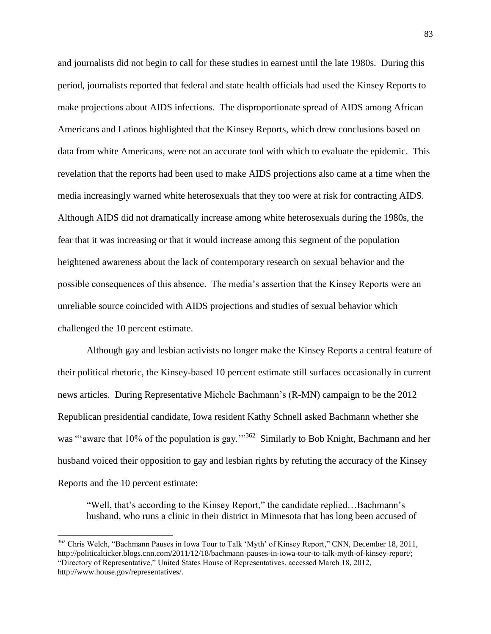and journalists did not begin to call for these studies in earnest until the late 1980s. During this period, journalists reported that federal and state health officials had used the Kinsey Reports to make projections about AIDS infections. The disproportionate spread of AIDS among African Americans and Latinos highlighted that the Kinsey Reports, which drew conclusions based on data from white Americans, were not an accurate tool with which to evaluate the epidemic. This revelation that the reports had been used to make AIDS projections also came at a time when the media increasingly warned white heterosexuals that they too were at risk for contracting AIDS. Although AIDS did not dramatically increase among white heterosexuals during the 1980s, the fear that it was increasing or that it would increase among this segment of the population heightened awareness about the lack of contemporary research on sexual behavior and the possible consequences of this absence. The media"s assertion that the Kinsey Reports were an unreliable source coincided with AIDS projections and studies of sexual behavior which challenged the 10 percent estimate.

Although gay and lesbian activists no longer make the Kinsey Reports a central feature of their political rhetoric, the Kinsey-based 10 percent estimate still surfaces occasionally in current news articles. During Representative Michele Bachmann"s (R-MN) campaign to be the 2012 Republican presidential candidate, Iowa resident Kathy Schnell asked Bachmann whether she was "'aware that 10% of the population is gay."<sup>362</sup> Similarly to Bob Knight, Bachmann and her husband voiced their opposition to gay and lesbian rights by refuting the accuracy of the Kinsey Reports and the 10 percent estimate:

"Well, that's according to the Kinsey Report," the candidate replied...Bachmann's husband, who runs a clinic in their district in Minnesota that has long been accused of

<sup>&</sup>lt;sup>362</sup> Chris Welch, "Bachmann Pauses in Iowa Tour to Talk 'Myth' of Kinsey Report," CNN, December 18, 2011, [http://politicalticker.blogs.cnn.com/2011/12/18/bachmann-pauses-in-iowa-tour-to-talk-myth-of-kinsey-report/;](http://politicalticker.blogs.cnn.com/2011/12/18/bachmann-pauses-in-iowa-tour-to-talk-myth-of-kinsey-report/) "Directory of Representative," United States House of Representatives, accessed March 18, 2012, http://www.house.gov/representatives/.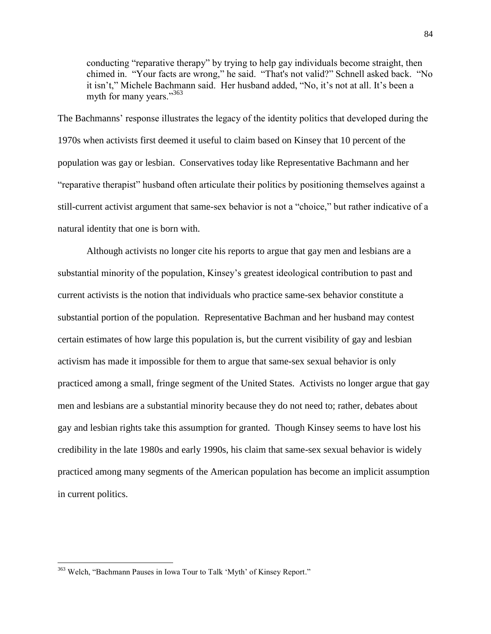conducting "reparative therapy" by trying to help gay individuals become straight, then chimed in. "Your facts are wrong," he said. "That's not valid?" Schnell asked back. "No it isn"t," Michele Bachmann said. Her husband added, "No, it"s not at all. It"s been a myth for many years."363

The Bachmanns' response illustrates the legacy of the identity politics that developed during the 1970s when activists first deemed it useful to claim based on Kinsey that 10 percent of the population was gay or lesbian. Conservatives today like Representative Bachmann and her "reparative therapist" husband often articulate their politics by positioning themselves against a still-current activist argument that same-sex behavior is not a "choice," but rather indicative of a natural identity that one is born with.

Although activists no longer cite his reports to argue that gay men and lesbians are a substantial minority of the population, Kinsey's greatest ideological contribution to past and current activists is the notion that individuals who practice same-sex behavior constitute a substantial portion of the population. Representative Bachman and her husband may contest certain estimates of how large this population is, but the current visibility of gay and lesbian activism has made it impossible for them to argue that same-sex sexual behavior is only practiced among a small, fringe segment of the United States. Activists no longer argue that gay men and lesbians are a substantial minority because they do not need to; rather, debates about gay and lesbian rights take this assumption for granted. Though Kinsey seems to have lost his credibility in the late 1980s and early 1990s, his claim that same-sex sexual behavior is widely practiced among many segments of the American population has become an implicit assumption in current politics.

<sup>&</sup>lt;sup>363</sup> Welch, "Bachmann Pauses in Iowa Tour to Talk 'Myth' of Kinsey Report."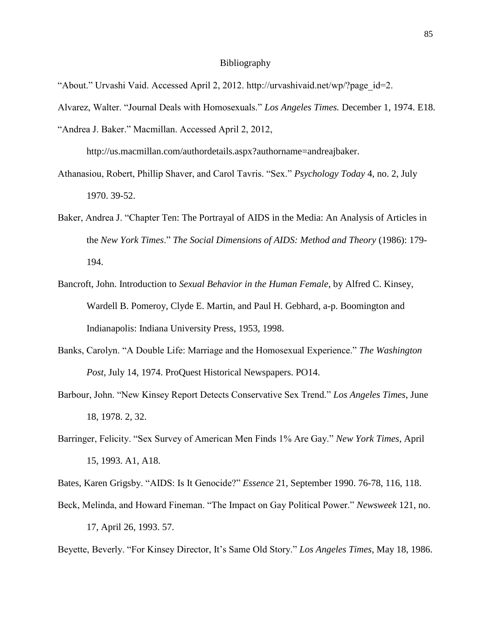## Bibliography

- "About." Urvashi Vaid. Accessed April 2, 2012. http://urvashivaid.net/wp/?page\_id=2.
- Alvarez, Walter. "Journal Deals with Homosexuals." *Los Angeles Times.* December 1, 1974. E18.
- "Andrea J. Baker." Macmillan. Accessed April 2, 2012,

http://us.macmillan.com/authordetails.aspx?authorname=andreajbaker.

- Athanasiou, Robert, Phillip Shaver, and Carol Tavris. "Sex." *Psychology Today* 4, no. 2, July 1970. 39-52.
- Baker, Andrea J. "Chapter Ten: The Portrayal of AIDS in the Media: An Analysis of Articles in the *New York Times*." *The Social Dimensions of AIDS: Method and Theory* (1986): 179- 194.
- Bancroft, John. Introduction to *Sexual Behavior in the Human Female*, by Alfred C. Kinsey, Wardell B. Pomeroy, Clyde E. Martin, and Paul H. Gebhard, a-p. Boomington and Indianapolis: Indiana University Press, 1953, 1998.
- Banks, Carolyn. "A Double Life: Marriage and the Homosexual Experience." *The Washington Post,* July 14, 1974. ProQuest Historical Newspapers. PO14.
- Barbour, John. "New Kinsey Report Detects Conservative Sex Trend." *Los Angeles Times*, June 18, 1978. 2, 32.
- Barringer, Felicity. "Sex Survey of American Men Finds 1% Are Gay." *New York Times*, April 15, 1993. A1, A18.

Bates, Karen Grigsby. "AIDS: Is It Genocide?" *Essence* 21, September 1990. 76-78, 116, 118.

Beck, Melinda, and Howard Fineman. "The Impact on Gay Political Power." *Newsweek* 121, no. 17, April 26, 1993. 57.

Beyette, Beverly. "For Kinsey Director, It"s Same Old Story." *Los Angeles Times*, May 18, 1986.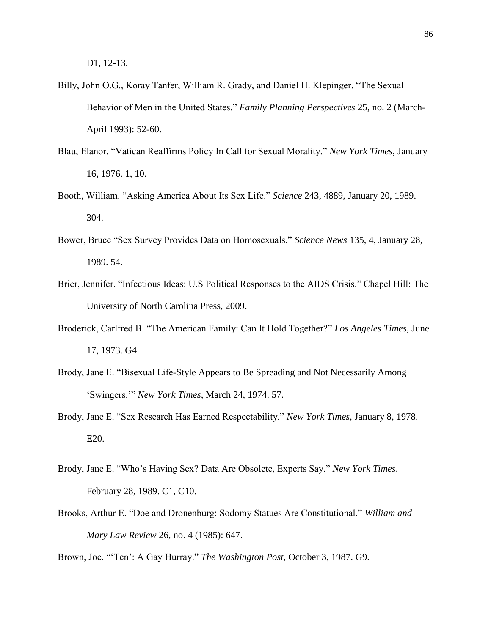D1, 12-13.

- Billy, John O.G., Koray Tanfer, William R. Grady, and Daniel H. Klepinger. "The Sexual Behavior of Men in the United States." *Family Planning Perspectives* 25, no. 2 (March-April 1993): 52-60.
- Blau, Elanor. "Vatican Reaffirms Policy In Call for Sexual Morality." *New York Times,* January 16, 1976. 1, 10.
- Booth, William. "Asking America About Its Sex Life." *Science* 243, 4889, January 20, 1989. 304.
- Bower, Bruce "Sex Survey Provides Data on Homosexuals." *Science News* 135, 4, January 28, 1989. 54.
- Brier, Jennifer. "Infectious Ideas: U.S Political Responses to the AIDS Crisis." Chapel Hill: The University of North Carolina Press, 2009.
- Broderick, Carlfred B. "The American Family: Can It Hold Together?" *Los Angeles Times*, June 17, 1973. G4.
- Brody, Jane E. "Bisexual Life-Style Appears to Be Spreading and Not Necessarily Among "Swingers."" *New York Times*, March 24, 1974. 57.
- Brody, Jane E. "Sex Research Has Earned Respectability." *New York Times,* January 8, 1978. E20.
- Brody, Jane E. "Who"s Having Sex? Data Are Obsolete, Experts Say." *New York Times*, February 28, 1989. C1, C10.
- Brooks, Arthur E. "Doe and Dronenburg: Sodomy Statues Are Constitutional." *William and Mary Law Review* 26, no. 4 (1985): 647.

Brown, Joe. ""Ten": A Gay Hurray." *The Washington Post*, October 3, 1987. G9.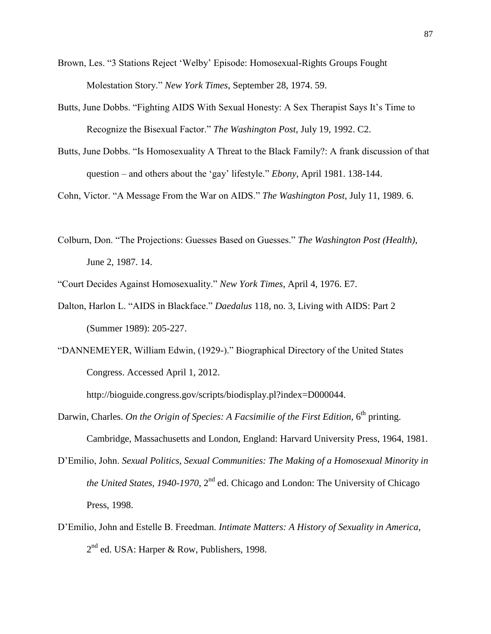- Brown, Les. "3 Stations Reject "Welby" Episode: Homosexual-Rights Groups Fought Molestation Story." *New York Times*, September 28, 1974. 59.
- Butts, June Dobbs. "Fighting AIDS With Sexual Honesty: A Sex Therapist Says It's Time to Recognize the Bisexual Factor." *The Washington Post*, July 19, 1992. C2.
- Butts, June Dobbs. "Is Homosexuality A Threat to the Black Family?: A frank discussion of that question – and others about the "gay" lifestyle." *Ebony*, April 1981. 138-144.

Cohn, Victor. "A Message From the War on AIDS." *The Washington Post*, July 11, 1989. 6.

Colburn, Don. "The Projections: Guesses Based on Guesses." *The Washington Post (Health)*, June 2, 1987. 14.

"Court Decides Against Homosexuality." *New York Times*, April 4, 1976. E7.

- Dalton, Harlon L. "AIDS in Blackface." *Daedalus* 118, no. 3, Living with AIDS: Part 2 (Summer 1989): 205-227.
- "DANNEMEYER, William Edwin, (1929-)." Biographical Directory of the United States Congress. Accessed April 1, 2012.

http://bioguide.congress.gov/scripts/biodisplay.pl?index=D000044.

- Darwin, Charles. On the Origin of Species: A Facsimilie of the First Edition, 6<sup>th</sup> printing. Cambridge, Massachusetts and London, England: Harvard University Press, 1964, 1981.
- D"Emilio, John. *Sexual Politics, Sexual Communities: The Making of a Homosexual Minority in the United States, 1940-1970,* 2<sup>nd</sup> ed. Chicago and London: The University of Chicago Press, 1998.
- D"Emilio, John and Estelle B. Freedman. *Intimate Matters: A History of Sexuality in America*, 2<sup>nd</sup> ed. USA: Harper & Row, Publishers, 1998.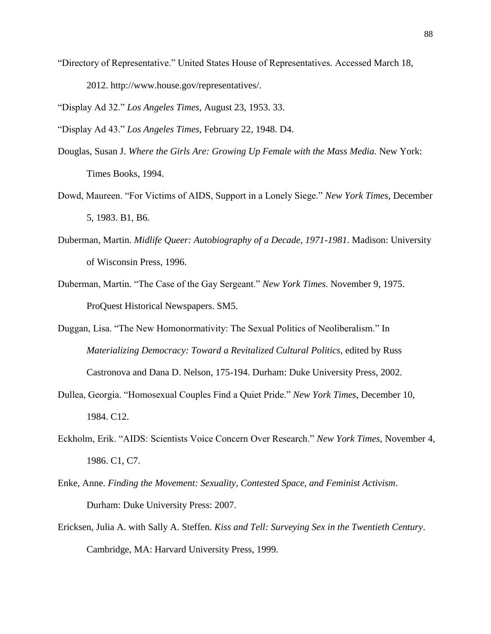"Directory of Representative." United States House of Representatives. Accessed March 18, 2012. http://www.house.gov/representatives/.

"Display Ad 32." *Los Angeles Times,* August 23, 1953. 33.

"Display Ad 43." *Los Angeles Times,* February 22, 1948. D4.

- Douglas, Susan J. Where the Girls Are: Growing Up Female with the Mass Media. New York: Times Books, 1994.
- Dowd, Maureen. "For Victims of AIDS, Support in a Lonely Siege." *New York Times*, December 5, 1983. B1, B6.
- Duberman, Martin. *Midlife Queer: Autobiography of a Decade, 1971-1981*. Madison: University of Wisconsin Press, 1996.
- Duberman, Martin. "The Case of the Gay Sergeant." *New York Times.* November 9, 1975. ProQuest Historical Newspapers. SM5.
- Duggan, Lisa. "The New Homonormativity: The Sexual Politics of Neoliberalism." In *Materializing Democracy: Toward a Revitalized Cultural Politics*, edited by Russ Castronova and Dana D. Nelson, 175-194. Durham: Duke University Press, 2002.
- Dullea, Georgia. "Homosexual Couples Find a Quiet Pride." *New York Times*, December 10, 1984. C12.
- Eckholm, Erik. "AIDS: Scientists Voice Concern Over Research." *New York Times*, November 4, 1986. C1, C7.
- Enke, Anne. *Finding the Movement: Sexuality, Contested Space, and Feminist Activism*. Durham: Duke University Press: 2007.
- Ericksen, Julia A. with Sally A. Steffen. *Kiss and Tell: Surveying Sex in the Twentieth Century*. Cambridge, MA: Harvard University Press, 1999.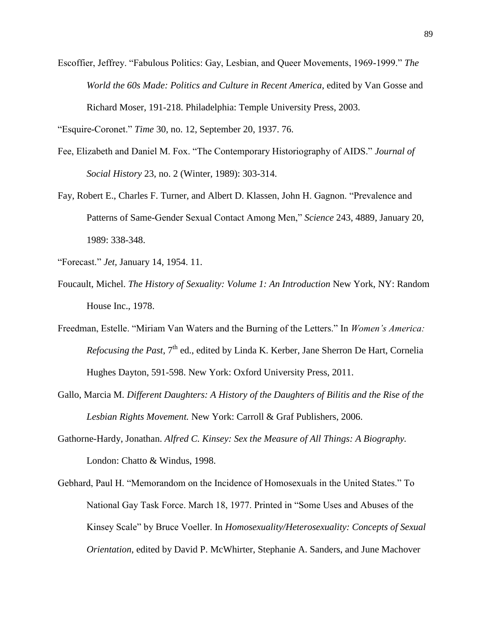Escoffier, Jeffrey. "Fabulous Politics: Gay, Lesbian, and Queer Movements, 1969-1999." *The World the 60s Made: Politics and Culture in Recent America*, edited by Van Gosse and Richard Moser, 191-218. Philadelphia: Temple University Press, 2003.

"Esquire-Coronet." *[Time](javascript:__doLinkPostBack()* 30, no. 12, September 20, 1937. 76.

- Fee, Elizabeth and Daniel M. Fox. "The Contemporary Historiography of AIDS." *Journal of Social History* 23, no. 2 (Winter, 1989): 303-314.
- Fay, Robert E., Charles F. Turner, and Albert D. Klassen, John H. Gagnon. "Prevalence and Patterns of Same-Gender Sexual Contact Among Men," *Science* 243, 4889, January 20, 1989: 338-348.
- "Forecast." *Jet,* January 14, 1954. 11.
- Foucault, Michel. *The History of Sexuality: Volume 1: An Introduction* New York, NY: Random House Inc., 1978.
- Freedman, Estelle. "Miriam Van Waters and the Burning of the Letters." In *Women's America: Refocusing the Past*, 7<sup>th</sup> ed., edited by Linda K. Kerber, Jane Sherron De Hart, Cornelia Hughes Dayton, 591-598. New York: Oxford University Press, 2011.
- Gallo, Marcia M. *Different Daughters: A History of the Daughters of Bilitis and the Rise of the Lesbian Rights Movement.* New York: Carroll & Graf Publishers, 2006.
- Gathorne-Hardy, Jonathan. *Alfred C. Kinsey: Sex the Measure of All Things: A Biography.*  London: Chatto & Windus, 1998.
- Gebhard, Paul H. "Memorandom on the Incidence of Homosexuals in the United States." To National Gay Task Force. March 18, 1977. Printed in "Some Uses and Abuses of the Kinsey Scale" by Bruce Voeller. In *Homosexuality/Heterosexuality: Concepts of Sexual Orientation*, edited by David P. McWhirter, Stephanie A. Sanders, and June Machover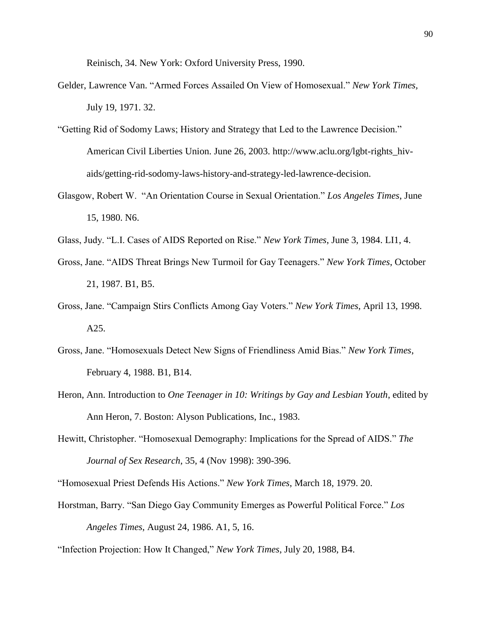Reinisch, 34. New York: Oxford University Press, 1990.

- Gelder, Lawrence Van. "Armed Forces Assailed On View of Homosexual." *New York Times,*  July 19, 1971. 32.
- "Getting Rid of Sodomy Laws; History and Strategy that Led to the Lawrence Decision." American Civil Liberties Union. June 26, 2003. [http://www.aclu.org/lgbt-rights\\_hiv](http://www.aclu.org/lgbt-rights_hiv-)aids/getting-rid-sodomy-laws-history-and-strategy-led-lawrence-decision.
- Glasgow, Robert W. "An Orientation Course in Sexual Orientation." *Los Angeles Times*, June 15, 1980. N6.
- Glass, Judy. "L.I. Cases of AIDS Reported on Rise." *New York Times*, June 3, 1984. LI1, 4.
- Gross, Jane. "AIDS Threat Brings New Turmoil for Gay Teenagers." *New York Times*, October 21, 1987. B1, B5.
- Gross, Jane. "Campaign Stirs Conflicts Among Gay Voters." *New York Times*, April 13, 1998. A25.
- Gross, Jane. "Homosexuals Detect New Signs of Friendliness Amid Bias." *New York Times*, February 4, 1988. B1, B14.
- Heron, Ann. Introduction to *One Teenager in 10: Writings by Gay and Lesbian Youth*, edited by Ann Heron, 7. Boston: Alyson Publications, Inc., 1983.
- Hewitt, Christopher. "Homosexual Demography: Implications for the Spread of AIDS." *The Journal of Sex Research*, 35, 4 (Nov 1998): 390-396.
- "Homosexual Priest Defends His Actions." *New York Times*, March 18, 1979. 20.
- Horstman, Barry. "San Diego Gay Community Emerges as Powerful Political Force." *Los Angeles Times*, August 24, 1986. A1, 5, 16.
- "Infection Projection: How It Changed," *New York Times*, July 20, 1988, B4.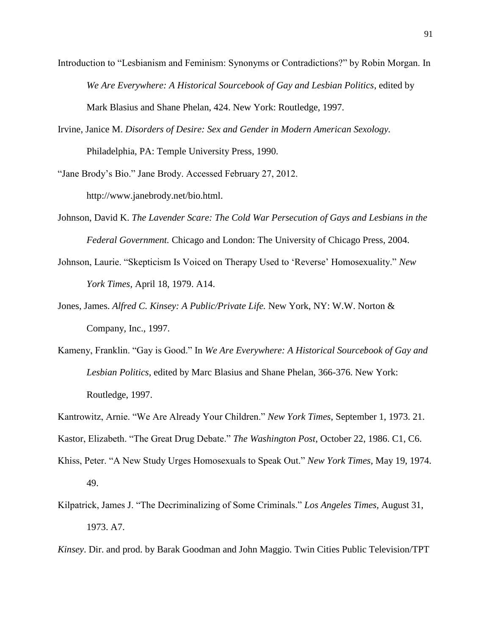- Introduction to "Lesbianism and Feminism: Synonyms or Contradictions?" by Robin Morgan. In *We Are Everywhere: A Historical Sourcebook of Gay and Lesbian Politics*, edited by Mark Blasius and Shane Phelan, 424. New York: Routledge, 1997.
- Irvine, Janice M. *Disorders of Desire: Sex and Gender in Modern American Sexology.*  Philadelphia, PA: Temple University Press, 1990.

"Jane Brody"s Bio." Jane Brody. Accessed February 27, 2012. [http://www.janebrody.net/bio.html.](http://www.janebrody.net/bio.html)

- Johnson, David K. *The Lavender Scare: The Cold War Persecution of Gays and Lesbians in the Federal Government.* Chicago and London: The University of Chicago Press, 2004.
- Johnson, Laurie. "Skepticism Is Voiced on Therapy Used to "Reverse" Homosexuality." *New York Times*, April 18, 1979. A14.
- Jones, James. *Alfred C. Kinsey: A Public/Private Life.* New York, NY: W.W. Norton & Company, Inc., 1997.
- Kameny, Franklin. "Gay is Good." In *We Are Everywhere: A Historical Sourcebook of Gay and Lesbian Politics*, edited by Marc Blasius and Shane Phelan, 366-376. New York: Routledge, 1997.
- Kantrowitz, Arnie. "We Are Already Your Children." *New York Times*, September 1, 1973. 21.
- Kastor, Elizabeth. "The Great Drug Debate." *The Washington Post*, October 22, 1986. C1, C6.
- Khiss, Peter. "A New Study Urges Homosexuals to Speak Out." *New York Times*, May 19, 1974. 49.
- Kilpatrick, James J. "The Decriminalizing of Some Criminals." *Los Angeles Times,* August 31, 1973. A7.
- *Kinsey*. Dir. and prod. by Barak Goodman and John Maggio. Twin Cities Public Television/TPT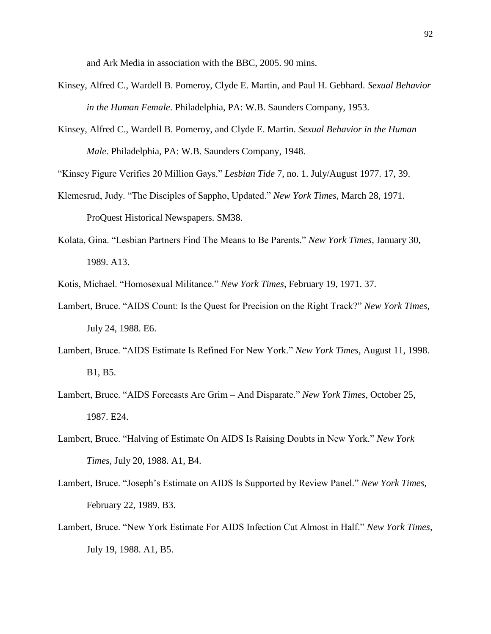and Ark Media in association with the BBC, 2005. 90 mins.

- Kinsey, Alfred C., Wardell B. Pomeroy, Clyde E. Martin, and Paul H. Gebhard. *Sexual Behavior in the Human Female*. Philadelphia, PA: W.B. Saunders Company, 1953.
- Kinsey, Alfred C., Wardell B. Pomeroy, and Clyde E. Martin. *Sexual Behavior in the Human Male*. Philadelphia, PA: W.B. Saunders Company, 1948.

"Kinsey Figure Verifies 20 Million Gays." *Lesbian Tide* 7, no. 1. July/August 1977. 17, 39.

- Klemesrud, Judy. "The Disciples of Sappho, Updated." *New York Times,* March 28, 1971. ProQuest Historical Newspapers. SM38.
- Kolata, Gina. "Lesbian Partners Find The Means to Be Parents." *New York Times*, January 30, 1989. A13.

Kotis, Michael. "Homosexual Militance." *New York Times*, February 19, 1971. 37.

- Lambert, Bruce. "AIDS Count: Is the Quest for Precision on the Right Track?" *New York Times*, July 24, 1988. E6.
- Lambert, Bruce. "AIDS Estimate Is Refined For New York." *New York Times*, August 11, 1998. B1, B5.
- Lambert, Bruce. "AIDS Forecasts Are Grim And Disparate." *New York Times*, October 25, 1987. E24.
- Lambert, Bruce. "Halving of Estimate On AIDS Is Raising Doubts in New York." *New York Times*, July 20, 1988. A1, B4.
- Lambert, Bruce. "Joseph"s Estimate on AIDS Is Supported by Review Panel." *New York Times*, February 22, 1989. B3.
- Lambert, Bruce. "New York Estimate For AIDS Infection Cut Almost in Half." *New York Times*, July 19, 1988. A1, B5.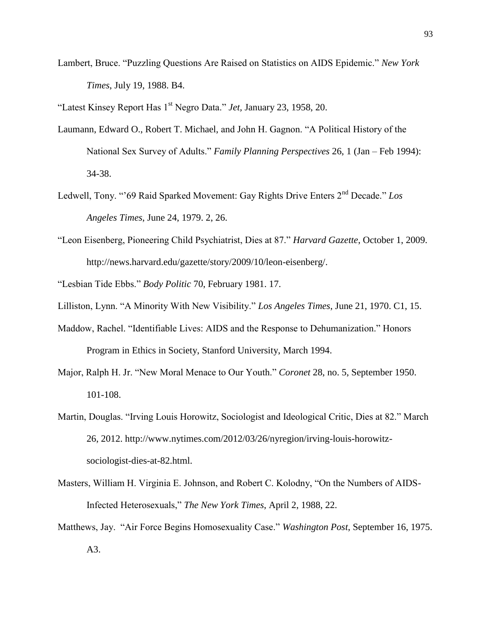Lambert, Bruce. "Puzzling Questions Are Raised on Statistics on AIDS Epidemic." *New York Times*, July 19, 1988. B4.

"Latest Kinsey Report Has 1st Negro Data." *Jet,* January 23, 1958, 20.

- Laumann, Edward O., Robert T. Michael, and John H. Gagnon. "A Political History of the National Sex Survey of Adults." *Family Planning Perspectives* 26, 1 (Jan – Feb 1994): 34-38.
- Ledwell, Tony. ""69 Raid Sparked Movement: Gay Rights Drive Enters 2nd Decade." *Los Angeles Times*, June 24, 1979. 2, 26.
- "Leon Eisenberg, Pioneering Child Psychiatrist, Dies at 87." *Harvard Gazette*, October 1, 2009. [http://news.harvard.edu/gazette/story/2009/10/leon-eisenberg/.](http://news.harvard.edu/gazette/story/2009/10/leon-eisenberg/)

"Lesbian Tide Ebbs." *Body Politic* 70, February 1981. 17.

- Lilliston, Lynn. "A Minority With New Visibility." *Los Angeles Times*, June 21, 1970. C1, 15.
- Maddow, Rachel. "Identifiable Lives: AIDS and the Response to Dehumanization." Honors Program in Ethics in Society, Stanford University, March 1994.
- Major, Ralph H. Jr. "New Moral Menace to Our Youth." *Coronet* 28, no. 5, September 1950. 101-108.
- Martin, Douglas. "Irving Louis Horowitz, Sociologist and Ideological Critic, Dies at 82." March 26, 2012. [http://www.nytimes.com/2012/03/26/nyregion/irving-louis-horowitz](http://www.nytimes.com/2012/03/26/nyregion/irving-louis-horowitz-)sociologist-dies-at-82.html.
- Masters, William H. Virginia E. Johnson, and Robert C. Kolodny, "On the Numbers of AIDS-Infected Heterosexuals," *The New York Times*, April 2, 1988, 22.
- Matthews, Jay. "Air Force Begins Homosexuality Case." *Washington Post*, September 16, 1975. A3.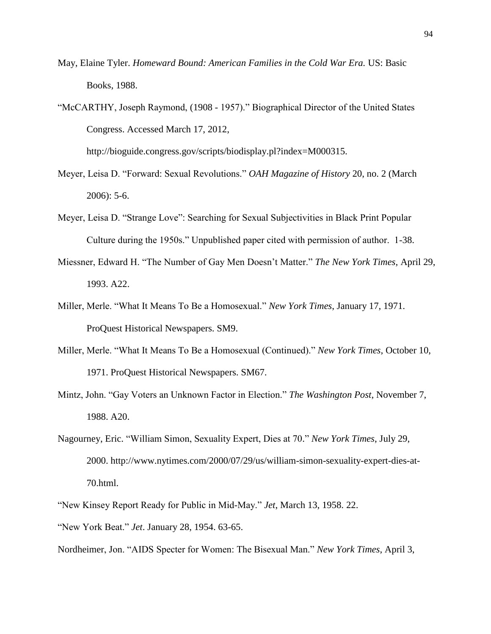- May, Elaine Tyler. *Homeward Bound: American Families in the Cold War Era.* US: Basic Books, 1988.
- "McCARTHY, Joseph Raymond, (1908 1957)." Biographical Director of the United States Congress. Accessed March 17, 2012,

http://bioguide.congress.gov/scripts/biodisplay.pl?index=M000315.

- Meyer, Leisa D. "Forward: Sexual Revolutions." *OAH Magazine of History* 20, no. 2 (March 2006): 5-6.
- Meyer, Leisa D. "Strange Love": Searching for Sexual Subjectivities in Black Print Popular Culture during the 1950s." Unpublished paper cited with permission of author. 1-38.
- Miessner, Edward H. "The Number of Gay Men Doesn"t Matter." *The New York Times*, April 29, 1993. A22.
- Miller, Merle. "What It Means To Be a Homosexual." *New York Times*, January 17, 1971. ProQuest Historical Newspapers. SM9.
- Miller, Merle. "What It Means To Be a Homosexual (Continued)." *New York Times*, October 10, 1971. ProQuest Historical Newspapers. SM67.
- Mintz, John. "Gay Voters an Unknown Factor in Election." *The Washington Post*, November 7, 1988. A20.
- Nagourney, Eric. "William Simon, Sexuality Expert, Dies at 70." *New York Times*, July 29, 2000. http://www.nytimes.com/2000/07/29/us/william-simon-sexuality-expert-dies-at-70.html.
- "New Kinsey Report Ready for Public in Mid-May." *Jet*, March 13, 1958. 22.
- "New York Beat." *Jet*. January 28, 1954. 63-65.
- Nordheimer, Jon. "AIDS Specter for Women: The Bisexual Man." *New York Times*, April 3,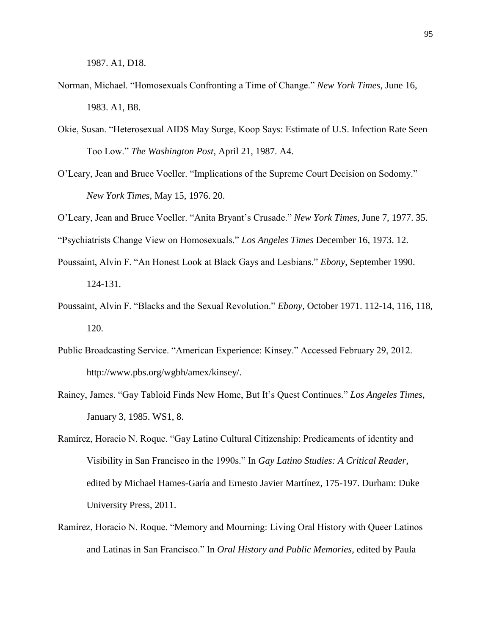1987. A1, D18.

- Norman, Michael. "Homosexuals Confronting a Time of Change." *New York Times*, June 16, 1983. A1, B8.
- Okie, Susan. "Heterosexual AIDS May Surge, Koop Says: Estimate of U.S. Infection Rate Seen Too Low." *The Washington Post*, April 21, 1987. A4.
- O"Leary, Jean and Bruce Voeller. "Implications of the Supreme Court Decision on Sodomy." *New York Times,* May 15, 1976. 20.
- O"Leary, Jean and Bruce Voeller. "Anita Bryant"s Crusade." *New York Times*, June 7, 1977. 35.

"Psychiatrists Change View on Homosexuals." *Los Angeles Times* December 16, 1973. 12.

- Poussaint, Alvin F. "An Honest Look at Black Gays and Lesbians." *Ebony*, September 1990. 124-131.
- Poussaint, Alvin F. "Blacks and the Sexual Revolution." *Ebony*, October 1971. 112-14, 116, 118, 120.
- Public Broadcasting Service. "American Experience: Kinsey." Accessed February 29, 2012. http://www.pbs.org/wgbh/amex/kinsey/.
- Rainey, James. "Gay Tabloid Finds New Home, But It"s Quest Continues." *Los Angeles Times*, January 3, 1985. WS1, 8.
- Ramírez, Horacio N. Roque. "Gay Latino Cultural Citizenship: Predicaments of identity and Visibility in San Francisco in the 1990s." In *Gay Latino Studies: A Critical Reader*, edited by Michael Hames-Garía and Ernesto Javier Martínez, 175-197. Durham: Duke University Press, 2011.
- Ramírez, Horacio N. Roque. "Memory and Mourning: Living Oral History with Queer Latinos and Latinas in San Francisco." In *Oral History and Public Memories*, edited by Paula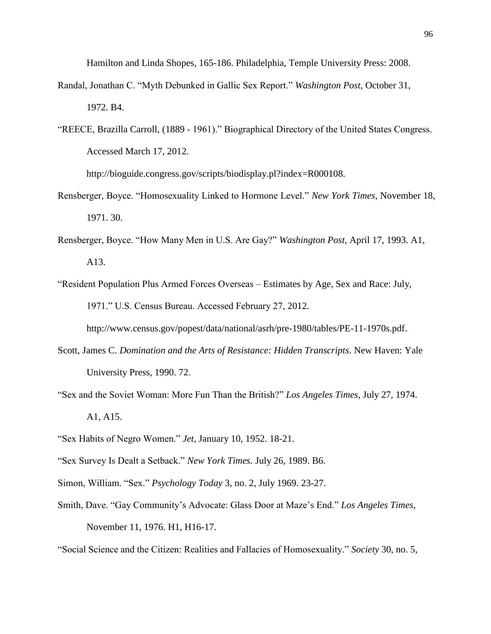Hamilton and Linda Shopes, 165-186. Philadelphia, Temple University Press: 2008.

- Randal, Jonathan C. "Myth Debunked in Gallic Sex Report." *Washington Post*, October 31, 1972. B4.
- "REECE, Brazilla Carroll, (1889 1961)." Biographical Directory of the United States Congress. Accessed March 17, 2012.

http://bioguide.congress.gov/scripts/biodisplay.pl?index=R000108.

- Rensberger, Boyce. "Homosexuality Linked to Hormone Level." *New York Times*, November 18, 1971. 30.
- Rensberger, Boyce. "How Many Men in U.S. Are Gay?" *Washington Post*, April 17, 1993. A1, A13.
- "Resident Population Plus Armed Forces Overseas Estimates by Age, Sex and Race: July, 1971." U.S. Census Bureau. Accessed February 27, 2012.

http://www.census.gov/popest/data/national/asrh/pre-1980/tables/PE-11-1970s.pdf.

- Scott, James C. *Domination and the Arts of Resistance: Hidden Transcripts*. New Haven: Yale University Press, 1990. 72.
- "Sex and the Soviet Woman: More Fun Than the British?" *Los Angeles Times*, July 27, 1974. A1, A15.
- "Sex Habits of Negro Women." *Jet,* January 10, 1952. 18-21.
- "Sex Survey Is Dealt a Setback." *New York Times.* July 26, 1989. B6.
- Simon, William. "Sex." *Psychology Today* 3, no. 2, July 1969. 23-27.
- Smith, Dave. "Gay Community"s Advocate: Glass Door at Maze"s End." *Los Angeles Times*, November 11, 1976. H1, H16-17.

"Social Science and the Citizen: Realities and Fallacies of Homosexuality." *Society* 30, no. 5,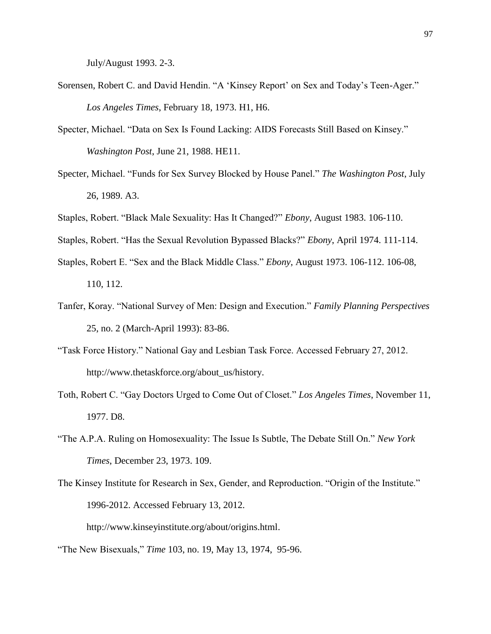July/August 1993. 2-3.

- Sorensen, Robert C. and David Hendin. "A 'Kinsey Report' on Sex and Today's Teen-Ager." *Los Angeles Times*, February 18, 1973. H1, H6.
- Specter, Michael. "Data on Sex Is Found Lacking: AIDS Forecasts Still Based on Kinsey." *Washington Post*, June 21, 1988. HE11.
- Specter, Michael. "Funds for Sex Survey Blocked by House Panel." *The Washington Post*, July 26, 1989. A3.
- Staples, Robert. "Black Male Sexuality: Has It Changed?" *Ebony*, August 1983. 106-110.
- Staples, Robert. "Has the Sexual Revolution Bypassed Blacks?" *Ebony*, April 1974. 111-114.
- Staples, Robert E. "Sex and the Black Middle Class." *Ebony*, August 1973. 106-112. 106-08, 110, 112.
- Tanfer, Koray. "National Survey of Men: Design and Execution." *Family Planning Perspectives*  25, no. 2 (March-April 1993): 83-86.
- "Task Force History." National Gay and Lesbian Task Force. Accessed February 27, 2012. http://www.thetaskforce.org/about\_us/history.
- Toth, Robert C. "Gay Doctors Urged to Come Out of Closet." *Los Angeles Times*, November 11, 1977. D8.
- "The A.P.A. Ruling on Homosexuality: The Issue Is Subtle, The Debate Still On." *New York Times*, December 23, 1973. 109.
- The Kinsey Institute for Research in Sex, Gender, and Reproduction. "Origin of the Institute." 1996-2012. Accessed February 13, 2012.

[http://www.kinseyinstitute.org/about/origins.html.](http://www.kinseyinstitute.org/about/origins.html)

"The New Bisexuals," *Time* 103, no. 19, May 13, 1974, 95-96.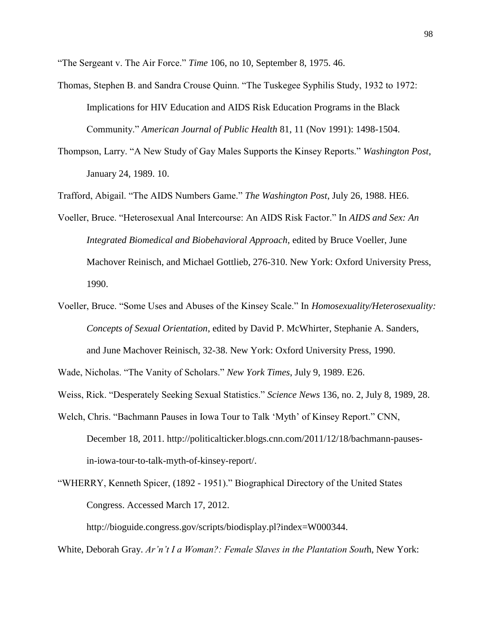"The Sergeant v. The Air Force." *Time* 106, no 10, September 8, 1975. 46.

- Thomas, Stephen B. and Sandra Crouse Quinn. "The Tuskegee Syphilis Study, 1932 to 1972: Implications for HIV Education and AIDS Risk Education Programs in the Black Community." *American Journal of Public Health* 81, 11 (Nov 1991): 1498-1504.
- Thompson, Larry. "A New Study of Gay Males Supports the Kinsey Reports." *Washington Post*, January 24, 1989. 10.

Trafford, Abigail. "The AIDS Numbers Game." *The Washington Post*, July 26, 1988. HE6.

- Voeller, Bruce. "Heterosexual Anal Intercourse: An AIDS Risk Factor." In *AIDS and Sex: An Integrated Biomedical and Biobehavioral Approach*, edited by Bruce Voeller, June Machover Reinisch, and Michael Gottlieb, 276-310. New York: Oxford University Press, 1990.
- Voeller, Bruce. "Some Uses and Abuses of the Kinsey Scale." In *Homosexuality/Heterosexuality: Concepts of Sexual Orientation*, edited by David P. McWhirter, Stephanie A. Sanders, and June Machover Reinisch, 32-38. New York: Oxford University Press, 1990.

Wade, Nicholas. "The Vanity of Scholars." *New York Times*, July 9, 1989. E26.

Weiss, Rick. "Desperately Seeking Sexual Statistics." *Science News* 136, no. 2, July 8, 1989, 28.

Welch, Chris. "Bachmann Pauses in Iowa Tour to Talk 'Myth' of Kinsey Report." CNN, December 18, 2011. [http://politicalticker.blogs.cnn.com/2011/12/18/bachmann-pauses](http://politicalticker.blogs.cnn.com/2011/12/18/bachmann-pauses-in-iowa-tour-to-talk-myth-of-kinsey-report/)[in-iowa-tour-to-talk-myth-of-kinsey-report/.](http://politicalticker.blogs.cnn.com/2011/12/18/bachmann-pauses-in-iowa-tour-to-talk-myth-of-kinsey-report/)

"WHERRY, Kenneth Spicer, (1892 - 1951)." Biographical Directory of the United States Congress. Accessed March 17, 2012.

http://bioguide.congress.gov/scripts/biodisplay.pl?index=W000344.

White, Deborah Gray. *Ar'n't I a Woman?: Female Slaves in the Plantation Sout*h, New York: